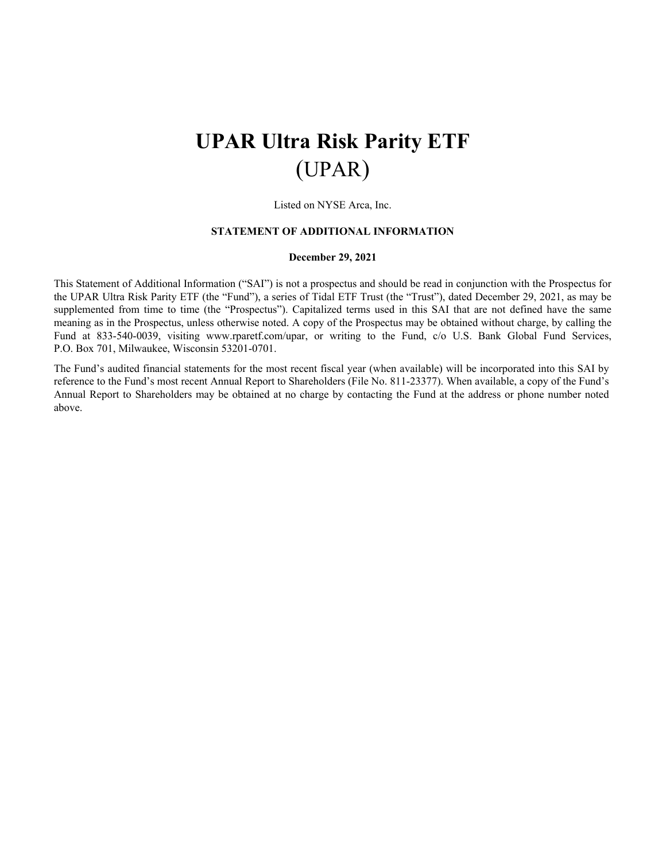# **UPAR Ultra Risk Parity ETF** (UPAR)

Listed on NYSE Arca, Inc.

#### **STATEMENT OF ADDITIONAL INFORMATION**

#### **December 29, 2021**

This Statement of Additional Information ("SAI") is not a prospectus and should be read in conjunction with the Prospectus for the UPAR Ultra Risk Parity ETF (the "Fund"), a series of Tidal ETF Trust (the "Trust"), dated December 29, 2021, as may be supplemented from time to time (the "Prospectus"). Capitalized terms used in this SAI that are not defined have the same meaning as in the Prospectus, unless otherwise noted. A copy of the Prospectus may be obtained without charge, by calling the Fund at 833-540-0039, visiting www.rparetf.com/upar, or writing to the Fund, c/o U.S. Bank Global Fund Services, P.O. Box 701, Milwaukee, Wisconsin 53201-0701.

The Fund's audited financial statements for the most recent fiscal year (when available) will be incorporated into this SAI by reference to the Fund's most recent Annual Report to Shareholders (File No. 811-23377). When available, a copy of the Fund's Annual Report to Shareholders may be obtained at no charge by contacting the Fund at the address or phone number noted above.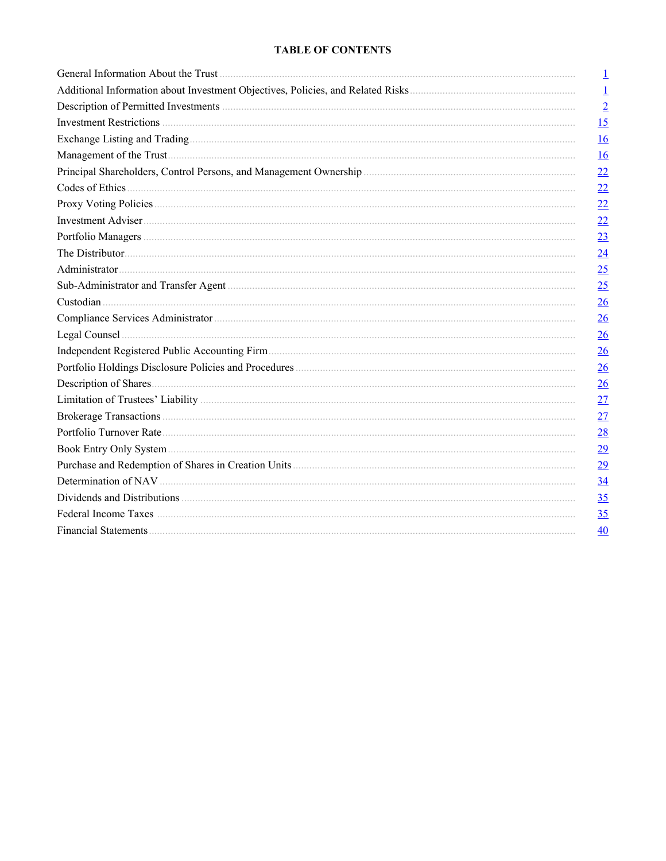# **TABLE OF CONTENTS**

| 1                        |
|--------------------------|
| $\mathbf{\underline{1}}$ |
| $\overline{2}$           |
| 15                       |
| 16                       |
| $\underline{16}$         |
| 22                       |
| 22                       |
| 22                       |
| 22                       |
| 23                       |
| 24                       |
| 25                       |
| 25                       |
| 26                       |
| 26                       |
| $\frac{26}{5}$           |
| $\frac{26}{5}$           |
| $\frac{26}{5}$           |
| $\frac{26}{5}$           |
| 27                       |
| 27                       |
| 28                       |
| <u>29</u>                |
| 29                       |
| 34                       |
| 35                       |
| 35                       |
| $\overline{40}$          |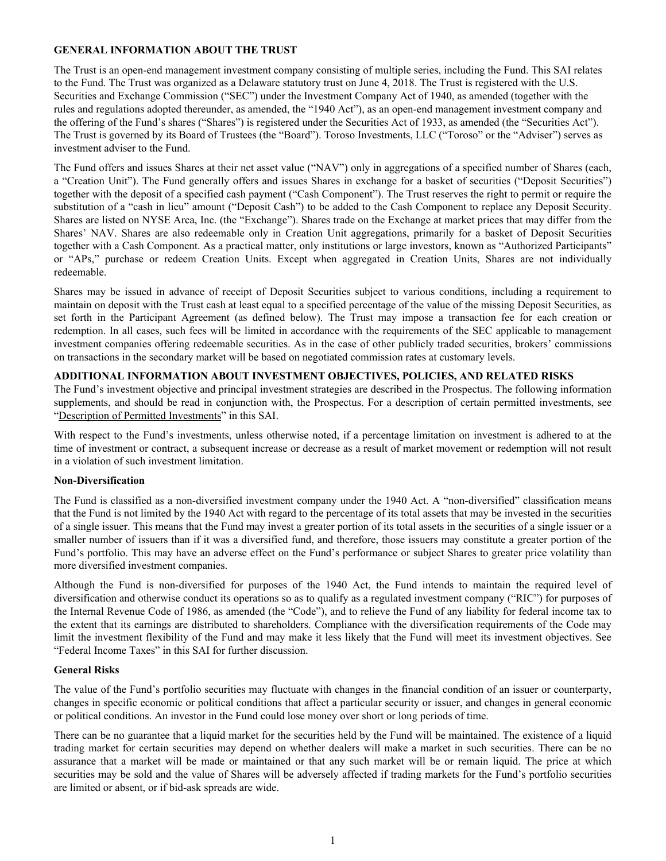# <span id="page-2-0"></span>**GENERAL INFORMATION ABOUT THE TRUST**

The Trust is an open-end management investment company consisting of multiple series, including the Fund. This SAI relates to the Fund. The Trust was organized as a Delaware statutory trust on June 4, 2018. The Trust is registered with the U.S. Securities and Exchange Commission ("SEC") under the Investment Company Act of 1940, as amended (together with the rules and regulations adopted thereunder, as amended, the "1940 Act"), as an open-end management investment company and the offering of the Fund's shares ("Shares") is registered under the Securities Act of 1933, as amended (the "Securities Act"). The Trust is governed by its Board of Trustees (the "Board"). Toroso Investments, LLC ("Toroso" or the "Adviser") serves as investment adviser to the Fund.

The Fund offers and issues Shares at their net asset value ("NAV") only in aggregations of a specified number of Shares (each, a "Creation Unit"). The Fund generally offers and issues Shares in exchange for a basket of securities ("Deposit Securities") together with the deposit of a specified cash payment ("Cash Component"). The Trust reserves the right to permit or require the substitution of a "cash in lieu" amount ("Deposit Cash") to be added to the Cash Component to replace any Deposit Security. Shares are listed on NYSE Arca, Inc. (the "Exchange"). Shares trade on the Exchange at market prices that may differ from the Shares' NAV. Shares are also redeemable only in Creation Unit aggregations, primarily for a basket of Deposit Securities together with a Cash Component. As a practical matter, only institutions or large investors, known as "Authorized Participants" or "APs," purchase or redeem Creation Units. Except when aggregated in Creation Units, Shares are not individually redeemable.

Shares may be issued in advance of receipt of Deposit Securities subject to various conditions, including a requirement to maintain on deposit with the Trust cash at least equal to a specified percentage of the value of the missing Deposit Securities, as set forth in the Participant Agreement (as defined below). The Trust may impose a transaction fee for each creation or redemption. In all cases, such fees will be limited in accordance with the requirements of the SEC applicable to management investment companies offering redeemable securities. As in the case of other publicly traded securities, brokers' commissions on transactions in the secondary market will be based on negotiated commission rates at customary levels.

# **ADDITIONAL INFORMATION ABOUT INVESTMENT OBJECTIVES, POLICIES, AND RELATED RISKS**

The Fund's investment objective and principal investment strategies are described in the Prospectus. The following information supplements, and should be read in conjunction with, the Prospectus. For a description of certain permitted investments, see "Description of Permitted Investments" in this SAI.

With respect to the Fund's investments, unless otherwise noted, if a percentage limitation on investment is adhered to at the time of investment or contract, a subsequent increase or decrease as a result of market movement or redemption will not result in a violation of such investment limitation.

## **Non-Diversification**

The Fund is classified as a non-diversified investment company under the 1940 Act. A "non-diversified" classification means that the Fund is not limited by the 1940 Act with regard to the percentage of its total assets that may be invested in the securities of a single issuer. This means that the Fund may invest a greater portion of its total assets in the securities of a single issuer or a smaller number of issuers than if it was a diversified fund, and therefore, those issuers may constitute a greater portion of the Fund's portfolio. This may have an adverse effect on the Fund's performance or subject Shares to greater price volatility than more diversified investment companies.

Although the Fund is non-diversified for purposes of the 1940 Act, the Fund intends to maintain the required level of diversification and otherwise conduct its operations so as to qualify as a regulated investment company ("RIC") for purposes of the Internal Revenue Code of 1986, as amended (the "Code"), and to relieve the Fund of any liability for federal income tax to the extent that its earnings are distributed to shareholders. Compliance with the diversification requirements of the Code may limit the investment flexibility of the Fund and may make it less likely that the Fund will meet its investment objectives. See "Federal Income Taxes" in this SAI for further discussion.

## **General Risks**

The value of the Fund's portfolio securities may fluctuate with changes in the financial condition of an issuer or counterparty, changes in specific economic or political conditions that affect a particular security or issuer, and changes in general economic or political conditions. An investor in the Fund could lose money over short or long periods of time.

There can be no guarantee that a liquid market for the securities held by the Fund will be maintained. The existence of a liquid trading market for certain securities may depend on whether dealers will make a market in such securities. There can be no assurance that a market will be made or maintained or that any such market will be or remain liquid. The price at which securities may be sold and the value of Shares will be adversely affected if trading markets for the Fund's portfolio securities are limited or absent, or if bid-ask spreads are wide.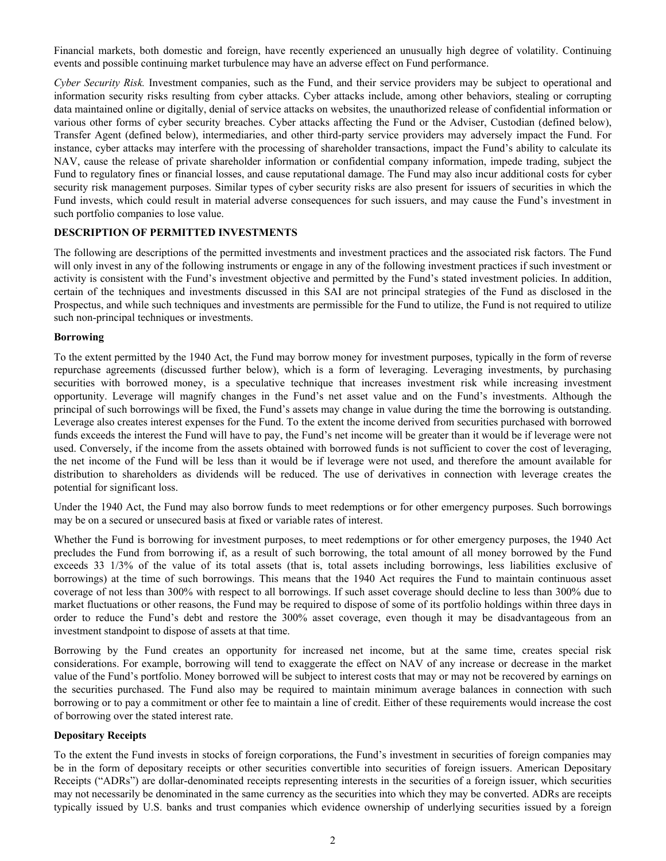<span id="page-3-0"></span>Financial markets, both domestic and foreign, have recently experienced an unusually high degree of volatility. Continuing events and possible continuing market turbulence may have an adverse effect on Fund performance.

*Cyber Security Risk.* Investment companies, such as the Fund, and their service providers may be subject to operational and information security risks resulting from cyber attacks. Cyber attacks include, among other behaviors, stealing or corrupting data maintained online or digitally, denial of service attacks on websites, the unauthorized release of confidential information or various other forms of cyber security breaches. Cyber attacks affecting the Fund or the Adviser, Custodian (defined below), Transfer Agent (defined below), intermediaries, and other third-party service providers may adversely impact the Fund. For instance, cyber attacks may interfere with the processing of shareholder transactions, impact the Fund's ability to calculate its NAV, cause the release of private shareholder information or confidential company information, impede trading, subject the Fund to regulatory fines or financial losses, and cause reputational damage. The Fund may also incur additional costs for cyber security risk management purposes. Similar types of cyber security risks are also present for issuers of securities in which the Fund invests, which could result in material adverse consequences for such issuers, and may cause the Fund's investment in such portfolio companies to lose value.

## **DESCRIPTION OF PERMITTED INVESTMENTS**

The following are descriptions of the permitted investments and investment practices and the associated risk factors. The Fund will only invest in any of the following instruments or engage in any of the following investment practices if such investment or activity is consistent with the Fund's investment objective and permitted by the Fund's stated investment policies. In addition, certain of the techniques and investments discussed in this SAI are not principal strategies of the Fund as disclosed in the Prospectus, and while such techniques and investments are permissible for the Fund to utilize, the Fund is not required to utilize such non-principal techniques or investments.

#### **Borrowing**

To the extent permitted by the 1940 Act, the Fund may borrow money for investment purposes, typically in the form of reverse repurchase agreements (discussed further below), which is a form of leveraging. Leveraging investments, by purchasing securities with borrowed money, is a speculative technique that increases investment risk while increasing investment opportunity. Leverage will magnify changes in the Fund's net asset value and on the Fund's investments. Although the principal of such borrowings will be fixed, the Fund's assets may change in value during the time the borrowing is outstanding. Leverage also creates interest expenses for the Fund. To the extent the income derived from securities purchased with borrowed funds exceeds the interest the Fund will have to pay, the Fund's net income will be greater than it would be if leverage were not used. Conversely, if the income from the assets obtained with borrowed funds is not sufficient to cover the cost of leveraging, the net income of the Fund will be less than it would be if leverage were not used, and therefore the amount available for distribution to shareholders as dividends will be reduced. The use of derivatives in connection with leverage creates the potential for significant loss.

Under the 1940 Act, the Fund may also borrow funds to meet redemptions or for other emergency purposes. Such borrowings may be on a secured or unsecured basis at fixed or variable rates of interest.

Whether the Fund is borrowing for investment purposes, to meet redemptions or for other emergency purposes, the 1940 Act precludes the Fund from borrowing if, as a result of such borrowing, the total amount of all money borrowed by the Fund exceeds 33 1/3% of the value of its total assets (that is, total assets including borrowings, less liabilities exclusive of borrowings) at the time of such borrowings. This means that the 1940 Act requires the Fund to maintain continuous asset coverage of not less than 300% with respect to all borrowings. If such asset coverage should decline to less than 300% due to market fluctuations or other reasons, the Fund may be required to dispose of some of its portfolio holdings within three days in order to reduce the Fund's debt and restore the 300% asset coverage, even though it may be disadvantageous from an investment standpoint to dispose of assets at that time.

Borrowing by the Fund creates an opportunity for increased net income, but at the same time, creates special risk considerations. For example, borrowing will tend to exaggerate the effect on NAV of any increase or decrease in the market value of the Fund's portfolio. Money borrowed will be subject to interest costs that may or may not be recovered by earnings on the securities purchased. The Fund also may be required to maintain minimum average balances in connection with such borrowing or to pay a commitment or other fee to maintain a line of credit. Either of these requirements would increase the cost of borrowing over the stated interest rate.

#### **Depositary Receipts**

To the extent the Fund invests in stocks of foreign corporations, the Fund's investment in securities of foreign companies may be in the form of depositary receipts or other securities convertible into securities of foreign issuers. American Depositary Receipts ("ADRs") are dollar-denominated receipts representing interests in the securities of a foreign issuer, which securities may not necessarily be denominated in the same currency as the securities into which they may be converted. ADRs are receipts typically issued by U.S. banks and trust companies which evidence ownership of underlying securities issued by a foreign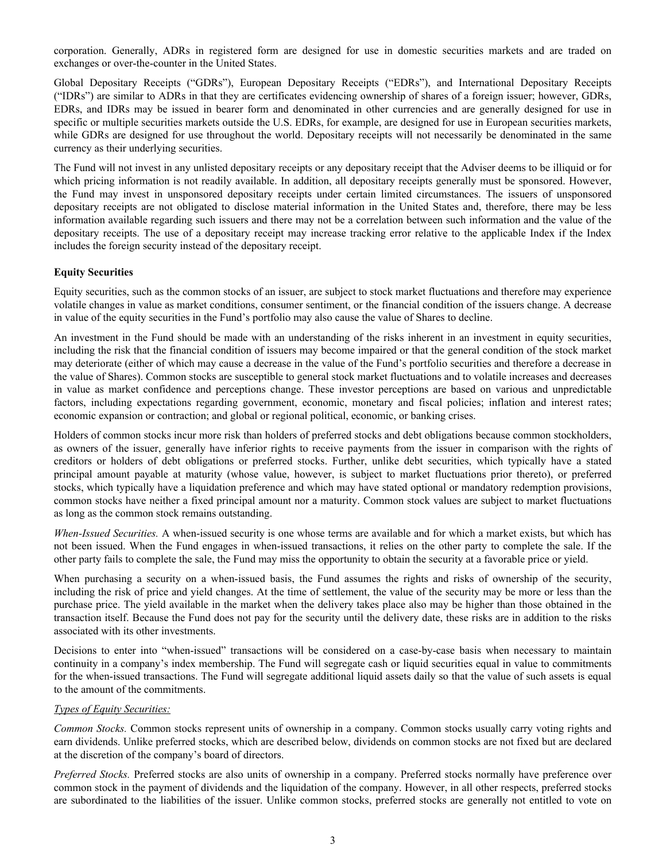corporation. Generally, ADRs in registered form are designed for use in domestic securities markets and are traded on exchanges or over-the-counter in the United States.

Global Depositary Receipts ("GDRs"), European Depositary Receipts ("EDRs"), and International Depositary Receipts ("IDRs") are similar to ADRs in that they are certificates evidencing ownership of shares of a foreign issuer; however, GDRs, EDRs, and IDRs may be issued in bearer form and denominated in other currencies and are generally designed for use in specific or multiple securities markets outside the U.S. EDRs, for example, are designed for use in European securities markets, while GDRs are designed for use throughout the world. Depositary receipts will not necessarily be denominated in the same currency as their underlying securities.

The Fund will not invest in any unlisted depositary receipts or any depositary receipt that the Adviser deems to be illiquid or for which pricing information is not readily available. In addition, all depositary receipts generally must be sponsored. However, the Fund may invest in unsponsored depositary receipts under certain limited circumstances. The issuers of unsponsored depositary receipts are not obligated to disclose material information in the United States and, therefore, there may be less information available regarding such issuers and there may not be a correlation between such information and the value of the depositary receipts. The use of a depositary receipt may increase tracking error relative to the applicable Index if the Index includes the foreign security instead of the depositary receipt.

## **Equity Securities**

Equity securities, such as the common stocks of an issuer, are subject to stock market fluctuations and therefore may experience volatile changes in value as market conditions, consumer sentiment, or the financial condition of the issuers change. A decrease in value of the equity securities in the Fund's portfolio may also cause the value of Shares to decline.

An investment in the Fund should be made with an understanding of the risks inherent in an investment in equity securities, including the risk that the financial condition of issuers may become impaired or that the general condition of the stock market may deteriorate (either of which may cause a decrease in the value of the Fund's portfolio securities and therefore a decrease in the value of Shares). Common stocks are susceptible to general stock market fluctuations and to volatile increases and decreases in value as market confidence and perceptions change. These investor perceptions are based on various and unpredictable factors, including expectations regarding government, economic, monetary and fiscal policies; inflation and interest rates; economic expansion or contraction; and global or regional political, economic, or banking crises.

Holders of common stocks incur more risk than holders of preferred stocks and debt obligations because common stockholders, as owners of the issuer, generally have inferior rights to receive payments from the issuer in comparison with the rights of creditors or holders of debt obligations or preferred stocks. Further, unlike debt securities, which typically have a stated principal amount payable at maturity (whose value, however, is subject to market fluctuations prior thereto), or preferred stocks, which typically have a liquidation preference and which may have stated optional or mandatory redemption provisions, common stocks have neither a fixed principal amount nor a maturity. Common stock values are subject to market fluctuations as long as the common stock remains outstanding.

*When-Issued Securities.* A when-issued security is one whose terms are available and for which a market exists, but which has not been issued. When the Fund engages in when-issued transactions, it relies on the other party to complete the sale. If the other party fails to complete the sale, the Fund may miss the opportunity to obtain the security at a favorable price or yield.

When purchasing a security on a when-issued basis, the Fund assumes the rights and risks of ownership of the security, including the risk of price and yield changes. At the time of settlement, the value of the security may be more or less than the purchase price. The yield available in the market when the delivery takes place also may be higher than those obtained in the transaction itself. Because the Fund does not pay for the security until the delivery date, these risks are in addition to the risks associated with its other investments.

Decisions to enter into "when-issued" transactions will be considered on a case-by-case basis when necessary to maintain continuity in a company's index membership. The Fund will segregate cash or liquid securities equal in value to commitments for the when-issued transactions. The Fund will segregate additional liquid assets daily so that the value of such assets is equal to the amount of the commitments.

## *Types of Equity Securities:*

*Common Stocks.* Common stocks represent units of ownership in a company. Common stocks usually carry voting rights and earn dividends. Unlike preferred stocks, which are described below, dividends on common stocks are not fixed but are declared at the discretion of the company's board of directors.

*Preferred Stocks.* Preferred stocks are also units of ownership in a company. Preferred stocks normally have preference over common stock in the payment of dividends and the liquidation of the company. However, in all other respects, preferred stocks are subordinated to the liabilities of the issuer. Unlike common stocks, preferred stocks are generally not entitled to vote on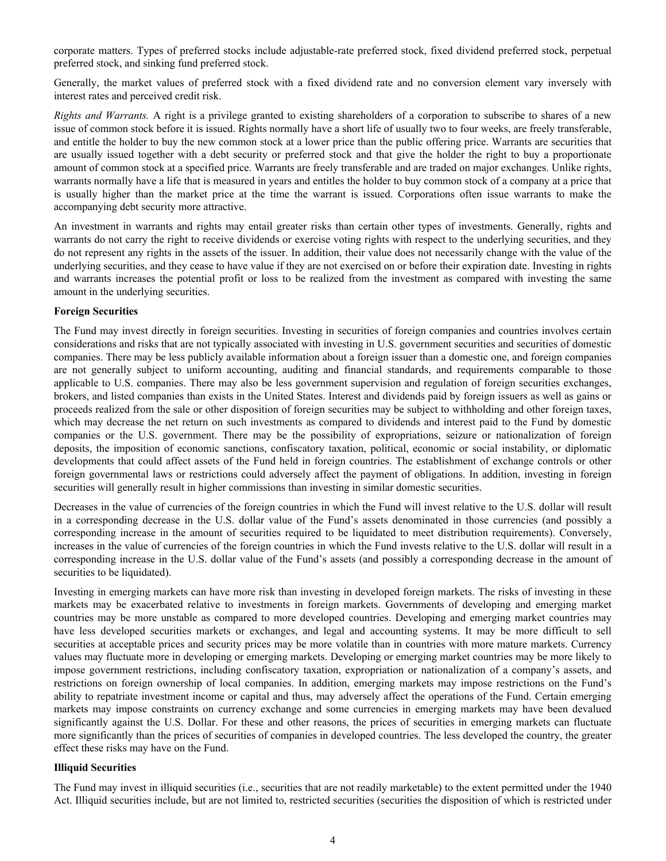corporate matters. Types of preferred stocks include adjustable-rate preferred stock, fixed dividend preferred stock, perpetual preferred stock, and sinking fund preferred stock.

Generally, the market values of preferred stock with a fixed dividend rate and no conversion element vary inversely with interest rates and perceived credit risk.

*Rights and Warrants.* A right is a privilege granted to existing shareholders of a corporation to subscribe to shares of a new issue of common stock before it is issued. Rights normally have a short life of usually two to four weeks, are freely transferable, and entitle the holder to buy the new common stock at a lower price than the public offering price. Warrants are securities that are usually issued together with a debt security or preferred stock and that give the holder the right to buy a proportionate amount of common stock at a specified price. Warrants are freely transferable and are traded on major exchanges. Unlike rights, warrants normally have a life that is measured in years and entitles the holder to buy common stock of a company at a price that is usually higher than the market price at the time the warrant is issued. Corporations often issue warrants to make the accompanying debt security more attractive.

An investment in warrants and rights may entail greater risks than certain other types of investments. Generally, rights and warrants do not carry the right to receive dividends or exercise voting rights with respect to the underlying securities, and they do not represent any rights in the assets of the issuer. In addition, their value does not necessarily change with the value of the underlying securities, and they cease to have value if they are not exercised on or before their expiration date. Investing in rights and warrants increases the potential profit or loss to be realized from the investment as compared with investing the same amount in the underlying securities.

### **Foreign Securities**

The Fund may invest directly in foreign securities. Investing in securities of foreign companies and countries involves certain considerations and risks that are not typically associated with investing in U.S. government securities and securities of domestic companies. There may be less publicly available information about a foreign issuer than a domestic one, and foreign companies are not generally subject to uniform accounting, auditing and financial standards, and requirements comparable to those applicable to U.S. companies. There may also be less government supervision and regulation of foreign securities exchanges, brokers, and listed companies than exists in the United States. Interest and dividends paid by foreign issuers as well as gains or proceeds realized from the sale or other disposition of foreign securities may be subject to withholding and other foreign taxes, which may decrease the net return on such investments as compared to dividends and interest paid to the Fund by domestic companies or the U.S. government. There may be the possibility of expropriations, seizure or nationalization of foreign deposits, the imposition of economic sanctions, confiscatory taxation, political, economic or social instability, or diplomatic developments that could affect assets of the Fund held in foreign countries. The establishment of exchange controls or other foreign governmental laws or restrictions could adversely affect the payment of obligations. In addition, investing in foreign securities will generally result in higher commissions than investing in similar domestic securities.

Decreases in the value of currencies of the foreign countries in which the Fund will invest relative to the U.S. dollar will result in a corresponding decrease in the U.S. dollar value of the Fund's assets denominated in those currencies (and possibly a corresponding increase in the amount of securities required to be liquidated to meet distribution requirements). Conversely, increases in the value of currencies of the foreign countries in which the Fund invests relative to the U.S. dollar will result in a corresponding increase in the U.S. dollar value of the Fund's assets (and possibly a corresponding decrease in the amount of securities to be liquidated).

Investing in emerging markets can have more risk than investing in developed foreign markets. The risks of investing in these markets may be exacerbated relative to investments in foreign markets. Governments of developing and emerging market countries may be more unstable as compared to more developed countries. Developing and emerging market countries may have less developed securities markets or exchanges, and legal and accounting systems. It may be more difficult to sell securities at acceptable prices and security prices may be more volatile than in countries with more mature markets. Currency values may fluctuate more in developing or emerging markets. Developing or emerging market countries may be more likely to impose government restrictions, including confiscatory taxation, expropriation or nationalization of a company's assets, and restrictions on foreign ownership of local companies. In addition, emerging markets may impose restrictions on the Fund's ability to repatriate investment income or capital and thus, may adversely affect the operations of the Fund. Certain emerging markets may impose constraints on currency exchange and some currencies in emerging markets may have been devalued significantly against the U.S. Dollar. For these and other reasons, the prices of securities in emerging markets can fluctuate more significantly than the prices of securities of companies in developed countries. The less developed the country, the greater effect these risks may have on the Fund.

#### **Illiquid Securities**

The Fund may invest in illiquid securities (i.e., securities that are not readily marketable) to the extent permitted under the 1940 Act. Illiquid securities include, but are not limited to, restricted securities (securities the disposition of which is restricted under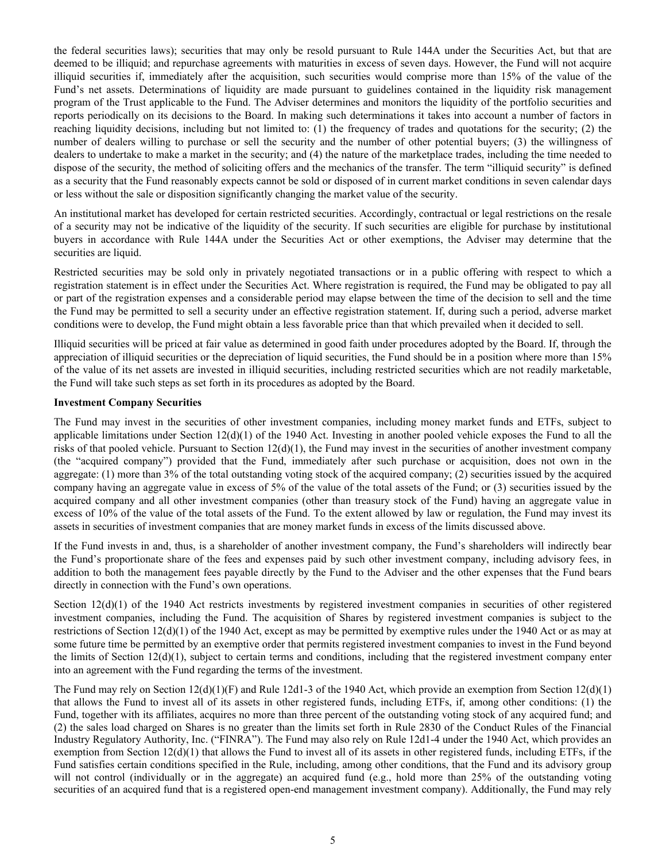the federal securities laws); securities that may only be resold pursuant to Rule 144A under the Securities Act, but that are deemed to be illiquid; and repurchase agreements with maturities in excess of seven days. However, the Fund will not acquire illiquid securities if, immediately after the acquisition, such securities would comprise more than 15% of the value of the Fund's net assets. Determinations of liquidity are made pursuant to guidelines contained in the liquidity risk management program of the Trust applicable to the Fund. The Adviser determines and monitors the liquidity of the portfolio securities and reports periodically on its decisions to the Board. In making such determinations it takes into account a number of factors in reaching liquidity decisions, including but not limited to: (1) the frequency of trades and quotations for the security; (2) the number of dealers willing to purchase or sell the security and the number of other potential buyers; (3) the willingness of dealers to undertake to make a market in the security; and (4) the nature of the marketplace trades, including the time needed to dispose of the security, the method of soliciting offers and the mechanics of the transfer. The term "illiquid security" is defined as a security that the Fund reasonably expects cannot be sold or disposed of in current market conditions in seven calendar days or less without the sale or disposition significantly changing the market value of the security.

An institutional market has developed for certain restricted securities. Accordingly, contractual or legal restrictions on the resale of a security may not be indicative of the liquidity of the security. If such securities are eligible for purchase by institutional buyers in accordance with Rule 144A under the Securities Act or other exemptions, the Adviser may determine that the securities are liquid.

Restricted securities may be sold only in privately negotiated transactions or in a public offering with respect to which a registration statement is in effect under the Securities Act. Where registration is required, the Fund may be obligated to pay all or part of the registration expenses and a considerable period may elapse between the time of the decision to sell and the time the Fund may be permitted to sell a security under an effective registration statement. If, during such a period, adverse market conditions were to develop, the Fund might obtain a less favorable price than that which prevailed when it decided to sell.

Illiquid securities will be priced at fair value as determined in good faith under procedures adopted by the Board. If, through the appreciation of illiquid securities or the depreciation of liquid securities, the Fund should be in a position where more than 15% of the value of its net assets are invested in illiquid securities, including restricted securities which are not readily marketable, the Fund will take such steps as set forth in its procedures as adopted by the Board.

#### **Investment Company Securities**

The Fund may invest in the securities of other investment companies, including money market funds and ETFs, subject to applicable limitations under Section  $12(d)(1)$  of the 1940 Act. Investing in another pooled vehicle exposes the Fund to all the risks of that pooled vehicle. Pursuant to Section  $12(d)(1)$ , the Fund may invest in the securities of another investment company (the "acquired company") provided that the Fund, immediately after such purchase or acquisition, does not own in the aggregate: (1) more than 3% of the total outstanding voting stock of the acquired company; (2) securities issued by the acquired company having an aggregate value in excess of 5% of the value of the total assets of the Fund; or (3) securities issued by the acquired company and all other investment companies (other than treasury stock of the Fund) having an aggregate value in excess of 10% of the value of the total assets of the Fund. To the extent allowed by law or regulation, the Fund may invest its assets in securities of investment companies that are money market funds in excess of the limits discussed above.

If the Fund invests in and, thus, is a shareholder of another investment company, the Fund's shareholders will indirectly bear the Fund's proportionate share of the fees and expenses paid by such other investment company, including advisory fees, in addition to both the management fees payable directly by the Fund to the Adviser and the other expenses that the Fund bears directly in connection with the Fund's own operations.

Section 12(d)(1) of the 1940 Act restricts investments by registered investment companies in securities of other registered investment companies, including the Fund. The acquisition of Shares by registered investment companies is subject to the restrictions of Section 12(d)(1) of the 1940 Act, except as may be permitted by exemptive rules under the 1940 Act or as may at some future time be permitted by an exemptive order that permits registered investment companies to invest in the Fund beyond the limits of Section  $12(d)(1)$ , subject to certain terms and conditions, including that the registered investment company enter into an agreement with the Fund regarding the terms of the investment.

The Fund may rely on Section  $12(d)(1)(F)$  and Rule 12d1-3 of the 1940 Act, which provide an exemption from Section  $12(d)(1)$ that allows the Fund to invest all of its assets in other registered funds, including ETFs, if, among other conditions: (1) the Fund, together with its affiliates, acquires no more than three percent of the outstanding voting stock of any acquired fund; and (2) the sales load charged on Shares is no greater than the limits set forth in Rule 2830 of the Conduct Rules of the Financial Industry Regulatory Authority, Inc. ("FINRA"). The Fund may also rely on Rule 12d1-4 under the 1940 Act, which provides an exemption from Section  $12(d)(1)$  that allows the Fund to invest all of its assets in other registered funds, including ETFs, if the Fund satisfies certain conditions specified in the Rule, including, among other conditions, that the Fund and its advisory group will not control (individually or in the aggregate) an acquired fund (e.g., hold more than 25% of the outstanding voting securities of an acquired fund that is a registered open-end management investment company). Additionally, the Fund may rely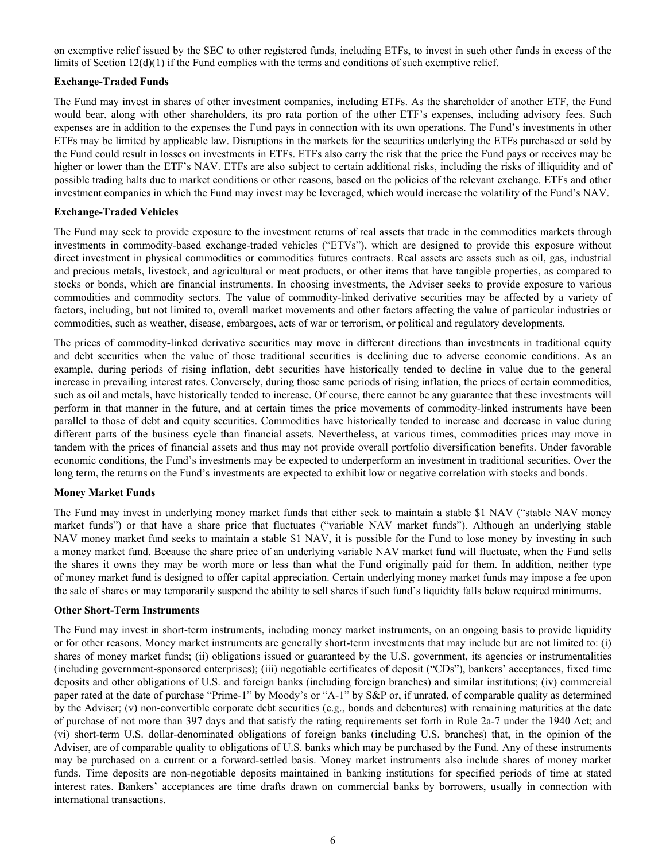on exemptive relief issued by the SEC to other registered funds, including ETFs, to invest in such other funds in excess of the limits of Section 12(d)(1) if the Fund complies with the terms and conditions of such exemptive relief.

### **Exchange-Traded Funds**

The Fund may invest in shares of other investment companies, including ETFs. As the shareholder of another ETF, the Fund would bear, along with other shareholders, its pro rata portion of the other ETF's expenses, including advisory fees. Such expenses are in addition to the expenses the Fund pays in connection with its own operations. The Fund's investments in other ETFs may be limited by applicable law. Disruptions in the markets for the securities underlying the ETFs purchased or sold by the Fund could result in losses on investments in ETFs. ETFs also carry the risk that the price the Fund pays or receives may be higher or lower than the ETF's NAV. ETFs are also subject to certain additional risks, including the risks of illiquidity and of possible trading halts due to market conditions or other reasons, based on the policies of the relevant exchange. ETFs and other investment companies in which the Fund may invest may be leveraged, which would increase the volatility of the Fund's NAV.

#### **Exchange-Traded Vehicles**

The Fund may seek to provide exposure to the investment returns of real assets that trade in the commodities markets through investments in commodity-based exchange-traded vehicles ("ETVs"), which are designed to provide this exposure without direct investment in physical commodities or commodities futures contracts. Real assets are assets such as oil, gas, industrial and precious metals, livestock, and agricultural or meat products, or other items that have tangible properties, as compared to stocks or bonds, which are financial instruments. In choosing investments, the Adviser seeks to provide exposure to various commodities and commodity sectors. The value of commodity-linked derivative securities may be affected by a variety of factors, including, but not limited to, overall market movements and other factors affecting the value of particular industries or commodities, such as weather, disease, embargoes, acts of war or terrorism, or political and regulatory developments.

The prices of commodity-linked derivative securities may move in different directions than investments in traditional equity and debt securities when the value of those traditional securities is declining due to adverse economic conditions. As an example, during periods of rising inflation, debt securities have historically tended to decline in value due to the general increase in prevailing interest rates. Conversely, during those same periods of rising inflation, the prices of certain commodities, such as oil and metals, have historically tended to increase. Of course, there cannot be any guarantee that these investments will perform in that manner in the future, and at certain times the price movements of commodity-linked instruments have been parallel to those of debt and equity securities. Commodities have historically tended to increase and decrease in value during different parts of the business cycle than financial assets. Nevertheless, at various times, commodities prices may move in tandem with the prices of financial assets and thus may not provide overall portfolio diversification benefits. Under favorable economic conditions, the Fund's investments may be expected to underperform an investment in traditional securities. Over the long term, the returns on the Fund's investments are expected to exhibit low or negative correlation with stocks and bonds.

#### **Money Market Funds**

The Fund may invest in underlying money market funds that either seek to maintain a stable \$1 NAV ("stable NAV money market funds") or that have a share price that fluctuates ("variable NAV market funds"). Although an underlying stable NAV money market fund seeks to maintain a stable \$1 NAV, it is possible for the Fund to lose money by investing in such a money market fund. Because the share price of an underlying variable NAV market fund will fluctuate, when the Fund sells the shares it owns they may be worth more or less than what the Fund originally paid for them. In addition, neither type of money market fund is designed to offer capital appreciation. Certain underlying money market funds may impose a fee upon the sale of shares or may temporarily suspend the ability to sell shares if such fund's liquidity falls below required minimums.

#### **Other Short-Term Instruments**

The Fund may invest in short-term instruments, including money market instruments, on an ongoing basis to provide liquidity or for other reasons. Money market instruments are generally short-term investments that may include but are not limited to: (i) shares of money market funds; (ii) obligations issued or guaranteed by the U.S. government, its agencies or instrumentalities (including government-sponsored enterprises); (iii) negotiable certificates of deposit ("CDs"), bankers' acceptances, fixed time deposits and other obligations of U.S. and foreign banks (including foreign branches) and similar institutions; (iv) commercial paper rated at the date of purchase "Prime-1" by Moody's or "A-1" by S&P or, if unrated, of comparable quality as determined by the Adviser; (v) non-convertible corporate debt securities (e.g., bonds and debentures) with remaining maturities at the date of purchase of not more than 397 days and that satisfy the rating requirements set forth in Rule 2a-7 under the 1940 Act; and (vi) short-term U.S. dollar-denominated obligations of foreign banks (including U.S. branches) that, in the opinion of the Adviser, are of comparable quality to obligations of U.S. banks which may be purchased by the Fund. Any of these instruments may be purchased on a current or a forward-settled basis. Money market instruments also include shares of money market funds. Time deposits are non-negotiable deposits maintained in banking institutions for specified periods of time at stated interest rates. Bankers' acceptances are time drafts drawn on commercial banks by borrowers, usually in connection with international transactions.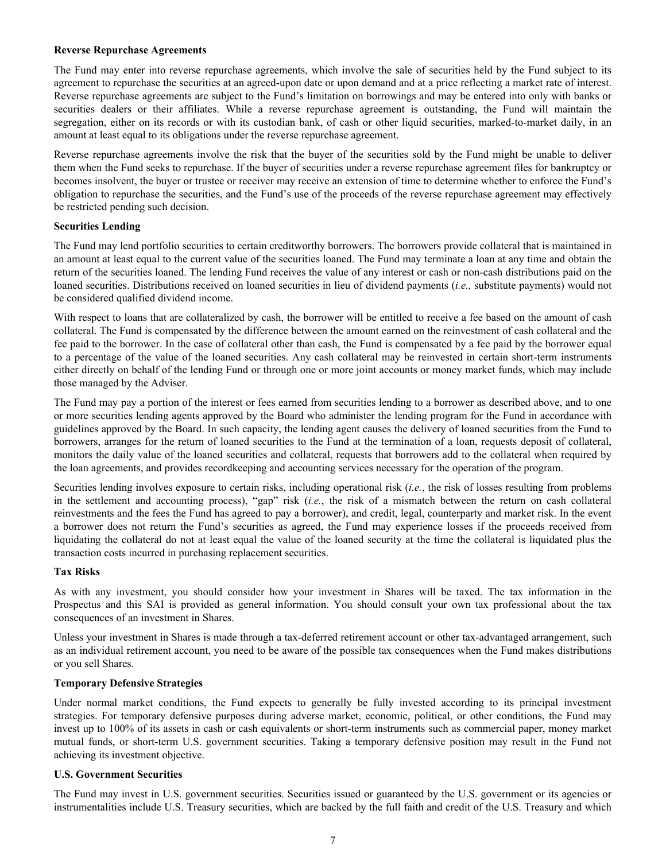#### **Reverse Repurchase Agreements**

The Fund may enter into reverse repurchase agreements, which involve the sale of securities held by the Fund subject to its agreement to repurchase the securities at an agreed-upon date or upon demand and at a price reflecting a market rate of interest. Reverse repurchase agreements are subject to the Fund's limitation on borrowings and may be entered into only with banks or securities dealers or their affiliates. While a reverse repurchase agreement is outstanding, the Fund will maintain the segregation, either on its records or with its custodian bank, of cash or other liquid securities, marked-to-market daily, in an amount at least equal to its obligations under the reverse repurchase agreement.

Reverse repurchase agreements involve the risk that the buyer of the securities sold by the Fund might be unable to deliver them when the Fund seeks to repurchase. If the buyer of securities under a reverse repurchase agreement files for bankruptcy or becomes insolvent, the buyer or trustee or receiver may receive an extension of time to determine whether to enforce the Fund's obligation to repurchase the securities, and the Fund's use of the proceeds of the reverse repurchase agreement may effectively be restricted pending such decision.

#### **Securities Lending**

The Fund may lend portfolio securities to certain creditworthy borrowers. The borrowers provide collateral that is maintained in an amount at least equal to the current value of the securities loaned. The Fund may terminate a loan at any time and obtain the return of the securities loaned. The lending Fund receives the value of any interest or cash or non-cash distributions paid on the loaned securities. Distributions received on loaned securities in lieu of dividend payments (*i.e.,* substitute payments) would not be considered qualified dividend income.

With respect to loans that are collateralized by cash, the borrower will be entitled to receive a fee based on the amount of cash collateral. The Fund is compensated by the difference between the amount earned on the reinvestment of cash collateral and the fee paid to the borrower. In the case of collateral other than cash, the Fund is compensated by a fee paid by the borrower equal to a percentage of the value of the loaned securities. Any cash collateral may be reinvested in certain short-term instruments either directly on behalf of the lending Fund or through one or more joint accounts or money market funds, which may include those managed by the Adviser.

The Fund may pay a portion of the interest or fees earned from securities lending to a borrower as described above, and to one or more securities lending agents approved by the Board who administer the lending program for the Fund in accordance with guidelines approved by the Board. In such capacity, the lending agent causes the delivery of loaned securities from the Fund to borrowers, arranges for the return of loaned securities to the Fund at the termination of a loan, requests deposit of collateral, monitors the daily value of the loaned securities and collateral, requests that borrowers add to the collateral when required by the loan agreements, and provides recordkeeping and accounting services necessary for the operation of the program.

Securities lending involves exposure to certain risks, including operational risk (*i.e.*, the risk of losses resulting from problems in the settlement and accounting process), "gap" risk (*i.e.*, the risk of a mismatch between the return on cash collateral reinvestments and the fees the Fund has agreed to pay a borrower), and credit, legal, counterparty and market risk. In the event a borrower does not return the Fund's securities as agreed, the Fund may experience losses if the proceeds received from liquidating the collateral do not at least equal the value of the loaned security at the time the collateral is liquidated plus the transaction costs incurred in purchasing replacement securities.

## **Tax Risks**

As with any investment, you should consider how your investment in Shares will be taxed. The tax information in the Prospectus and this SAI is provided as general information. You should consult your own tax professional about the tax consequences of an investment in Shares.

Unless your investment in Shares is made through a tax-deferred retirement account or other tax-advantaged arrangement, such as an individual retirement account, you need to be aware of the possible tax consequences when the Fund makes distributions or you sell Shares.

#### **Temporary Defensive Strategies**

Under normal market conditions, the Fund expects to generally be fully invested according to its principal investment strategies. For temporary defensive purposes during adverse market, economic, political, or other conditions, the Fund may invest up to 100% of its assets in cash or cash equivalents or short-term instruments such as commercial paper, money market mutual funds, or short-term U.S. government securities. Taking a temporary defensive position may result in the Fund not achieving its investment objective.

#### **U.S. Government Securities**

The Fund may invest in U.S. government securities. Securities issued or guaranteed by the U.S. government or its agencies or instrumentalities include U.S. Treasury securities, which are backed by the full faith and credit of the U.S. Treasury and which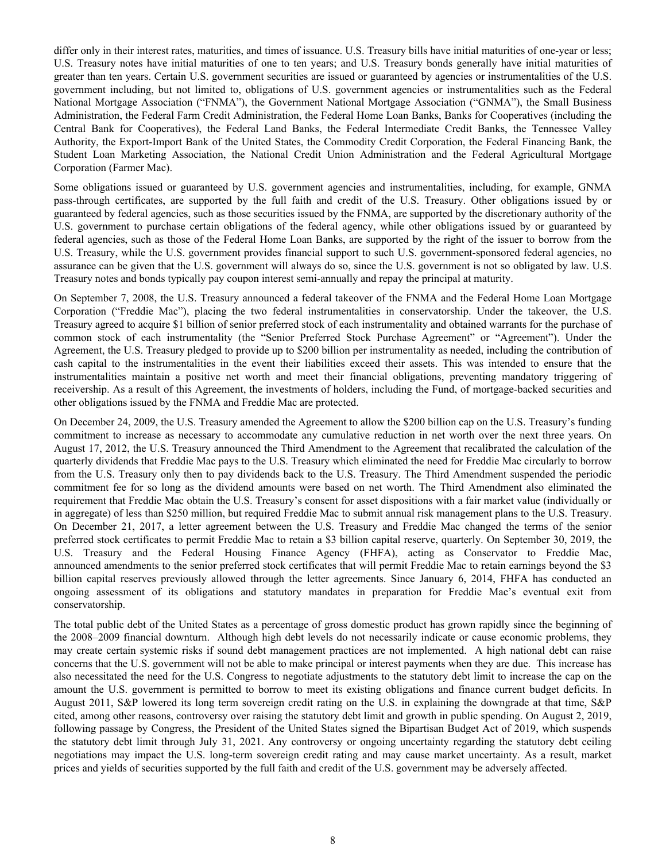differ only in their interest rates, maturities, and times of issuance. U.S. Treasury bills have initial maturities of one-year or less; U.S. Treasury notes have initial maturities of one to ten years; and U.S. Treasury bonds generally have initial maturities of greater than ten years. Certain U.S. government securities are issued or guaranteed by agencies or instrumentalities of the U.S. government including, but not limited to, obligations of U.S. government agencies or instrumentalities such as the Federal National Mortgage Association ("FNMA"), the Government National Mortgage Association ("GNMA"), the Small Business Administration, the Federal Farm Credit Administration, the Federal Home Loan Banks, Banks for Cooperatives (including the Central Bank for Cooperatives), the Federal Land Banks, the Federal Intermediate Credit Banks, the Tennessee Valley Authority, the Export-Import Bank of the United States, the Commodity Credit Corporation, the Federal Financing Bank, the Student Loan Marketing Association, the National Credit Union Administration and the Federal Agricultural Mortgage Corporation (Farmer Mac).

Some obligations issued or guaranteed by U.S. government agencies and instrumentalities, including, for example, GNMA pass-through certificates, are supported by the full faith and credit of the U.S. Treasury. Other obligations issued by or guaranteed by federal agencies, such as those securities issued by the FNMA, are supported by the discretionary authority of the U.S. government to purchase certain obligations of the federal agency, while other obligations issued by or guaranteed by federal agencies, such as those of the Federal Home Loan Banks, are supported by the right of the issuer to borrow from the U.S. Treasury, while the U.S. government provides financial support to such U.S. government-sponsored federal agencies, no assurance can be given that the U.S. government will always do so, since the U.S. government is not so obligated by law. U.S. Treasury notes and bonds typically pay coupon interest semi-annually and repay the principal at maturity.

On September 7, 2008, the U.S. Treasury announced a federal takeover of the FNMA and the Federal Home Loan Mortgage Corporation ("Freddie Mac"), placing the two federal instrumentalities in conservatorship. Under the takeover, the U.S. Treasury agreed to acquire \$1 billion of senior preferred stock of each instrumentality and obtained warrants for the purchase of common stock of each instrumentality (the "Senior Preferred Stock Purchase Agreement" or "Agreement"). Under the Agreement, the U.S. Treasury pledged to provide up to \$200 billion per instrumentality as needed, including the contribution of cash capital to the instrumentalities in the event their liabilities exceed their assets. This was intended to ensure that the instrumentalities maintain a positive net worth and meet their financial obligations, preventing mandatory triggering of receivership. As a result of this Agreement, the investments of holders, including the Fund, of mortgage-backed securities and other obligations issued by the FNMA and Freddie Mac are protected.

On December 24, 2009, the U.S. Treasury amended the Agreement to allow the \$200 billion cap on the U.S. Treasury's funding commitment to increase as necessary to accommodate any cumulative reduction in net worth over the next three years. On August 17, 2012, the U.S. Treasury announced the Third Amendment to the Agreement that recalibrated the calculation of the quarterly dividends that Freddie Mac pays to the U.S. Treasury which eliminated the need for Freddie Mac circularly to borrow from the U.S. Treasury only then to pay dividends back to the U.S. Treasury. The Third Amendment suspended the periodic commitment fee for so long as the dividend amounts were based on net worth. The Third Amendment also eliminated the requirement that Freddie Mac obtain the U.S. Treasury's consent for asset dispositions with a fair market value (individually or in aggregate) of less than \$250 million, but required Freddie Mac to submit annual risk management plans to the U.S. Treasury. On December 21, 2017, a letter agreement between the U.S. Treasury and Freddie Mac changed the terms of the senior preferred stock certificates to permit Freddie Mac to retain a \$3 billion capital reserve, quarterly. On September 30, 2019, the U.S. Treasury and the Federal Housing Finance Agency (FHFA), acting as Conservator to Freddie Mac, announced amendments to the senior preferred stock certificates that will permit Freddie Mac to retain earnings beyond the \$3 billion capital reserves previously allowed through the letter agreements. Since January 6, 2014, FHFA has conducted an ongoing assessment of its obligations and statutory mandates in preparation for Freddie Mac's eventual exit from conservatorship.

The total public debt of the United States as a percentage of gross domestic product has grown rapidly since the beginning of the 2008–2009 financial downturn. Although high debt levels do not necessarily indicate or cause economic problems, they may create certain systemic risks if sound debt management practices are not implemented. A high national debt can raise concerns that the U.S. government will not be able to make principal or interest payments when they are due. This increase has also necessitated the need for the U.S. Congress to negotiate adjustments to the statutory debt limit to increase the cap on the amount the U.S. government is permitted to borrow to meet its existing obligations and finance current budget deficits. In August 2011, S&P lowered its long term sovereign credit rating on the U.S. in explaining the downgrade at that time, S&P cited, among other reasons, controversy over raising the statutory debt limit and growth in public spending. On August 2, 2019, following passage by Congress, the President of the United States signed the Bipartisan Budget Act of 2019, which suspends the statutory debt limit through July 31, 2021. Any controversy or ongoing uncertainty regarding the statutory debt ceiling negotiations may impact the U.S. long-term sovereign credit rating and may cause market uncertainty. As a result, market prices and yields of securities supported by the full faith and credit of the U.S. government may be adversely affected.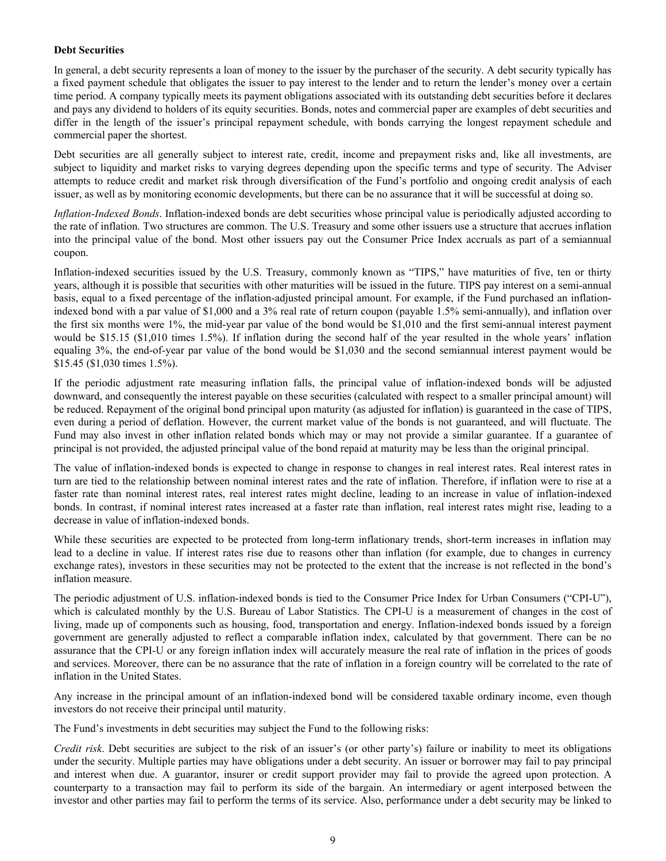## **Debt Securities**

In general, a debt security represents a loan of money to the issuer by the purchaser of the security. A debt security typically has a fixed payment schedule that obligates the issuer to pay interest to the lender and to return the lender's money over a certain time period. A company typically meets its payment obligations associated with its outstanding debt securities before it declares and pays any dividend to holders of its equity securities. Bonds, notes and commercial paper are examples of debt securities and differ in the length of the issuer's principal repayment schedule, with bonds carrying the longest repayment schedule and commercial paper the shortest.

Debt securities are all generally subject to interest rate, credit, income and prepayment risks and, like all investments, are subject to liquidity and market risks to varying degrees depending upon the specific terms and type of security. The Adviser attempts to reduce credit and market risk through diversification of the Fund's portfolio and ongoing credit analysis of each issuer, as well as by monitoring economic developments, but there can be no assurance that it will be successful at doing so.

*Inflation-Indexed Bonds*. Inflation-indexed bonds are debt securities whose principal value is periodically adjusted according to the rate of inflation. Two structures are common. The U.S. Treasury and some other issuers use a structure that accrues inflation into the principal value of the bond. Most other issuers pay out the Consumer Price Index accruals as part of a semiannual coupon.

Inflation-indexed securities issued by the U.S. Treasury, commonly known as "TIPS," have maturities of five, ten or thirty years, although it is possible that securities with other maturities will be issued in the future. TIPS pay interest on a semi-annual basis, equal to a fixed percentage of the inflation-adjusted principal amount. For example, if the Fund purchased an inflationindexed bond with a par value of \$1,000 and a 3% real rate of return coupon (payable 1.5% semi-annually), and inflation over the first six months were 1%, the mid-year par value of the bond would be \$1,010 and the first semi-annual interest payment would be \$15.15 (\$1,010 times 1.5%). If inflation during the second half of the year resulted in the whole years' inflation equaling 3%, the end-of-year par value of the bond would be \$1,030 and the second semiannual interest payment would be \$15.45 (\$1,030 times 1.5%).

If the periodic adjustment rate measuring inflation falls, the principal value of inflation-indexed bonds will be adjusted downward, and consequently the interest payable on these securities (calculated with respect to a smaller principal amount) will be reduced. Repayment of the original bond principal upon maturity (as adjusted for inflation) is guaranteed in the case of TIPS, even during a period of deflation. However, the current market value of the bonds is not guaranteed, and will fluctuate. The Fund may also invest in other inflation related bonds which may or may not provide a similar guarantee. If a guarantee of principal is not provided, the adjusted principal value of the bond repaid at maturity may be less than the original principal.

The value of inflation-indexed bonds is expected to change in response to changes in real interest rates. Real interest rates in turn are tied to the relationship between nominal interest rates and the rate of inflation. Therefore, if inflation were to rise at a faster rate than nominal interest rates, real interest rates might decline, leading to an increase in value of inflation-indexed bonds. In contrast, if nominal interest rates increased at a faster rate than inflation, real interest rates might rise, leading to a decrease in value of inflation-indexed bonds.

While these securities are expected to be protected from long-term inflationary trends, short-term increases in inflation may lead to a decline in value. If interest rates rise due to reasons other than inflation (for example, due to changes in currency exchange rates), investors in these securities may not be protected to the extent that the increase is not reflected in the bond's inflation measure.

The periodic adjustment of U.S. inflation-indexed bonds is tied to the Consumer Price Index for Urban Consumers ("CPI-U"), which is calculated monthly by the U.S. Bureau of Labor Statistics. The CPI-U is a measurement of changes in the cost of living, made up of components such as housing, food, transportation and energy. Inflation-indexed bonds issued by a foreign government are generally adjusted to reflect a comparable inflation index, calculated by that government. There can be no assurance that the CPI-U or any foreign inflation index will accurately measure the real rate of inflation in the prices of goods and services. Moreover, there can be no assurance that the rate of inflation in a foreign country will be correlated to the rate of inflation in the United States.

Any increase in the principal amount of an inflation-indexed bond will be considered taxable ordinary income, even though investors do not receive their principal until maturity.

The Fund's investments in debt securities may subject the Fund to the following risks:

*Credit risk*. Debt securities are subject to the risk of an issuer's (or other party's) failure or inability to meet its obligations under the security. Multiple parties may have obligations under a debt security. An issuer or borrower may fail to pay principal and interest when due. A guarantor, insurer or credit support provider may fail to provide the agreed upon protection. A counterparty to a transaction may fail to perform its side of the bargain. An intermediary or agent interposed between the investor and other parties may fail to perform the terms of its service. Also, performance under a debt security may be linked to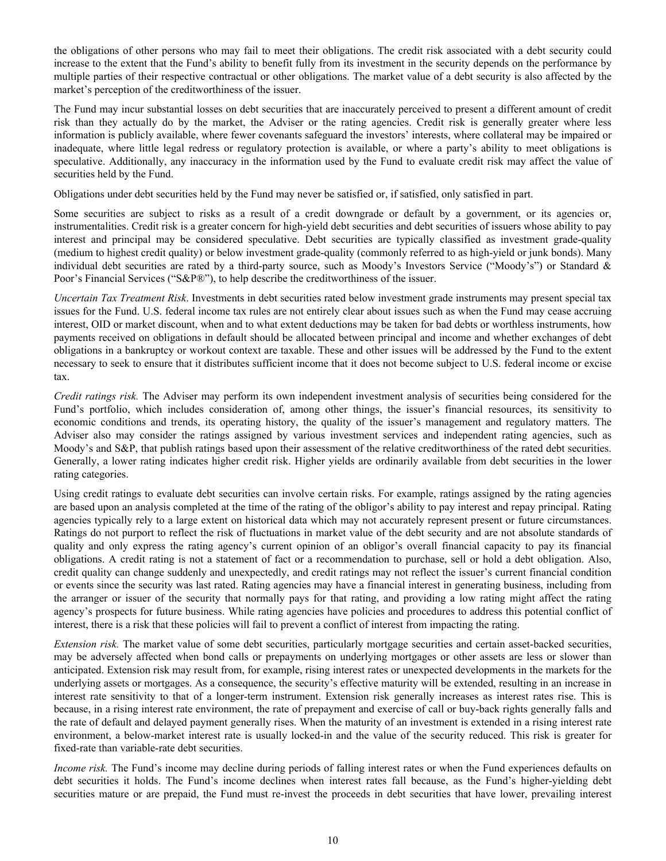the obligations of other persons who may fail to meet their obligations. The credit risk associated with a debt security could increase to the extent that the Fund's ability to benefit fully from its investment in the security depends on the performance by multiple parties of their respective contractual or other obligations. The market value of a debt security is also affected by the market's perception of the creditworthiness of the issuer.

The Fund may incur substantial losses on debt securities that are inaccurately perceived to present a different amount of credit risk than they actually do by the market, the Adviser or the rating agencies. Credit risk is generally greater where less information is publicly available, where fewer covenants safeguard the investors' interests, where collateral may be impaired or inadequate, where little legal redress or regulatory protection is available, or where a party's ability to meet obligations is speculative. Additionally, any inaccuracy in the information used by the Fund to evaluate credit risk may affect the value of securities held by the Fund.

Obligations under debt securities held by the Fund may never be satisfied or, if satisfied, only satisfied in part.

Some securities are subject to risks as a result of a credit downgrade or default by a government, or its agencies or, instrumentalities. Credit risk is a greater concern for high-yield debt securities and debt securities of issuers whose ability to pay interest and principal may be considered speculative. Debt securities are typically classified as investment grade-quality (medium to highest credit quality) or below investment grade-quality (commonly referred to as high-yield or junk bonds). Many individual debt securities are rated by a third-party source, such as Moody's Investors Service ("Moody's") or Standard & Poor's Financial Services ("S&P®"), to help describe the creditworthiness of the issuer.

*Uncertain Tax Treatment Risk*. Investments in debt securities rated below investment grade instruments may present special tax issues for the Fund. U.S. federal income tax rules are not entirely clear about issues such as when the Fund may cease accruing interest, OID or market discount, when and to what extent deductions may be taken for bad debts or worthless instruments, how payments received on obligations in default should be allocated between principal and income and whether exchanges of debt obligations in a bankruptcy or workout context are taxable. These and other issues will be addressed by the Fund to the extent necessary to seek to ensure that it distributes sufficient income that it does not become subject to U.S. federal income or excise tax.

*Credit ratings risk.* The Adviser may perform its own independent investment analysis of securities being considered for the Fund's portfolio, which includes consideration of, among other things, the issuer's financial resources, its sensitivity to economic conditions and trends, its operating history, the quality of the issuer's management and regulatory matters. The Adviser also may consider the ratings assigned by various investment services and independent rating agencies, such as Moody's and S&P, that publish ratings based upon their assessment of the relative creditworthiness of the rated debt securities. Generally, a lower rating indicates higher credit risk. Higher yields are ordinarily available from debt securities in the lower rating categories.

Using credit ratings to evaluate debt securities can involve certain risks. For example, ratings assigned by the rating agencies are based upon an analysis completed at the time of the rating of the obligor's ability to pay interest and repay principal. Rating agencies typically rely to a large extent on historical data which may not accurately represent present or future circumstances. Ratings do not purport to reflect the risk of fluctuations in market value of the debt security and are not absolute standards of quality and only express the rating agency's current opinion of an obligor's overall financial capacity to pay its financial obligations. A credit rating is not a statement of fact or a recommendation to purchase, sell or hold a debt obligation. Also, credit quality can change suddenly and unexpectedly, and credit ratings may not reflect the issuer's current financial condition or events since the security was last rated. Rating agencies may have a financial interest in generating business, including from the arranger or issuer of the security that normally pays for that rating, and providing a low rating might affect the rating agency's prospects for future business. While rating agencies have policies and procedures to address this potential conflict of interest, there is a risk that these policies will fail to prevent a conflict of interest from impacting the rating.

*Extension risk.* The market value of some debt securities, particularly mortgage securities and certain asset-backed securities, may be adversely affected when bond calls or prepayments on underlying mortgages or other assets are less or slower than anticipated. Extension risk may result from, for example, rising interest rates or unexpected developments in the markets for the underlying assets or mortgages. As a consequence, the security's effective maturity will be extended, resulting in an increase in interest rate sensitivity to that of a longer-term instrument. Extension risk generally increases as interest rates rise. This is because, in a rising interest rate environment, the rate of prepayment and exercise of call or buy-back rights generally falls and the rate of default and delayed payment generally rises. When the maturity of an investment is extended in a rising interest rate environment, a below-market interest rate is usually locked-in and the value of the security reduced. This risk is greater for fixed-rate than variable-rate debt securities.

*Income risk.* The Fund's income may decline during periods of falling interest rates or when the Fund experiences defaults on debt securities it holds. The Fund's income declines when interest rates fall because, as the Fund's higher-yielding debt securities mature or are prepaid, the Fund must re-invest the proceeds in debt securities that have lower, prevailing interest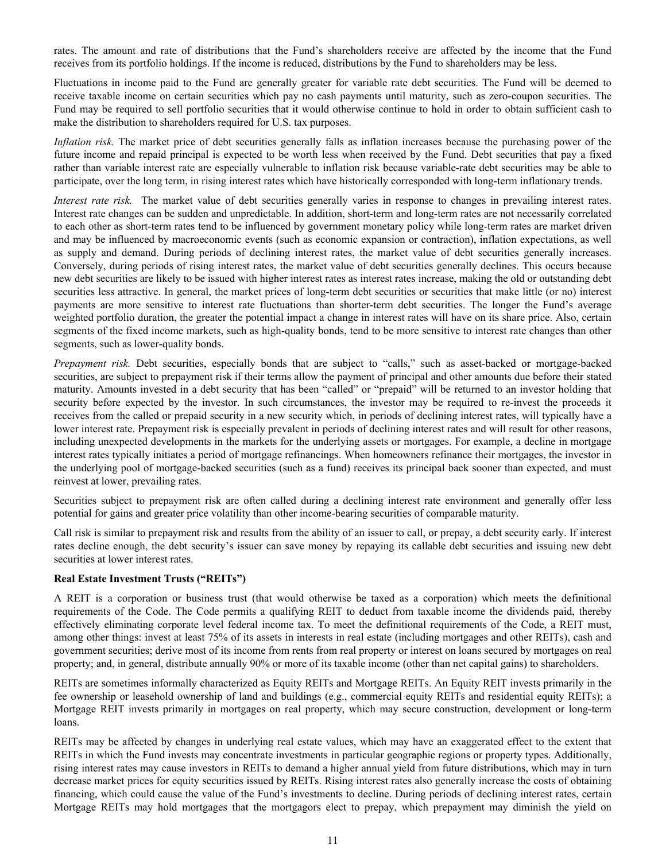rates. The amount and rate of distributions that the Fund's shareholders receive are affected by the income that the Fund receives from its portfolio holdings. If the income is reduced, distributions by the Fund to shareholders may be less.

Fluctuations in income paid to the Fund are generally greater for variable rate debt securities. The Fund will be deemed to receive taxable income on certain securities which pay no cash payments until maturity, such as zero-coupon securities. The Fund may be required to sell portfolio securities that it would otherwise continue to hold in order to obtain sufficient cash to make the distribution to shareholders required for U.S. tax purposes.

*Inflation risk.* The market price of debt securities generally falls as inflation increases because the purchasing power of the future income and repaid principal is expected to be worth less when received by the Fund. Debt securities that pay a fixed rather than variable interest rate are especially vulnerable to inflation risk because variable-rate debt securities may be able to participate, over the long term, in rising interest rates which have historically corresponded with long-term inflationary trends.

*Interest rate risk.* The market value of debt securities generally varies in response to changes in prevailing interest rates. Interest rate changes can be sudden and unpredictable. In addition, short-term and long-term rates are not necessarily correlated to each other as short-term rates tend to be influenced by government monetary policy while long-term rates are market driven and may be influenced by macroeconomic events (such as economic expansion or contraction), inflation expectations, as well as supply and demand. During periods of declining interest rates, the market value of debt securities generally increases. Conversely, during periods of rising interest rates, the market value of debt securities generally declines. This occurs because new debt securities are likely to be issued with higher interest rates as interest rates increase, making the old or outstanding debt securities less attractive. In general, the market prices of long-term debt securities or securities that make little (or no) interest payments are more sensitive to interest rate fluctuations than shorter-term debt securities. The longer the Fund's average weighted portfolio duration, the greater the potential impact a change in interest rates will have on its share price. Also, certain segments of the fixed income markets, such as high-quality bonds, tend to be more sensitive to interest rate changes than other segments, such as lower-quality bonds.

*Prepayment risk.* Debt securities, especially bonds that are subject to "calls," such as asset-backed or mortgage-backed securities, are subject to prepayment risk if their terms allow the payment of principal and other amounts due before their stated maturity. Amounts invested in a debt security that has been "called" or "prepaid" will be returned to an investor holding that security before expected by the investor. In such circumstances, the investor may be required to re-invest the proceeds it receives from the called or prepaid security in a new security which, in periods of declining interest rates, will typically have a lower interest rate. Prepayment risk is especially prevalent in periods of declining interest rates and will result for other reasons, including unexpected developments in the markets for the underlying assets or mortgages. For example, a decline in mortgage interest rates typically initiates a period of mortgage refinancings. When homeowners refinance their mortgages, the investor in the underlying pool of mortgage-backed securities (such as a fund) receives its principal back sooner than expected, and must reinvest at lower, prevailing rates.

Securities subject to prepayment risk are often called during a declining interest rate environment and generally offer less potential for gains and greater price volatility than other income-bearing securities of comparable maturity.

Call risk is similar to prepayment risk and results from the ability of an issuer to call, or prepay, a debt security early. If interest rates decline enough, the debt security's issuer can save money by repaying its callable debt securities and issuing new debt securities at lower interest rates.

## **Real Estate Investment Trusts ("REITs")**

A REIT is a corporation or business trust (that would otherwise be taxed as a corporation) which meets the definitional requirements of the Code. The Code permits a qualifying REIT to deduct from taxable income the dividends paid, thereby effectively eliminating corporate level federal income tax. To meet the definitional requirements of the Code, a REIT must, among other things: invest at least 75% of its assets in interests in real estate (including mortgages and other REITs), cash and government securities; derive most of its income from rents from real property or interest on loans secured by mortgages on real property; and, in general, distribute annually 90% or more of its taxable income (other than net capital gains) to shareholders.

REITs are sometimes informally characterized as Equity REITs and Mortgage REITs. An Equity REIT invests primarily in the fee ownership or leasehold ownership of land and buildings (e.g., commercial equity REITs and residential equity REITs); a Mortgage REIT invests primarily in mortgages on real property, which may secure construction, development or long-term loans.

REITs may be affected by changes in underlying real estate values, which may have an exaggerated effect to the extent that REITs in which the Fund invests may concentrate investments in particular geographic regions or property types. Additionally, rising interest rates may cause investors in REITs to demand a higher annual yield from future distributions, which may in turn decrease market prices for equity securities issued by REITs. Rising interest rates also generally increase the costs of obtaining financing, which could cause the value of the Fund's investments to decline. During periods of declining interest rates, certain Mortgage REITs may hold mortgages that the mortgagors elect to prepay, which prepayment may diminish the yield on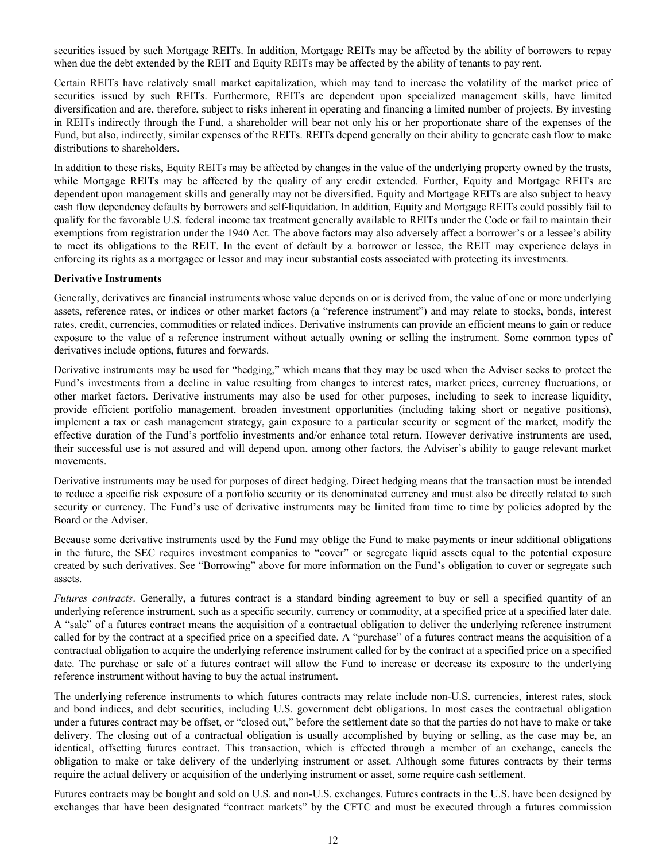securities issued by such Mortgage REITs. In addition, Mortgage REITs may be affected by the ability of borrowers to repay when due the debt extended by the REIT and Equity REITs may be affected by the ability of tenants to pay rent.

Certain REITs have relatively small market capitalization, which may tend to increase the volatility of the market price of securities issued by such REITs. Furthermore, REITs are dependent upon specialized management skills, have limited diversification and are, therefore, subject to risks inherent in operating and financing a limited number of projects. By investing in REITs indirectly through the Fund, a shareholder will bear not only his or her proportionate share of the expenses of the Fund, but also, indirectly, similar expenses of the REITs. REITs depend generally on their ability to generate cash flow to make distributions to shareholders.

In addition to these risks, Equity REITs may be affected by changes in the value of the underlying property owned by the trusts, while Mortgage REITs may be affected by the quality of any credit extended. Further, Equity and Mortgage REITs are dependent upon management skills and generally may not be diversified. Equity and Mortgage REITs are also subject to heavy cash flow dependency defaults by borrowers and self-liquidation. In addition, Equity and Mortgage REITs could possibly fail to qualify for the favorable U.S. federal income tax treatment generally available to REITs under the Code or fail to maintain their exemptions from registration under the 1940 Act. The above factors may also adversely affect a borrower's or a lessee's ability to meet its obligations to the REIT. In the event of default by a borrower or lessee, the REIT may experience delays in enforcing its rights as a mortgagee or lessor and may incur substantial costs associated with protecting its investments.

#### **Derivative Instruments**

Generally, derivatives are financial instruments whose value depends on or is derived from, the value of one or more underlying assets, reference rates, or indices or other market factors (a "reference instrument") and may relate to stocks, bonds, interest rates, credit, currencies, commodities or related indices. Derivative instruments can provide an efficient means to gain or reduce exposure to the value of a reference instrument without actually owning or selling the instrument. Some common types of derivatives include options, futures and forwards.

Derivative instruments may be used for "hedging," which means that they may be used when the Adviser seeks to protect the Fund's investments from a decline in value resulting from changes to interest rates, market prices, currency fluctuations, or other market factors. Derivative instruments may also be used for other purposes, including to seek to increase liquidity, provide efficient portfolio management, broaden investment opportunities (including taking short or negative positions), implement a tax or cash management strategy, gain exposure to a particular security or segment of the market, modify the effective duration of the Fund's portfolio investments and/or enhance total return. However derivative instruments are used, their successful use is not assured and will depend upon, among other factors, the Adviser's ability to gauge relevant market movements.

Derivative instruments may be used for purposes of direct hedging. Direct hedging means that the transaction must be intended to reduce a specific risk exposure of a portfolio security or its denominated currency and must also be directly related to such security or currency. The Fund's use of derivative instruments may be limited from time to time by policies adopted by the Board or the Adviser.

Because some derivative instruments used by the Fund may oblige the Fund to make payments or incur additional obligations in the future, the SEC requires investment companies to "cover" or segregate liquid assets equal to the potential exposure created by such derivatives. See "Borrowing" above for more information on the Fund's obligation to cover or segregate such assets.

*Futures contracts*. Generally, a futures contract is a standard binding agreement to buy or sell a specified quantity of an underlying reference instrument, such as a specific security, currency or commodity, at a specified price at a specified later date. A "sale" of a futures contract means the acquisition of a contractual obligation to deliver the underlying reference instrument called for by the contract at a specified price on a specified date. A "purchase" of a futures contract means the acquisition of a contractual obligation to acquire the underlying reference instrument called for by the contract at a specified price on a specified date. The purchase or sale of a futures contract will allow the Fund to increase or decrease its exposure to the underlying reference instrument without having to buy the actual instrument.

The underlying reference instruments to which futures contracts may relate include non-U.S. currencies, interest rates, stock and bond indices, and debt securities, including U.S. government debt obligations. In most cases the contractual obligation under a futures contract may be offset, or "closed out," before the settlement date so that the parties do not have to make or take delivery. The closing out of a contractual obligation is usually accomplished by buying or selling, as the case may be, an identical, offsetting futures contract. This transaction, which is effected through a member of an exchange, cancels the obligation to make or take delivery of the underlying instrument or asset. Although some futures contracts by their terms require the actual delivery or acquisition of the underlying instrument or asset, some require cash settlement.

Futures contracts may be bought and sold on U.S. and non-U.S. exchanges. Futures contracts in the U.S. have been designed by exchanges that have been designated "contract markets" by the CFTC and must be executed through a futures commission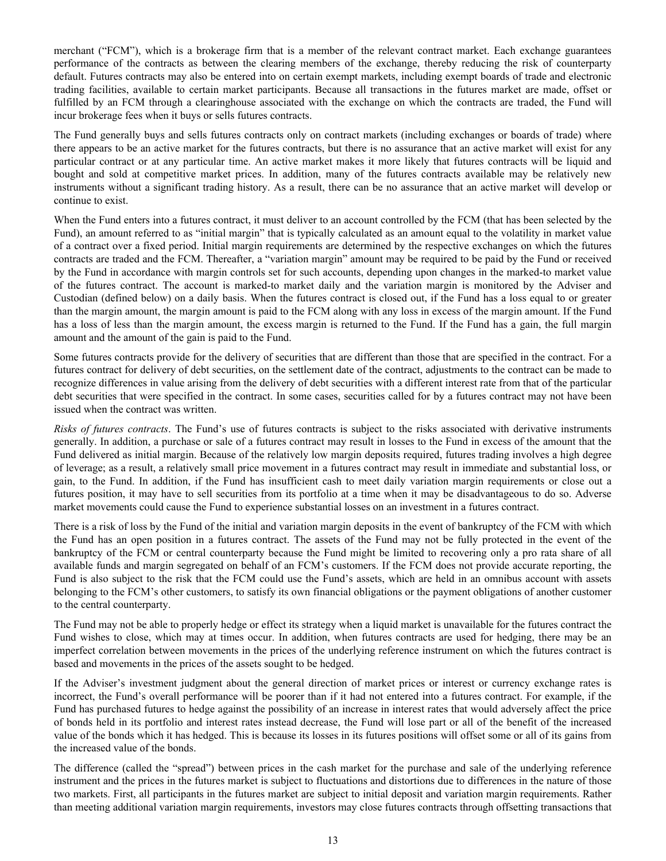merchant ("FCM"), which is a brokerage firm that is a member of the relevant contract market. Each exchange guarantees performance of the contracts as between the clearing members of the exchange, thereby reducing the risk of counterparty default. Futures contracts may also be entered into on certain exempt markets, including exempt boards of trade and electronic trading facilities, available to certain market participants. Because all transactions in the futures market are made, offset or fulfilled by an FCM through a clearinghouse associated with the exchange on which the contracts are traded, the Fund will incur brokerage fees when it buys or sells futures contracts.

The Fund generally buys and sells futures contracts only on contract markets (including exchanges or boards of trade) where there appears to be an active market for the futures contracts, but there is no assurance that an active market will exist for any particular contract or at any particular time. An active market makes it more likely that futures contracts will be liquid and bought and sold at competitive market prices. In addition, many of the futures contracts available may be relatively new instruments without a significant trading history. As a result, there can be no assurance that an active market will develop or continue to exist.

When the Fund enters into a futures contract, it must deliver to an account controlled by the FCM (that has been selected by the Fund), an amount referred to as "initial margin" that is typically calculated as an amount equal to the volatility in market value of a contract over a fixed period. Initial margin requirements are determined by the respective exchanges on which the futures contracts are traded and the FCM. Thereafter, a "variation margin" amount may be required to be paid by the Fund or received by the Fund in accordance with margin controls set for such accounts, depending upon changes in the marked-to market value of the futures contract. The account is marked-to market daily and the variation margin is monitored by the Adviser and Custodian (defined below) on a daily basis. When the futures contract is closed out, if the Fund has a loss equal to or greater than the margin amount, the margin amount is paid to the FCM along with any loss in excess of the margin amount. If the Fund has a loss of less than the margin amount, the excess margin is returned to the Fund. If the Fund has a gain, the full margin amount and the amount of the gain is paid to the Fund.

Some futures contracts provide for the delivery of securities that are different than those that are specified in the contract. For a futures contract for delivery of debt securities, on the settlement date of the contract, adjustments to the contract can be made to recognize differences in value arising from the delivery of debt securities with a different interest rate from that of the particular debt securities that were specified in the contract. In some cases, securities called for by a futures contract may not have been issued when the contract was written.

*Risks of futures contracts*. The Fund's use of futures contracts is subject to the risks associated with derivative instruments generally. In addition, a purchase or sale of a futures contract may result in losses to the Fund in excess of the amount that the Fund delivered as initial margin. Because of the relatively low margin deposits required, futures trading involves a high degree of leverage; as a result, a relatively small price movement in a futures contract may result in immediate and substantial loss, or gain, to the Fund. In addition, if the Fund has insufficient cash to meet daily variation margin requirements or close out a futures position, it may have to sell securities from its portfolio at a time when it may be disadvantageous to do so. Adverse market movements could cause the Fund to experience substantial losses on an investment in a futures contract.

There is a risk of loss by the Fund of the initial and variation margin deposits in the event of bankruptcy of the FCM with which the Fund has an open position in a futures contract. The assets of the Fund may not be fully protected in the event of the bankruptcy of the FCM or central counterparty because the Fund might be limited to recovering only a pro rata share of all available funds and margin segregated on behalf of an FCM's customers. If the FCM does not provide accurate reporting, the Fund is also subject to the risk that the FCM could use the Fund's assets, which are held in an omnibus account with assets belonging to the FCM's other customers, to satisfy its own financial obligations or the payment obligations of another customer to the central counterparty.

The Fund may not be able to properly hedge or effect its strategy when a liquid market is unavailable for the futures contract the Fund wishes to close, which may at times occur. In addition, when futures contracts are used for hedging, there may be an imperfect correlation between movements in the prices of the underlying reference instrument on which the futures contract is based and movements in the prices of the assets sought to be hedged.

If the Adviser's investment judgment about the general direction of market prices or interest or currency exchange rates is incorrect, the Fund's overall performance will be poorer than if it had not entered into a futures contract. For example, if the Fund has purchased futures to hedge against the possibility of an increase in interest rates that would adversely affect the price of bonds held in its portfolio and interest rates instead decrease, the Fund will lose part or all of the benefit of the increased value of the bonds which it has hedged. This is because its losses in its futures positions will offset some or all of its gains from the increased value of the bonds.

The difference (called the "spread") between prices in the cash market for the purchase and sale of the underlying reference instrument and the prices in the futures market is subject to fluctuations and distortions due to differences in the nature of those two markets. First, all participants in the futures market are subject to initial deposit and variation margin requirements. Rather than meeting additional variation margin requirements, investors may close futures contracts through offsetting transactions that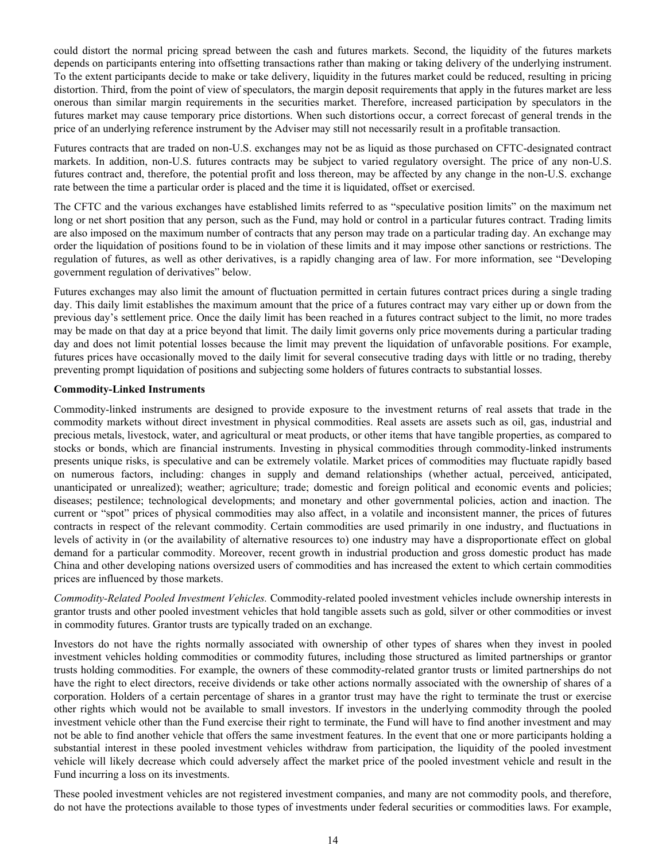could distort the normal pricing spread between the cash and futures markets. Second, the liquidity of the futures markets depends on participants entering into offsetting transactions rather than making or taking delivery of the underlying instrument. To the extent participants decide to make or take delivery, liquidity in the futures market could be reduced, resulting in pricing distortion. Third, from the point of view of speculators, the margin deposit requirements that apply in the futures market are less onerous than similar margin requirements in the securities market. Therefore, increased participation by speculators in the futures market may cause temporary price distortions. When such distortions occur, a correct forecast of general trends in the price of an underlying reference instrument by the Adviser may still not necessarily result in a profitable transaction.

Futures contracts that are traded on non-U.S. exchanges may not be as liquid as those purchased on CFTC-designated contract markets. In addition, non-U.S. futures contracts may be subject to varied regulatory oversight. The price of any non-U.S. futures contract and, therefore, the potential profit and loss thereon, may be affected by any change in the non-U.S. exchange rate between the time a particular order is placed and the time it is liquidated, offset or exercised.

The CFTC and the various exchanges have established limits referred to as "speculative position limits" on the maximum net long or net short position that any person, such as the Fund, may hold or control in a particular futures contract. Trading limits are also imposed on the maximum number of contracts that any person may trade on a particular trading day. An exchange may order the liquidation of positions found to be in violation of these limits and it may impose other sanctions or restrictions. The regulation of futures, as well as other derivatives, is a rapidly changing area of law. For more information, see "Developing government regulation of derivatives" below.

Futures exchanges may also limit the amount of fluctuation permitted in certain futures contract prices during a single trading day. This daily limit establishes the maximum amount that the price of a futures contract may vary either up or down from the previous day's settlement price. Once the daily limit has been reached in a futures contract subject to the limit, no more trades may be made on that day at a price beyond that limit. The daily limit governs only price movements during a particular trading day and does not limit potential losses because the limit may prevent the liquidation of unfavorable positions. For example, futures prices have occasionally moved to the daily limit for several consecutive trading days with little or no trading, thereby preventing prompt liquidation of positions and subjecting some holders of futures contracts to substantial losses.

#### **Commodity-Linked Instruments**

Commodity-linked instruments are designed to provide exposure to the investment returns of real assets that trade in the commodity markets without direct investment in physical commodities. Real assets are assets such as oil, gas, industrial and precious metals, livestock, water, and agricultural or meat products, or other items that have tangible properties, as compared to stocks or bonds, which are financial instruments. Investing in physical commodities through commodity-linked instruments presents unique risks, is speculative and can be extremely volatile. Market prices of commodities may fluctuate rapidly based on numerous factors, including: changes in supply and demand relationships (whether actual, perceived, anticipated, unanticipated or unrealized); weather; agriculture; trade; domestic and foreign political and economic events and policies; diseases; pestilence; technological developments; and monetary and other governmental policies, action and inaction. The current or "spot" prices of physical commodities may also affect, in a volatile and inconsistent manner, the prices of futures contracts in respect of the relevant commodity. Certain commodities are used primarily in one industry, and fluctuations in levels of activity in (or the availability of alternative resources to) one industry may have a disproportionate effect on global demand for a particular commodity. Moreover, recent growth in industrial production and gross domestic product has made China and other developing nations oversized users of commodities and has increased the extent to which certain commodities prices are influenced by those markets.

*Commodity-Related Pooled Investment Vehicles.* Commodity-related pooled investment vehicles include ownership interests in grantor trusts and other pooled investment vehicles that hold tangible assets such as gold, silver or other commodities or invest in commodity futures. Grantor trusts are typically traded on an exchange.

Investors do not have the rights normally associated with ownership of other types of shares when they invest in pooled investment vehicles holding commodities or commodity futures, including those structured as limited partnerships or grantor trusts holding commodities. For example, the owners of these commodity-related grantor trusts or limited partnerships do not have the right to elect directors, receive dividends or take other actions normally associated with the ownership of shares of a corporation. Holders of a certain percentage of shares in a grantor trust may have the right to terminate the trust or exercise other rights which would not be available to small investors. If investors in the underlying commodity through the pooled investment vehicle other than the Fund exercise their right to terminate, the Fund will have to find another investment and may not be able to find another vehicle that offers the same investment features. In the event that one or more participants holding a substantial interest in these pooled investment vehicles withdraw from participation, the liquidity of the pooled investment vehicle will likely decrease which could adversely affect the market price of the pooled investment vehicle and result in the Fund incurring a loss on its investments.

These pooled investment vehicles are not registered investment companies, and many are not commodity pools, and therefore, do not have the protections available to those types of investments under federal securities or commodities laws. For example,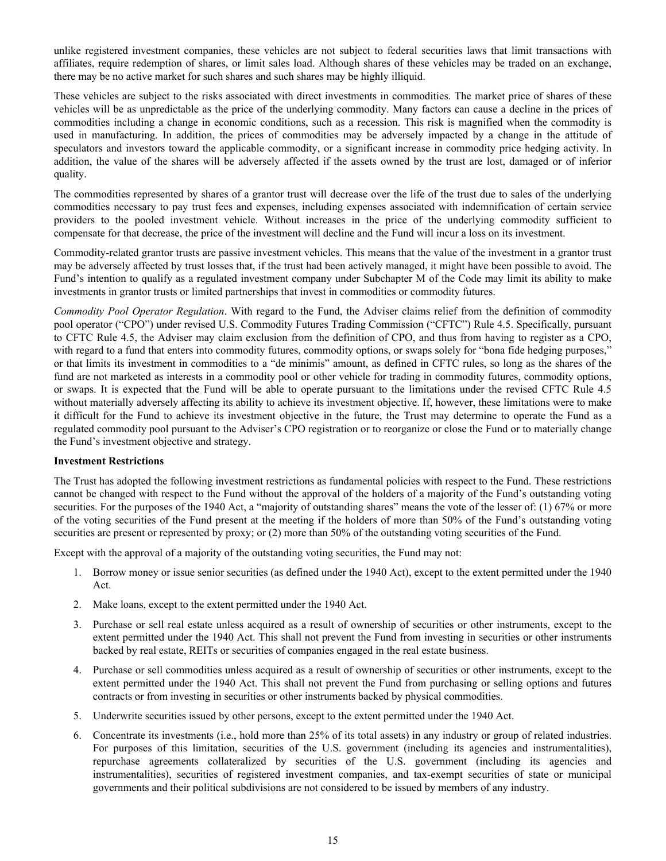<span id="page-16-0"></span>unlike registered investment companies, these vehicles are not subject to federal securities laws that limit transactions with affiliates, require redemption of shares, or limit sales load. Although shares of these vehicles may be traded on an exchange, there may be no active market for such shares and such shares may be highly illiquid.

These vehicles are subject to the risks associated with direct investments in commodities. The market price of shares of these vehicles will be as unpredictable as the price of the underlying commodity. Many factors can cause a decline in the prices of commodities including a change in economic conditions, such as a recession. This risk is magnified when the commodity is used in manufacturing. In addition, the prices of commodities may be adversely impacted by a change in the attitude of speculators and investors toward the applicable commodity, or a significant increase in commodity price hedging activity. In addition, the value of the shares will be adversely affected if the assets owned by the trust are lost, damaged or of inferior quality.

The commodities represented by shares of a grantor trust will decrease over the life of the trust due to sales of the underlying commodities necessary to pay trust fees and expenses, including expenses associated with indemnification of certain service providers to the pooled investment vehicle. Without increases in the price of the underlying commodity sufficient to compensate for that decrease, the price of the investment will decline and the Fund will incur a loss on its investment.

Commodity-related grantor trusts are passive investment vehicles. This means that the value of the investment in a grantor trust may be adversely affected by trust losses that, if the trust had been actively managed, it might have been possible to avoid. The Fund's intention to qualify as a regulated investment company under Subchapter M of the Code may limit its ability to make investments in grantor trusts or limited partnerships that invest in commodities or commodity futures.

*Commodity Pool Operator Regulation*. With regard to the Fund, the Adviser claims relief from the definition of commodity pool operator ("CPO") under revised U.S. Commodity Futures Trading Commission ("CFTC") Rule 4.5. Specifically, pursuant to CFTC Rule 4.5, the Adviser may claim exclusion from the definition of CPO, and thus from having to register as a CPO, with regard to a fund that enters into commodity futures, commodity options, or swaps solely for "bona fide hedging purposes," or that limits its investment in commodities to a "de minimis" amount, as defined in CFTC rules, so long as the shares of the fund are not marketed as interests in a commodity pool or other vehicle for trading in commodity futures, commodity options, or swaps. It is expected that the Fund will be able to operate pursuant to the limitations under the revised CFTC Rule 4.5 without materially adversely affecting its ability to achieve its investment objective. If, however, these limitations were to make it difficult for the Fund to achieve its investment objective in the future, the Trust may determine to operate the Fund as a regulated commodity pool pursuant to the Adviser's CPO registration or to reorganize or close the Fund or to materially change the Fund's investment objective and strategy.

## **Investment Restrictions**

The Trust has adopted the following investment restrictions as fundamental policies with respect to the Fund. These restrictions cannot be changed with respect to the Fund without the approval of the holders of a majority of the Fund's outstanding voting securities. For the purposes of the 1940 Act, a "majority of outstanding shares" means the vote of the lesser of: (1) 67% or more of the voting securities of the Fund present at the meeting if the holders of more than 50% of the Fund's outstanding voting securities are present or represented by proxy; or (2) more than 50% of the outstanding voting securities of the Fund.

Except with the approval of a majority of the outstanding voting securities, the Fund may not:

- 1. Borrow money or issue senior securities (as defined under the 1940 Act), except to the extent permitted under the 1940 Act.
- 2. Make loans, except to the extent permitted under the 1940 Act.
- 3. Purchase or sell real estate unless acquired as a result of ownership of securities or other instruments, except to the extent permitted under the 1940 Act. This shall not prevent the Fund from investing in securities or other instruments backed by real estate, REITs or securities of companies engaged in the real estate business.
- 4. Purchase or sell commodities unless acquired as a result of ownership of securities or other instruments, except to the extent permitted under the 1940 Act. This shall not prevent the Fund from purchasing or selling options and futures contracts or from investing in securities or other instruments backed by physical commodities.
- 5. Underwrite securities issued by other persons, except to the extent permitted under the 1940 Act.
- 6. Concentrate its investments (i.e., hold more than 25% of its total assets) in any industry or group of related industries. For purposes of this limitation, securities of the U.S. government (including its agencies and instrumentalities), repurchase agreements collateralized by securities of the U.S. government (including its agencies and instrumentalities), securities of registered investment companies, and tax-exempt securities of state or municipal governments and their political subdivisions are not considered to be issued by members of any industry.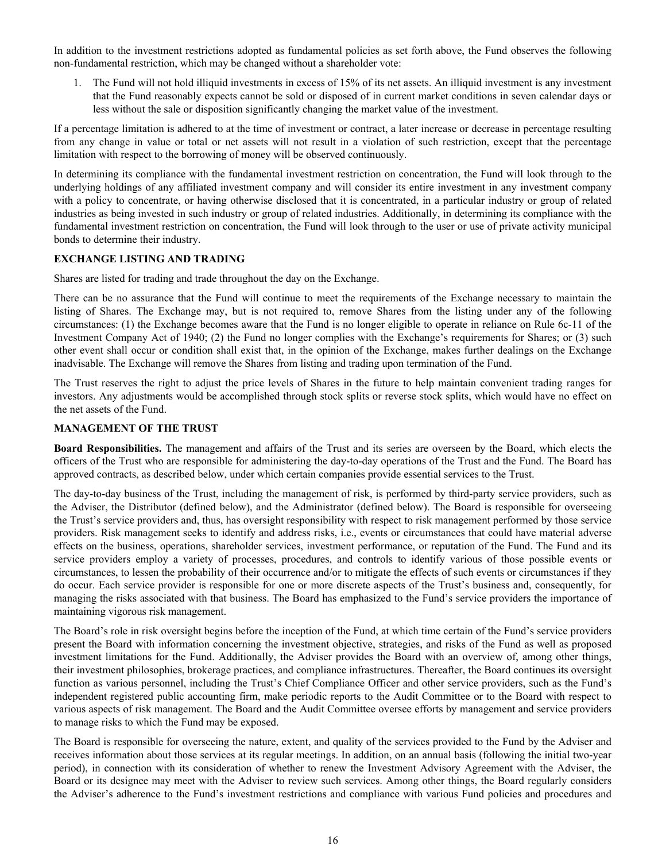<span id="page-17-0"></span>In addition to the investment restrictions adopted as fundamental policies as set forth above, the Fund observes the following non-fundamental restriction, which may be changed without a shareholder vote:

1. The Fund will not hold illiquid investments in excess of 15% of its net assets. An illiquid investment is any investment that the Fund reasonably expects cannot be sold or disposed of in current market conditions in seven calendar days or less without the sale or disposition significantly changing the market value of the investment.

If a percentage limitation is adhered to at the time of investment or contract, a later increase or decrease in percentage resulting from any change in value or total or net assets will not result in a violation of such restriction, except that the percentage limitation with respect to the borrowing of money will be observed continuously.

In determining its compliance with the fundamental investment restriction on concentration, the Fund will look through to the underlying holdings of any affiliated investment company and will consider its entire investment in any investment company with a policy to concentrate, or having otherwise disclosed that it is concentrated, in a particular industry or group of related industries as being invested in such industry or group of related industries. Additionally, in determining its compliance with the fundamental investment restriction on concentration, the Fund will look through to the user or use of private activity municipal bonds to determine their industry.

#### **EXCHANGE LISTING AND TRADING**

Shares are listed for trading and trade throughout the day on the Exchange.

There can be no assurance that the Fund will continue to meet the requirements of the Exchange necessary to maintain the listing of Shares. The Exchange may, but is not required to, remove Shares from the listing under any of the following circumstances: (1) the Exchange becomes aware that the Fund is no longer eligible to operate in reliance on Rule 6c-11 of the Investment Company Act of 1940; (2) the Fund no longer complies with the Exchange's requirements for Shares; or (3) such other event shall occur or condition shall exist that, in the opinion of the Exchange, makes further dealings on the Exchange inadvisable. The Exchange will remove the Shares from listing and trading upon termination of the Fund.

The Trust reserves the right to adjust the price levels of Shares in the future to help maintain convenient trading ranges for investors. Any adjustments would be accomplished through stock splits or reverse stock splits, which would have no effect on the net assets of the Fund.

#### **MANAGEMENT OF THE TRUST**

**Board Responsibilities.** The management and affairs of the Trust and its series are overseen by the Board, which elects the officers of the Trust who are responsible for administering the day-to-day operations of the Trust and the Fund. The Board has approved contracts, as described below, under which certain companies provide essential services to the Trust.

The day-to-day business of the Trust, including the management of risk, is performed by third-party service providers, such as the Adviser, the Distributor (defined below), and the Administrator (defined below). The Board is responsible for overseeing the Trust's service providers and, thus, has oversight responsibility with respect to risk management performed by those service providers. Risk management seeks to identify and address risks, i.e., events or circumstances that could have material adverse effects on the business, operations, shareholder services, investment performance, or reputation of the Fund. The Fund and its service providers employ a variety of processes, procedures, and controls to identify various of those possible events or circumstances, to lessen the probability of their occurrence and/or to mitigate the effects of such events or circumstances if they do occur. Each service provider is responsible for one or more discrete aspects of the Trust's business and, consequently, for managing the risks associated with that business. The Board has emphasized to the Fund's service providers the importance of maintaining vigorous risk management.

The Board's role in risk oversight begins before the inception of the Fund, at which time certain of the Fund's service providers present the Board with information concerning the investment objective, strategies, and risks of the Fund as well as proposed investment limitations for the Fund. Additionally, the Adviser provides the Board with an overview of, among other things, their investment philosophies, brokerage practices, and compliance infrastructures. Thereafter, the Board continues its oversight function as various personnel, including the Trust's Chief Compliance Officer and other service providers, such as the Fund's independent registered public accounting firm, make periodic reports to the Audit Committee or to the Board with respect to various aspects of risk management. The Board and the Audit Committee oversee efforts by management and service providers to manage risks to which the Fund may be exposed.

The Board is responsible for overseeing the nature, extent, and quality of the services provided to the Fund by the Adviser and receives information about those services at its regular meetings. In addition, on an annual basis (following the initial two-year period), in connection with its consideration of whether to renew the Investment Advisory Agreement with the Adviser, the Board or its designee may meet with the Adviser to review such services. Among other things, the Board regularly considers the Adviser's adherence to the Fund's investment restrictions and compliance with various Fund policies and procedures and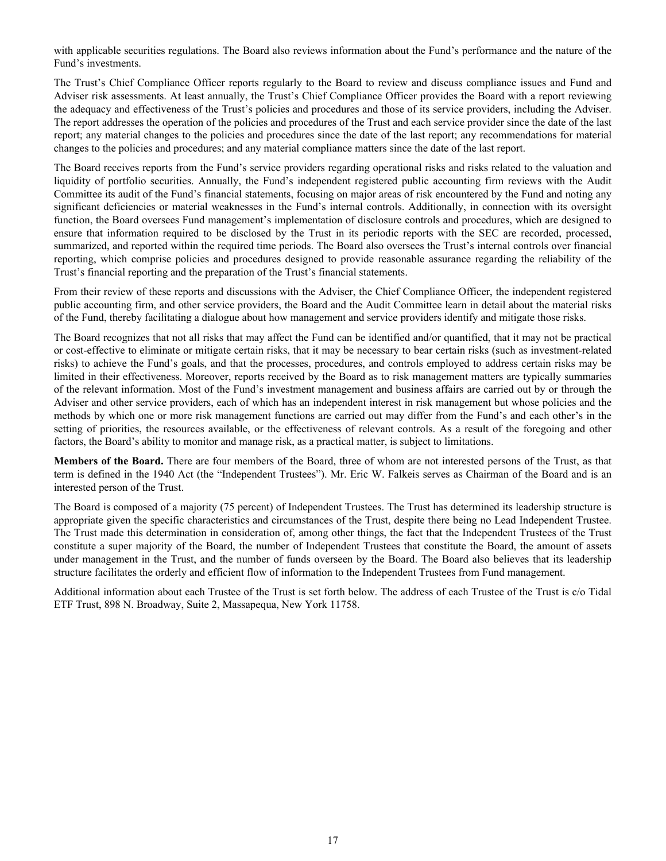with applicable securities regulations. The Board also reviews information about the Fund's performance and the nature of the Fund's investments.

The Trust's Chief Compliance Officer reports regularly to the Board to review and discuss compliance issues and Fund and Adviser risk assessments. At least annually, the Trust's Chief Compliance Officer provides the Board with a report reviewing the adequacy and effectiveness of the Trust's policies and procedures and those of its service providers, including the Adviser. The report addresses the operation of the policies and procedures of the Trust and each service provider since the date of the last report; any material changes to the policies and procedures since the date of the last report; any recommendations for material changes to the policies and procedures; and any material compliance matters since the date of the last report.

The Board receives reports from the Fund's service providers regarding operational risks and risks related to the valuation and liquidity of portfolio securities. Annually, the Fund's independent registered public accounting firm reviews with the Audit Committee its audit of the Fund's financial statements, focusing on major areas of risk encountered by the Fund and noting any significant deficiencies or material weaknesses in the Fund's internal controls. Additionally, in connection with its oversight function, the Board oversees Fund management's implementation of disclosure controls and procedures, which are designed to ensure that information required to be disclosed by the Trust in its periodic reports with the SEC are recorded, processed, summarized, and reported within the required time periods. The Board also oversees the Trust's internal controls over financial reporting, which comprise policies and procedures designed to provide reasonable assurance regarding the reliability of the Trust's financial reporting and the preparation of the Trust's financial statements.

From their review of these reports and discussions with the Adviser, the Chief Compliance Officer, the independent registered public accounting firm, and other service providers, the Board and the Audit Committee learn in detail about the material risks of the Fund, thereby facilitating a dialogue about how management and service providers identify and mitigate those risks.

The Board recognizes that not all risks that may affect the Fund can be identified and/or quantified, that it may not be practical or cost-effective to eliminate or mitigate certain risks, that it may be necessary to bear certain risks (such as investment-related risks) to achieve the Fund's goals, and that the processes, procedures, and controls employed to address certain risks may be limited in their effectiveness. Moreover, reports received by the Board as to risk management matters are typically summaries of the relevant information. Most of the Fund's investment management and business affairs are carried out by or through the Adviser and other service providers, each of which has an independent interest in risk management but whose policies and the methods by which one or more risk management functions are carried out may differ from the Fund's and each other's in the setting of priorities, the resources available, or the effectiveness of relevant controls. As a result of the foregoing and other factors, the Board's ability to monitor and manage risk, as a practical matter, is subject to limitations.

**Members of the Board.** There are four members of the Board, three of whom are not interested persons of the Trust, as that term is defined in the 1940 Act (the "Independent Trustees"). Mr. Eric W. Falkeis serves as Chairman of the Board and is an interested person of the Trust.

The Board is composed of a majority (75 percent) of Independent Trustees. The Trust has determined its leadership structure is appropriate given the specific characteristics and circumstances of the Trust, despite there being no Lead Independent Trustee. The Trust made this determination in consideration of, among other things, the fact that the Independent Trustees of the Trust constitute a super majority of the Board, the number of Independent Trustees that constitute the Board, the amount of assets under management in the Trust, and the number of funds overseen by the Board. The Board also believes that its leadership structure facilitates the orderly and efficient flow of information to the Independent Trustees from Fund management.

Additional information about each Trustee of the Trust is set forth below. The address of each Trustee of the Trust is c/o Tidal ETF Trust, 898 N. Broadway, Suite 2, Massapequa, New York 11758.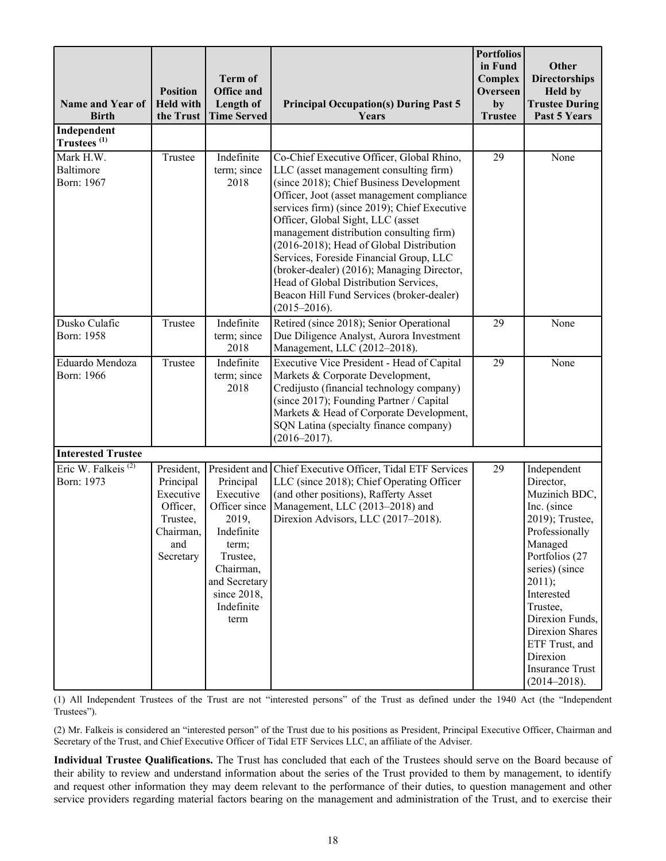| <b>Name and Year of</b><br><b>Birth</b>      | <b>Position</b><br><b>Held with</b><br>the Trust                                              | Term of<br><b>Office and</b><br>Length of<br><b>Time Served</b>                                                                                                         | <b>Principal Occupation(s) During Past 5</b><br>Years                                                                                                                                                                                                                                                                                                                                                                                                                                                                                                         | <b>Portfolios</b><br>in Fund<br>Complex<br>Overseen<br>by<br><b>Trustee</b> | Other<br><b>Directorships</b><br><b>Held by</b><br><b>Trustee During</b><br>Past 5 Years                                                                                                                                                                                                                  |
|----------------------------------------------|-----------------------------------------------------------------------------------------------|-------------------------------------------------------------------------------------------------------------------------------------------------------------------------|---------------------------------------------------------------------------------------------------------------------------------------------------------------------------------------------------------------------------------------------------------------------------------------------------------------------------------------------------------------------------------------------------------------------------------------------------------------------------------------------------------------------------------------------------------------|-----------------------------------------------------------------------------|-----------------------------------------------------------------------------------------------------------------------------------------------------------------------------------------------------------------------------------------------------------------------------------------------------------|
| Independent<br>Trustees <sup>(1)</sup>       |                                                                                               |                                                                                                                                                                         |                                                                                                                                                                                                                                                                                                                                                                                                                                                                                                                                                               |                                                                             |                                                                                                                                                                                                                                                                                                           |
| Mark H.W.<br>Baltimore<br>Born: 1967         | Trustee                                                                                       | Indefinite<br>term; since<br>2018                                                                                                                                       | Co-Chief Executive Officer, Global Rhino,<br>LLC (asset management consulting firm)<br>(since 2018); Chief Business Development<br>Officer, Joot (asset management compliance<br>services firm) (since 2019); Chief Executive<br>Officer, Global Sight, LLC (asset<br>management distribution consulting firm)<br>(2016-2018); Head of Global Distribution<br>Services, Foreside Financial Group, LLC<br>(broker-dealer) (2016); Managing Director,<br>Head of Global Distribution Services,<br>Beacon Hill Fund Services (broker-dealer)<br>$(2015 - 2016).$ | $\overline{29}$                                                             | None                                                                                                                                                                                                                                                                                                      |
| Dusko Culafic<br>Born: 1958                  | Trustee                                                                                       | Indefinite<br>term; since<br>2018                                                                                                                                       | Retired (since 2018); Senior Operational<br>Due Diligence Analyst, Aurora Investment<br>Management, LLC (2012-2018).                                                                                                                                                                                                                                                                                                                                                                                                                                          | 29                                                                          | None                                                                                                                                                                                                                                                                                                      |
| Eduardo Mendoza<br>Born: 1966                | Trustee                                                                                       | Indefinite<br>term; since<br>2018                                                                                                                                       | Executive Vice President - Head of Capital<br>Markets & Corporate Development,<br>Credijusto (financial technology company)<br>(since 2017); Founding Partner / Capital<br>Markets & Head of Corporate Development,<br>SQN Latina (specialty finance company)<br>$(2016 - 2017).$                                                                                                                                                                                                                                                                             | $\overline{29}$                                                             | None                                                                                                                                                                                                                                                                                                      |
| <b>Interested Trustee</b>                    |                                                                                               |                                                                                                                                                                         |                                                                                                                                                                                                                                                                                                                                                                                                                                                                                                                                                               |                                                                             |                                                                                                                                                                                                                                                                                                           |
| Eric W. Falkeis <sup>(2)</sup><br>Born: 1973 | President,<br>Principal<br>Executive<br>Officer,<br>Trustee,<br>Chairman,<br>and<br>Secretary | President and<br>Principal<br>Executive<br>Officer since<br>2019,<br>Indefinite<br>term;<br>Trustee,<br>Chairman,<br>and Secretary<br>since 2018,<br>Indefinite<br>term | Chief Executive Officer, Tidal ETF Services<br>LLC (since 2018); Chief Operating Officer<br>(and other positions), Rafferty Asset<br>Management, LLC (2013-2018) and<br>Direxion Advisors, LLC (2017-2018).                                                                                                                                                                                                                                                                                                                                                   | 29                                                                          | Independent<br>Director,<br>Muzinich BDC,<br>Inc. (since<br>2019); Trustee,<br>Professionally<br>Managed<br>Portfolios (27<br>series) (since<br>2011);<br>Interested<br>Trustee,<br>Direxion Funds,<br><b>Direxion Shares</b><br>ETF Trust, and<br>Direxion<br><b>Insurance Trust</b><br>$(2014 - 2018).$ |

(1) All Independent Trustees of the Trust are not "interested persons" of the Trust as defined under the 1940 Act (the "Independent Trustees").

(2) Mr. Falkeis is considered an "interested person" of the Trust due to his positions as President, Principal Executive Officer, Chairman and Secretary of the Trust, and Chief Executive Officer of Tidal ETF Services LLC, an affiliate of the Adviser.

**Individual Trustee Qualifications.** The Trust has concluded that each of the Trustees should serve on the Board because of their ability to review and understand information about the series of the Trust provided to them by management, to identify and request other information they may deem relevant to the performance of their duties, to question management and other service providers regarding material factors bearing on the management and administration of the Trust, and to exercise their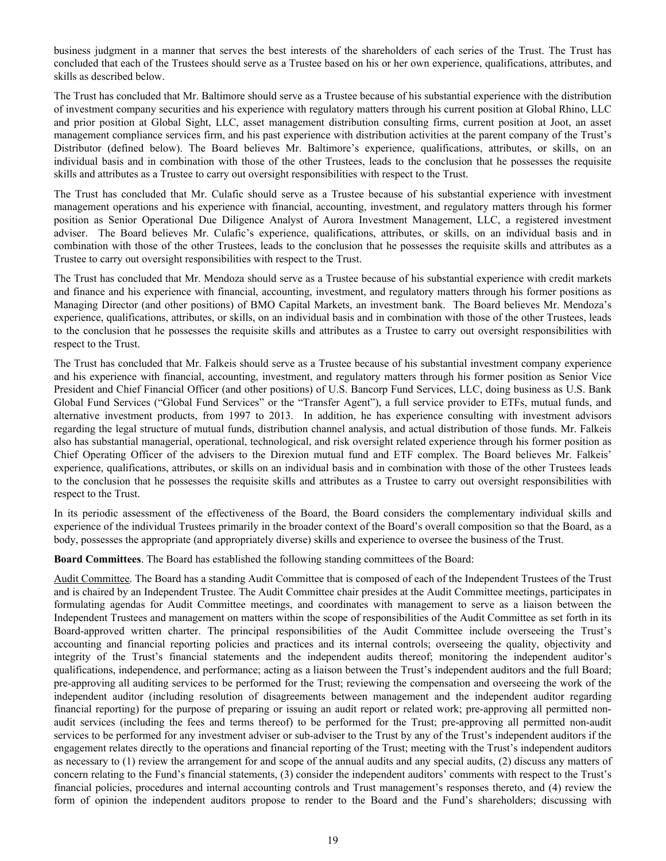business judgment in a manner that serves the best interests of the shareholders of each series of the Trust. The Trust has concluded that each of the Trustees should serve as a Trustee based on his or her own experience, qualifications, attributes, and skills as described below.

The Trust has concluded that Mr. Baltimore should serve as a Trustee because of his substantial experience with the distribution of investment company securities and his experience with regulatory matters through his current position at Global Rhino, LLC and prior position at Global Sight, LLC, asset management distribution consulting firms, current position at Joot, an asset management compliance services firm, and his past experience with distribution activities at the parent company of the Trust's Distributor (defined below). The Board believes Mr. Baltimore's experience, qualifications, attributes, or skills, on an individual basis and in combination with those of the other Trustees, leads to the conclusion that he possesses the requisite skills and attributes as a Trustee to carry out oversight responsibilities with respect to the Trust.

The Trust has concluded that Mr. Culafic should serve as a Trustee because of his substantial experience with investment management operations and his experience with financial, accounting, investment, and regulatory matters through his former position as Senior Operational Due Diligence Analyst of Aurora Investment Management, LLC, a registered investment adviser. The Board believes Mr. Culafic's experience, qualifications, attributes, or skills, on an individual basis and in combination with those of the other Trustees, leads to the conclusion that he possesses the requisite skills and attributes as a Trustee to carry out oversight responsibilities with respect to the Trust.

The Trust has concluded that Mr. Mendoza should serve as a Trustee because of his substantial experience with credit markets and finance and his experience with financial, accounting, investment, and regulatory matters through his former positions as Managing Director (and other positions) of BMO Capital Markets, an investment bank. The Board believes Mr. Mendoza's experience, qualifications, attributes, or skills, on an individual basis and in combination with those of the other Trustees, leads to the conclusion that he possesses the requisite skills and attributes as a Trustee to carry out oversight responsibilities with respect to the Trust.

The Trust has concluded that Mr. Falkeis should serve as a Trustee because of his substantial investment company experience and his experience with financial, accounting, investment, and regulatory matters through his former position as Senior Vice President and Chief Financial Officer (and other positions) of U.S. Bancorp Fund Services, LLC, doing business as U.S. Bank Global Fund Services ("Global Fund Services" or the "Transfer Agent"), a full service provider to ETFs, mutual funds, and alternative investment products, from 1997 to 2013. In addition, he has experience consulting with investment advisors regarding the legal structure of mutual funds, distribution channel analysis, and actual distribution of those funds. Mr. Falkeis also has substantial managerial, operational, technological, and risk oversight related experience through his former position as Chief Operating Officer of the advisers to the Direxion mutual fund and ETF complex. The Board believes Mr. Falkeis' experience, qualifications, attributes, or skills on an individual basis and in combination with those of the other Trustees leads to the conclusion that he possesses the requisite skills and attributes as a Trustee to carry out oversight responsibilities with respect to the Trust.

In its periodic assessment of the effectiveness of the Board, the Board considers the complementary individual skills and experience of the individual Trustees primarily in the broader context of the Board's overall composition so that the Board, as a body, possesses the appropriate (and appropriately diverse) skills and experience to oversee the business of the Trust.

**Board Committees**. The Board has established the following standing committees of the Board:

Audit Committee. The Board has a standing Audit Committee that is composed of each of the Independent Trustees of the Trust and is chaired by an Independent Trustee. The Audit Committee chair presides at the Audit Committee meetings, participates in formulating agendas for Audit Committee meetings, and coordinates with management to serve as a liaison between the Independent Trustees and management on matters within the scope of responsibilities of the Audit Committee as set forth in its Board-approved written charter. The principal responsibilities of the Audit Committee include overseeing the Trust's accounting and financial reporting policies and practices and its internal controls; overseeing the quality, objectivity and integrity of the Trust's financial statements and the independent audits thereof; monitoring the independent auditor's qualifications, independence, and performance; acting as a liaison between the Trust's independent auditors and the full Board; pre-approving all auditing services to be performed for the Trust; reviewing the compensation and overseeing the work of the independent auditor (including resolution of disagreements between management and the independent auditor regarding financial reporting) for the purpose of preparing or issuing an audit report or related work; pre-approving all permitted nonaudit services (including the fees and terms thereof) to be performed for the Trust; pre-approving all permitted non-audit services to be performed for any investment adviser or sub-adviser to the Trust by any of the Trust's independent auditors if the engagement relates directly to the operations and financial reporting of the Trust; meeting with the Trust's independent auditors as necessary to (1) review the arrangement for and scope of the annual audits and any special audits, (2) discuss any matters of concern relating to the Fund's financial statements, (3) consider the independent auditors' comments with respect to the Trust's financial policies, procedures and internal accounting controls and Trust management's responses thereto, and (4) review the form of opinion the independent auditors propose to render to the Board and the Fund's shareholders; discussing with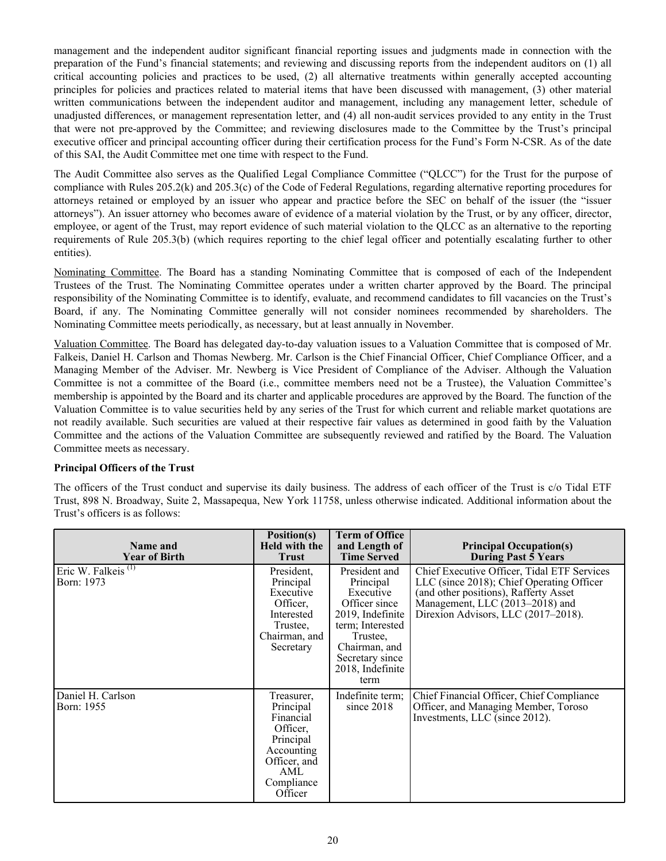management and the independent auditor significant financial reporting issues and judgments made in connection with the preparation of the Fund's financial statements; and reviewing and discussing reports from the independent auditors on (1) all critical accounting policies and practices to be used, (2) all alternative treatments within generally accepted accounting principles for policies and practices related to material items that have been discussed with management, (3) other material written communications between the independent auditor and management, including any management letter, schedule of unadjusted differences, or management representation letter, and (4) all non-audit services provided to any entity in the Trust that were not pre-approved by the Committee; and reviewing disclosures made to the Committee by the Trust's principal executive officer and principal accounting officer during their certification process for the Fund's Form N-CSR. As of the date of this SAI, the Audit Committee met one time with respect to the Fund.

The Audit Committee also serves as the Qualified Legal Compliance Committee ("QLCC") for the Trust for the purpose of compliance with Rules 205.2(k) and 205.3(c) of the Code of Federal Regulations, regarding alternative reporting procedures for attorneys retained or employed by an issuer who appear and practice before the SEC on behalf of the issuer (the "issuer attorneys"). An issuer attorney who becomes aware of evidence of a material violation by the Trust, or by any officer, director, employee, or agent of the Trust, may report evidence of such material violation to the QLCC as an alternative to the reporting requirements of Rule 205.3(b) (which requires reporting to the chief legal officer and potentially escalating further to other entities).

Nominating Committee. The Board has a standing Nominating Committee that is composed of each of the Independent Trustees of the Trust. The Nominating Committee operates under a written charter approved by the Board. The principal responsibility of the Nominating Committee is to identify, evaluate, and recommend candidates to fill vacancies on the Trust's Board, if any. The Nominating Committee generally will not consider nominees recommended by shareholders. The Nominating Committee meets periodically, as necessary, but at least annually in November.

Valuation Committee. The Board has delegated day-to-day valuation issues to a Valuation Committee that is composed of Mr. Falkeis, Daniel H. Carlson and Thomas Newberg. Mr. Carlson is the Chief Financial Officer, Chief Compliance Officer, and a Managing Member of the Adviser. Mr. Newberg is Vice President of Compliance of the Adviser. Although the Valuation Committee is not a committee of the Board (i.e., committee members need not be a Trustee), the Valuation Committee's membership is appointed by the Board and its charter and applicable procedures are approved by the Board. The function of the Valuation Committee is to value securities held by any series of the Trust for which current and reliable market quotations are not readily available. Such securities are valued at their respective fair values as determined in good faith by the Valuation Committee and the actions of the Valuation Committee are subsequently reviewed and ratified by the Board. The Valuation Committee meets as necessary.

## **Principal Officers of the Trust**

The officers of the Trust conduct and supervise its daily business. The address of each officer of the Trust is c/o Tidal ETF Trust, 898 N. Broadway, Suite 2, Massapequa, New York 11758, unless otherwise indicated. Additional information about the Trust's officers is as follows:

| Name and<br><b>Year of Birth</b>    | Position(s)<br>Held with the<br><b>Trust</b>                                                                                | <b>Term of Office</b><br>and Length of<br><b>Time Served</b>                                                                                                                 | <b>Principal Occupation(s)</b><br>During Past 5 Years                                                                                                                                                       |
|-------------------------------------|-----------------------------------------------------------------------------------------------------------------------------|------------------------------------------------------------------------------------------------------------------------------------------------------------------------------|-------------------------------------------------------------------------------------------------------------------------------------------------------------------------------------------------------------|
| Eric W. Falkeis $(1)$<br>Born: 1973 | President.<br>Principal<br>Executive<br>Officer.<br>Interested<br>Trustee,<br>Chairman, and<br>Secretary                    | President and<br>Principal<br>Executive<br>Officer since<br>2019, Indefinite<br>term; Interested<br>Trustee.<br>Chairman, and<br>Secretary since<br>2018, Indefinite<br>term | Chief Executive Officer, Tidal ETF Services<br>LLC (since 2018); Chief Operating Officer<br>(and other positions), Rafferty Asset<br>Management, LLC (2013-2018) and<br>Direxion Advisors, LLC (2017-2018). |
| Daniel H. Carlson<br>Born: 1955     | Treasurer,<br>Principal<br>Financial<br>Officer,<br>Principal<br>Accounting<br>Officer, and<br>AML<br>Compliance<br>Officer | Indefinite term;<br>since $2018$                                                                                                                                             | Chief Financial Officer, Chief Compliance<br>Officer, and Managing Member, Toroso<br>Investments, LLC (since 2012).                                                                                         |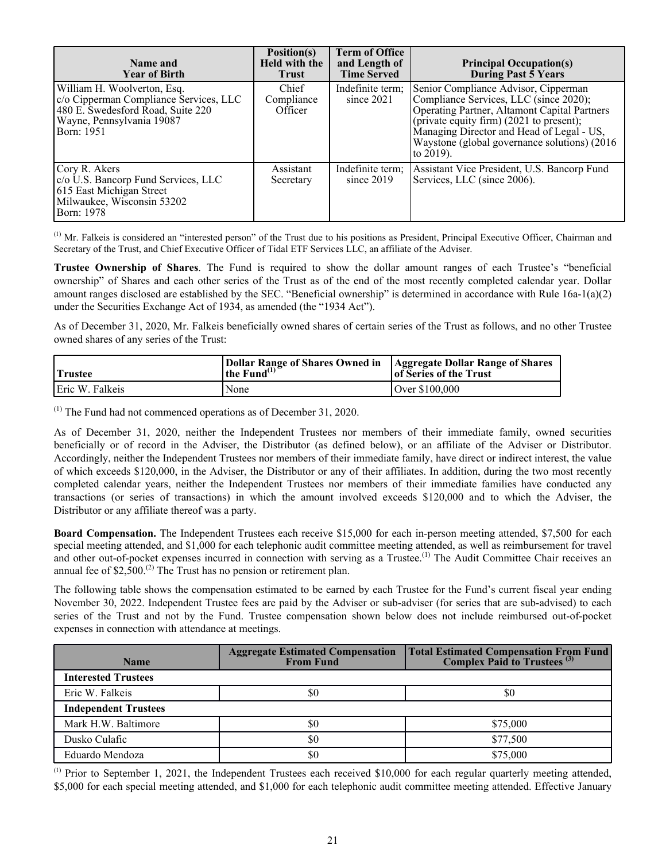| Name and<br><b>Year of Birth</b>                                                                                                                        | Position(s)<br><b>Held with the</b><br><b>Trust</b> | <b>Term of Office</b><br>and Length of<br><b>Time Served</b> | <b>Principal Occupation(s)</b><br>During Past 5 Years                                                                                                                                                                                                                                 |
|---------------------------------------------------------------------------------------------------------------------------------------------------------|-----------------------------------------------------|--------------------------------------------------------------|---------------------------------------------------------------------------------------------------------------------------------------------------------------------------------------------------------------------------------------------------------------------------------------|
| William H. Woolverton, Esq.<br>c/o Cipperman Compliance Services, LLC<br>480 E. Swedesford Road, Suite 220<br>Wayne, Pennsylvania 19087<br>  Born: 1951 | Chief<br>Compliance<br>Officer                      | Indefinite term;<br>since $2021$                             | Senior Compliance Advisor, Cipperman<br>Compliance Services, LLC (since 2020);<br>Operating Partner, Altamont Capital Partners<br>(private equity firm) (2021 to present);<br>Managing Director and Head of Legal - US,<br>Waystone (global governance solutions) (2016)<br>to 2019). |
| Cory R. Akers<br>c/o U.S. Bancorp Fund Services, LLC<br>615 East Michigan Street<br>Milwaukee, Wisconsin 53202<br><b>Born:</b> 1978                     | Assistant<br>Secretary                              | Indefinite term;<br>since $2019$                             | Assistant Vice President, U.S. Bancorp Fund<br>Services, LLC (since 2006).                                                                                                                                                                                                            |

 $<sup>(1)</sup>$  Mr. Falkeis is considered an "interested person" of the Trust due to his positions as President, Principal Executive Officer, Chairman and</sup> Secretary of the Trust, and Chief Executive Officer of Tidal ETF Services LLC, an affiliate of the Adviser.

**Trustee Ownership of Shares**. The Fund is required to show the dollar amount ranges of each Trustee's "beneficial ownership" of Shares and each other series of the Trust as of the end of the most recently completed calendar year. Dollar amount ranges disclosed are established by the SEC. "Beneficial ownership" is determined in accordance with Rule 16a-1(a)(2) under the Securities Exchange Act of 1934, as amended (the "1934 Act").

As of December 31, 2020, Mr. Falkeis beneficially owned shares of certain series of the Trust as follows, and no other Trustee owned shares of any series of the Trust:

| <b>Trustee</b>  | Dollar Range of Shares Owned in   Aggregate Dollar Range of Shares<br>the Fund $^{(1)}$ | of Series of the Trust |
|-----------------|-----------------------------------------------------------------------------------------|------------------------|
| Eric W. Falkeis | None                                                                                    | 1 Over \$100.000       |

(1) The Fund had not commenced operations as of December 31, 2020.

As of December 31, 2020, neither the Independent Trustees nor members of their immediate family, owned securities beneficially or of record in the Adviser, the Distributor (as defined below), or an affiliate of the Adviser or Distributor. Accordingly, neither the Independent Trustees nor members of their immediate family, have direct or indirect interest, the value of which exceeds \$120,000, in the Adviser, the Distributor or any of their affiliates. In addition, during the two most recently completed calendar years, neither the Independent Trustees nor members of their immediate families have conducted any transactions (or series of transactions) in which the amount involved exceeds \$120,000 and to which the Adviser, the Distributor or any affiliate thereof was a party.

**Board Compensation.** The Independent Trustees each receive \$15,000 for each in-person meeting attended, \$7,500 for each special meeting attended, and \$1,000 for each telephonic audit committee meeting attended, as well as reimbursement for travel and other out-of-pocket expenses incurred in connection with serving as a Trustee.<sup>(1)</sup> The Audit Committee Chair receives an annual fee of  $$2,500$ .<sup>(2)</sup> The Trust has no pension or retirement plan.

The following table shows the compensation estimated to be earned by each Trustee for the Fund's current fiscal year ending November 30, 2022. Independent Trustee fees are paid by the Adviser or sub-adviser (for series that are sub-advised) to each series of the Trust and not by the Fund. Trustee compensation shown below does not include reimbursed out-of-pocket expenses in connection with attendance at meetings.

| <b>Name</b>                 | <b>Aggregate Estimated Compensation</b><br><b>From Fund</b> | Total Estimated Compensation From Fund<br>Complex Paid to Trustees <sup>(3)</sup> |
|-----------------------------|-------------------------------------------------------------|-----------------------------------------------------------------------------------|
| <b>Interested Trustees</b>  |                                                             |                                                                                   |
| Eric W. Falkeis             | \$0                                                         | \$0                                                                               |
| <b>Independent Trustees</b> |                                                             |                                                                                   |
| Mark H.W. Baltimore         | \$0                                                         | \$75,000                                                                          |
| Dusko Culafic               | \$0                                                         | \$77,500                                                                          |
| Eduardo Mendoza             | \$0                                                         | \$75,000                                                                          |

(1) Prior to September 1, 2021, the Independent Trustees each received \$10,000 for each regular quarterly meeting attended, \$5,000 for each special meeting attended, and \$1,000 for each telephonic audit committee meeting attended. Effective January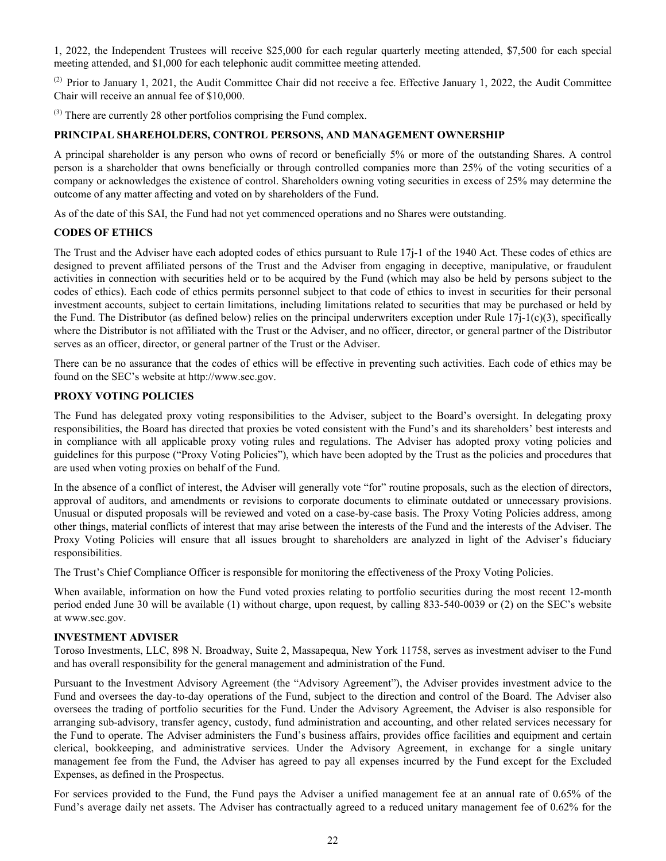<span id="page-23-0"></span>1, 2022, the Independent Trustees will receive \$25,000 for each regular quarterly meeting attended, \$7,500 for each special meeting attended, and \$1,000 for each telephonic audit committee meeting attended.

(2) Prior to January 1, 2021, the Audit Committee Chair did not receive a fee. Effective January 1, 2022, the Audit Committee Chair will receive an annual fee of \$10,000.

(3) There are currently 28 other portfolios comprising the Fund complex.

# **PRINCIPAL SHAREHOLDERS, CONTROL PERSONS, AND MANAGEMENT OWNERSHIP**

A principal shareholder is any person who owns of record or beneficially 5% or more of the outstanding Shares. A control person is a shareholder that owns beneficially or through controlled companies more than 25% of the voting securities of a company or acknowledges the existence of control. Shareholders owning voting securities in excess of 25% may determine the outcome of any matter affecting and voted on by shareholders of the Fund.

As of the date of this SAI, the Fund had not yet commenced operations and no Shares were outstanding.

### **CODES OF ETHICS**

The Trust and the Adviser have each adopted codes of ethics pursuant to Rule 17j-1 of the 1940 Act. These codes of ethics are designed to prevent affiliated persons of the Trust and the Adviser from engaging in deceptive, manipulative, or fraudulent activities in connection with securities held or to be acquired by the Fund (which may also be held by persons subject to the codes of ethics). Each code of ethics permits personnel subject to that code of ethics to invest in securities for their personal investment accounts, subject to certain limitations, including limitations related to securities that may be purchased or held by the Fund. The Distributor (as defined below) relies on the principal underwriters exception under Rule  $17j-1(c)(3)$ , specifically where the Distributor is not affiliated with the Trust or the Adviser, and no officer, director, or general partner of the Distributor serves as an officer, director, or general partner of the Trust or the Adviser.

There can be no assurance that the codes of ethics will be effective in preventing such activities. Each code of ethics may be found on the SEC's website at http://www.sec.gov.

#### **PROXY VOTING POLICIES**

The Fund has delegated proxy voting responsibilities to the Adviser, subject to the Board's oversight. In delegating proxy responsibilities, the Board has directed that proxies be voted consistent with the Fund's and its shareholders' best interests and in compliance with all applicable proxy voting rules and regulations. The Adviser has adopted proxy voting policies and guidelines for this purpose ("Proxy Voting Policies"), which have been adopted by the Trust as the policies and procedures that are used when voting proxies on behalf of the Fund.

In the absence of a conflict of interest, the Adviser will generally vote "for" routine proposals, such as the election of directors, approval of auditors, and amendments or revisions to corporate documents to eliminate outdated or unnecessary provisions. Unusual or disputed proposals will be reviewed and voted on a case-by-case basis. The Proxy Voting Policies address, among other things, material conflicts of interest that may arise between the interests of the Fund and the interests of the Adviser. The Proxy Voting Policies will ensure that all issues brought to shareholders are analyzed in light of the Adviser's fiduciary responsibilities.

The Trust's Chief Compliance Officer is responsible for monitoring the effectiveness of the Proxy Voting Policies.

When available, information on how the Fund voted proxies relating to portfolio securities during the most recent 12-month period ended June 30 will be available (1) without charge, upon request, by calling 833-540-0039 or (2) on the SEC's website at www.sec.gov.

#### **INVESTMENT ADVISER**

Toroso Investments, LLC, 898 N. Broadway, Suite 2, Massapequa, New York 11758, serves as investment adviser to the Fund and has overall responsibility for the general management and administration of the Fund.

Pursuant to the Investment Advisory Agreement (the "Advisory Agreement"), the Adviser provides investment advice to the Fund and oversees the day-to-day operations of the Fund, subject to the direction and control of the Board. The Adviser also oversees the trading of portfolio securities for the Fund. Under the Advisory Agreement, the Adviser is also responsible for arranging sub-advisory, transfer agency, custody, fund administration and accounting, and other related services necessary for the Fund to operate. The Adviser administers the Fund's business affairs, provides office facilities and equipment and certain clerical, bookkeeping, and administrative services. Under the Advisory Agreement, in exchange for a single unitary management fee from the Fund, the Adviser has agreed to pay all expenses incurred by the Fund except for the Excluded Expenses, as defined in the Prospectus.

For services provided to the Fund, the Fund pays the Adviser a unified management fee at an annual rate of 0.65% of the Fund's average daily net assets. The Adviser has contractually agreed to a reduced unitary management fee of 0.62% for the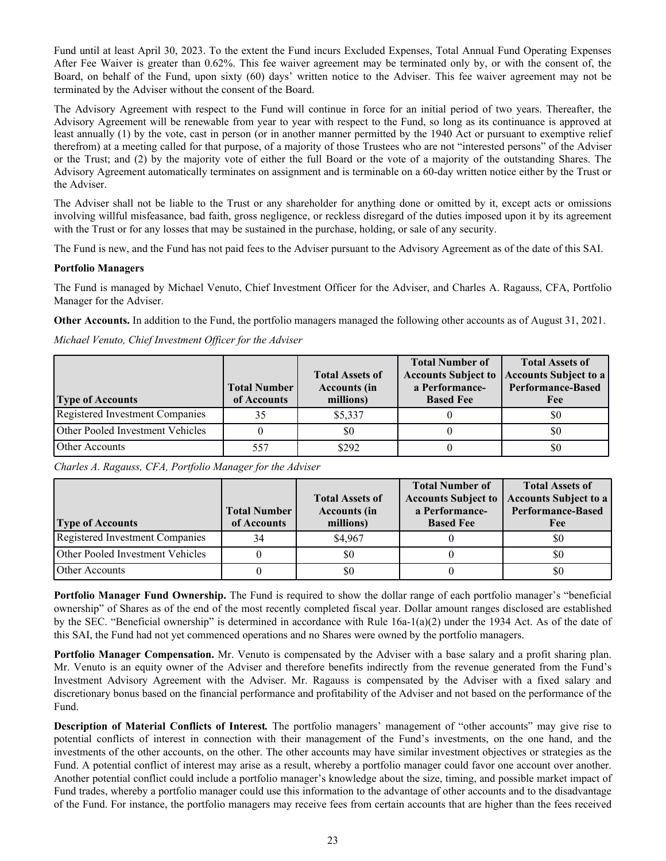<span id="page-24-0"></span>Fund until at least April 30, 2023. To the extent the Fund incurs Excluded Expenses, Total Annual Fund Operating Expenses After Fee Waiver is greater than 0.62%. This fee waiver agreement may be terminated only by, or with the consent of, the Board, on behalf of the Fund, upon sixty (60) days' written notice to the Adviser. This fee waiver agreement may not be terminated by the Adviser without the consent of the Board.

The Advisory Agreement with respect to the Fund will continue in force for an initial period of two years. Thereafter, the Advisory Agreement will be renewable from year to year with respect to the Fund, so long as its continuance is approved at least annually (1) by the vote, cast in person (or in another manner permitted by the 1940 Act or pursuant to exemptive relief therefrom) at a meeting called for that purpose, of a majority of those Trustees who are not "interested persons" of the Adviser or the Trust; and (2) by the majority vote of either the full Board or the vote of a majority of the outstanding Shares. The Advisory Agreement automatically terminates on assignment and is terminable on a 60-day written notice either by the Trust or the Adviser.

The Adviser shall not be liable to the Trust or any shareholder for anything done or omitted by it, except acts or omissions involving willful misfeasance, bad faith, gross negligence, or reckless disregard of the duties imposed upon it by its agreement with the Trust or for any losses that may be sustained in the purchase, holding, or sale of any security.

The Fund is new, and the Fund has not paid fees to the Adviser pursuant to the Advisory Agreement as of the date of this SAI.

## **Portfolio Managers**

The Fund is managed by Michael Venuto, Chief Investment Officer for the Adviser, and Charles A. Ragauss, CFA, Portfolio Manager for the Adviser.

**Other Accounts.** In addition to the Fund, the portfolio managers managed the following other accounts as of August 31, 2021.

## *Michael Venuto, Chief Investment Officer for the Adviser*

| <b>Type of Accounts</b>          | <b>Total Number</b><br>of Accounts | <b>Total Assets of</b><br><b>Accounts (in</b><br>millions) | <b>Total Number of</b><br>a Performance-<br><b>Based Fee</b> | <b>Total Assets of</b><br>Accounts Subject to   Accounts Subject to a<br><b>Performance-Based</b><br>Fee |
|----------------------------------|------------------------------------|------------------------------------------------------------|--------------------------------------------------------------|----------------------------------------------------------------------------------------------------------|
| Registered Investment Companies  | 35                                 | \$5,337                                                    |                                                              | \$0                                                                                                      |
| Other Pooled Investment Vehicles |                                    | \$0                                                        |                                                              | \$0                                                                                                      |
| Other Accounts                   | 557                                | \$292                                                      |                                                              | \$0                                                                                                      |

*Charles A. Ragauss, CFA, Portfolio Manager for the Adviser*

|                                  | <b>Total Number</b> | <b>Total Assets of</b><br><b>Accounts (in</b> | <b>Total Number of</b><br><b>Accounts Subject to</b><br>a Performance- | <b>Total Assets of</b><br>Accounts Subject to a<br><b>Performance-Based</b> |
|----------------------------------|---------------------|-----------------------------------------------|------------------------------------------------------------------------|-----------------------------------------------------------------------------|
| <b>Type of Accounts</b>          | of Accounts         | millions)                                     | <b>Based Fee</b>                                                       | Fee                                                                         |
| Registered Investment Companies  |                     | \$4,967                                       |                                                                        | \$0                                                                         |
| Other Pooled Investment Vehicles |                     | \$0                                           |                                                                        | \$0                                                                         |
| Other Accounts                   |                     | \$0                                           |                                                                        | \$0                                                                         |

**Portfolio Manager Fund Ownership.** The Fund is required to show the dollar range of each portfolio manager's "beneficial ownership" of Shares as of the end of the most recently completed fiscal year. Dollar amount ranges disclosed are established by the SEC. "Beneficial ownership" is determined in accordance with Rule 16a-1(a)(2) under the 1934 Act. As of the date of this SAI, the Fund had not yet commenced operations and no Shares were owned by the portfolio managers.

**Portfolio Manager Compensation.** Mr. Venuto is compensated by the Adviser with a base salary and a profit sharing plan. Mr. Venuto is an equity owner of the Adviser and therefore benefits indirectly from the revenue generated from the Fund's Investment Advisory Agreement with the Adviser. Mr. Ragauss is compensated by the Adviser with a fixed salary and discretionary bonus based on the financial performance and profitability of the Adviser and not based on the performance of the Fund.

**Description of Material Conflicts of Interest***.* The portfolio managers' management of "other accounts" may give rise to potential conflicts of interest in connection with their management of the Fund's investments, on the one hand, and the investments of the other accounts, on the other. The other accounts may have similar investment objectives or strategies as the Fund. A potential conflict of interest may arise as a result, whereby a portfolio manager could favor one account over another. Another potential conflict could include a portfolio manager's knowledge about the size, timing, and possible market impact of Fund trades, whereby a portfolio manager could use this information to the advantage of other accounts and to the disadvantage of the Fund. For instance, the portfolio managers may receive fees from certain accounts that are higher than the fees received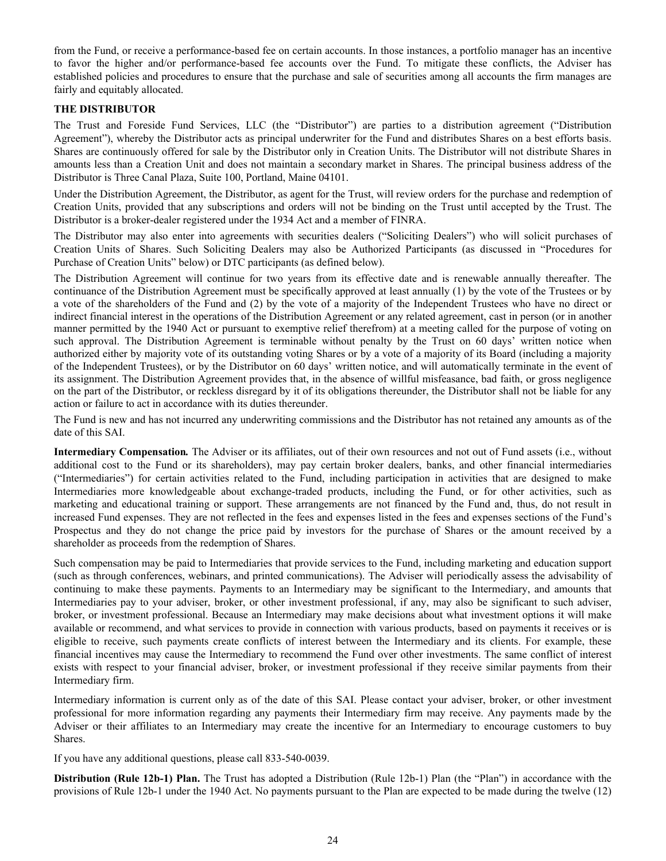<span id="page-25-0"></span>from the Fund, or receive a performance-based fee on certain accounts. In those instances, a portfolio manager has an incentive to favor the higher and/or performance-based fee accounts over the Fund. To mitigate these conflicts, the Adviser has established policies and procedures to ensure that the purchase and sale of securities among all accounts the firm manages are fairly and equitably allocated.

## **THE DISTRIBUTOR**

The Trust and Foreside Fund Services, LLC (the "Distributor") are parties to a distribution agreement ("Distribution Agreement"), whereby the Distributor acts as principal underwriter for the Fund and distributes Shares on a best efforts basis. Shares are continuously offered for sale by the Distributor only in Creation Units. The Distributor will not distribute Shares in amounts less than a Creation Unit and does not maintain a secondary market in Shares. The principal business address of the Distributor is Three Canal Plaza, Suite 100, Portland, Maine 04101.

Under the Distribution Agreement, the Distributor, as agent for the Trust, will review orders for the purchase and redemption of Creation Units, provided that any subscriptions and orders will not be binding on the Trust until accepted by the Trust. The Distributor is a broker-dealer registered under the 1934 Act and a member of FINRA.

The Distributor may also enter into agreements with securities dealers ("Soliciting Dealers") who will solicit purchases of Creation Units of Shares. Such Soliciting Dealers may also be Authorized Participants (as discussed in "Procedures for Purchase of Creation Units" below) or DTC participants (as defined below).

The Distribution Agreement will continue for two years from its effective date and is renewable annually thereafter. The continuance of the Distribution Agreement must be specifically approved at least annually (1) by the vote of the Trustees or by a vote of the shareholders of the Fund and (2) by the vote of a majority of the Independent Trustees who have no direct or indirect financial interest in the operations of the Distribution Agreement or any related agreement, cast in person (or in another manner permitted by the 1940 Act or pursuant to exemptive relief therefrom) at a meeting called for the purpose of voting on such approval. The Distribution Agreement is terminable without penalty by the Trust on 60 days' written notice when authorized either by majority vote of its outstanding voting Shares or by a vote of a majority of its Board (including a majority of the Independent Trustees), or by the Distributor on 60 days' written notice, and will automatically terminate in the event of its assignment. The Distribution Agreement provides that, in the absence of willful misfeasance, bad faith, or gross negligence on the part of the Distributor, or reckless disregard by it of its obligations thereunder, the Distributor shall not be liable for any action or failure to act in accordance with its duties thereunder.

The Fund is new and has not incurred any underwriting commissions and the Distributor has not retained any amounts as of the date of this SAI.

**Intermediary Compensation***.* The Adviser or its affiliates, out of their own resources and not out of Fund assets (i.e., without additional cost to the Fund or its shareholders), may pay certain broker dealers, banks, and other financial intermediaries ("Intermediaries") for certain activities related to the Fund, including participation in activities that are designed to make Intermediaries more knowledgeable about exchange-traded products, including the Fund, or for other activities, such as marketing and educational training or support. These arrangements are not financed by the Fund and, thus, do not result in increased Fund expenses. They are not reflected in the fees and expenses listed in the fees and expenses sections of the Fund's Prospectus and they do not change the price paid by investors for the purchase of Shares or the amount received by a shareholder as proceeds from the redemption of Shares.

Such compensation may be paid to Intermediaries that provide services to the Fund, including marketing and education support (such as through conferences, webinars, and printed communications). The Adviser will periodically assess the advisability of continuing to make these payments. Payments to an Intermediary may be significant to the Intermediary, and amounts that Intermediaries pay to your adviser, broker, or other investment professional, if any, may also be significant to such adviser, broker, or investment professional. Because an Intermediary may make decisions about what investment options it will make available or recommend, and what services to provide in connection with various products, based on payments it receives or is eligible to receive, such payments create conflicts of interest between the Intermediary and its clients. For example, these financial incentives may cause the Intermediary to recommend the Fund over other investments. The same conflict of interest exists with respect to your financial adviser, broker, or investment professional if they receive similar payments from their Intermediary firm.

Intermediary information is current only as of the date of this SAI. Please contact your adviser, broker, or other investment professional for more information regarding any payments their Intermediary firm may receive. Any payments made by the Adviser or their affiliates to an Intermediary may create the incentive for an Intermediary to encourage customers to buy Shares.

If you have any additional questions, please call 833-540-0039.

**Distribution (Rule 12b-1) Plan.** The Trust has adopted a Distribution (Rule 12b-1) Plan (the "Plan") in accordance with the provisions of Rule 12b-1 under the 1940 Act. No payments pursuant to the Plan are expected to be made during the twelve (12)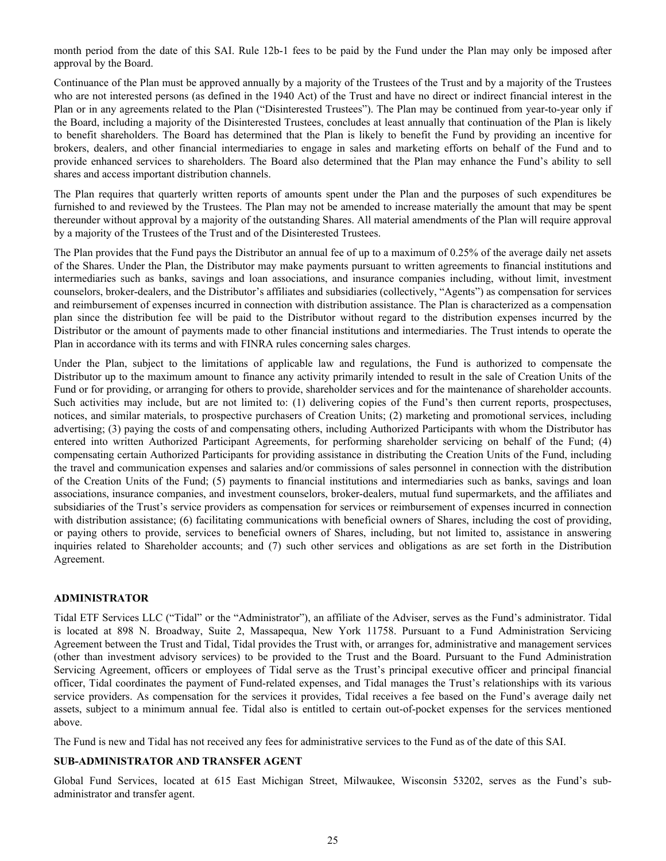<span id="page-26-0"></span>month period from the date of this SAI. Rule 12b-1 fees to be paid by the Fund under the Plan may only be imposed after approval by the Board.

Continuance of the Plan must be approved annually by a majority of the Trustees of the Trust and by a majority of the Trustees who are not interested persons (as defined in the 1940 Act) of the Trust and have no direct or indirect financial interest in the Plan or in any agreements related to the Plan ("Disinterested Trustees"). The Plan may be continued from year-to-year only if the Board, including a majority of the Disinterested Trustees, concludes at least annually that continuation of the Plan is likely to benefit shareholders. The Board has determined that the Plan is likely to benefit the Fund by providing an incentive for brokers, dealers, and other financial intermediaries to engage in sales and marketing efforts on behalf of the Fund and to provide enhanced services to shareholders. The Board also determined that the Plan may enhance the Fund's ability to sell shares and access important distribution channels.

The Plan requires that quarterly written reports of amounts spent under the Plan and the purposes of such expenditures be furnished to and reviewed by the Trustees. The Plan may not be amended to increase materially the amount that may be spent thereunder without approval by a majority of the outstanding Shares. All material amendments of the Plan will require approval by a majority of the Trustees of the Trust and of the Disinterested Trustees.

The Plan provides that the Fund pays the Distributor an annual fee of up to a maximum of 0.25% of the average daily net assets of the Shares. Under the Plan, the Distributor may make payments pursuant to written agreements to financial institutions and intermediaries such as banks, savings and loan associations, and insurance companies including, without limit, investment counselors, broker-dealers, and the Distributor's affiliates and subsidiaries (collectively, "Agents") as compensation for services and reimbursement of expenses incurred in connection with distribution assistance. The Plan is characterized as a compensation plan since the distribution fee will be paid to the Distributor without regard to the distribution expenses incurred by the Distributor or the amount of payments made to other financial institutions and intermediaries. The Trust intends to operate the Plan in accordance with its terms and with FINRA rules concerning sales charges.

Under the Plan, subject to the limitations of applicable law and regulations, the Fund is authorized to compensate the Distributor up to the maximum amount to finance any activity primarily intended to result in the sale of Creation Units of the Fund or for providing, or arranging for others to provide, shareholder services and for the maintenance of shareholder accounts. Such activities may include, but are not limited to: (1) delivering copies of the Fund's then current reports, prospectuses, notices, and similar materials, to prospective purchasers of Creation Units; (2) marketing and promotional services, including advertising; (3) paying the costs of and compensating others, including Authorized Participants with whom the Distributor has entered into written Authorized Participant Agreements, for performing shareholder servicing on behalf of the Fund; (4) compensating certain Authorized Participants for providing assistance in distributing the Creation Units of the Fund, including the travel and communication expenses and salaries and/or commissions of sales personnel in connection with the distribution of the Creation Units of the Fund; (5) payments to financial institutions and intermediaries such as banks, savings and loan associations, insurance companies, and investment counselors, broker-dealers, mutual fund supermarkets, and the affiliates and subsidiaries of the Trust's service providers as compensation for services or reimbursement of expenses incurred in connection with distribution assistance; (6) facilitating communications with beneficial owners of Shares, including the cost of providing, or paying others to provide, services to beneficial owners of Shares, including, but not limited to, assistance in answering inquiries related to Shareholder accounts; and (7) such other services and obligations as are set forth in the Distribution Agreement.

## **ADMINISTRATOR**

Tidal ETF Services LLC ("Tidal" or the "Administrator"), an affiliate of the Adviser, serves as the Fund's administrator. Tidal is located at 898 N. Broadway, Suite 2, Massapequa, New York 11758. Pursuant to a Fund Administration Servicing Agreement between the Trust and Tidal, Tidal provides the Trust with, or arranges for, administrative and management services (other than investment advisory services) to be provided to the Trust and the Board. Pursuant to the Fund Administration Servicing Agreement, officers or employees of Tidal serve as the Trust's principal executive officer and principal financial officer, Tidal coordinates the payment of Fund-related expenses, and Tidal manages the Trust's relationships with its various service providers. As compensation for the services it provides, Tidal receives a fee based on the Fund's average daily net assets, subject to a minimum annual fee. Tidal also is entitled to certain out-of-pocket expenses for the services mentioned above.

The Fund is new and Tidal has not received any fees for administrative services to the Fund as of the date of this SAI.

## **SUB-ADMINISTRATOR AND TRANSFER AGENT**

Global Fund Services, located at 615 East Michigan Street, Milwaukee, Wisconsin 53202, serves as the Fund's subadministrator and transfer agent.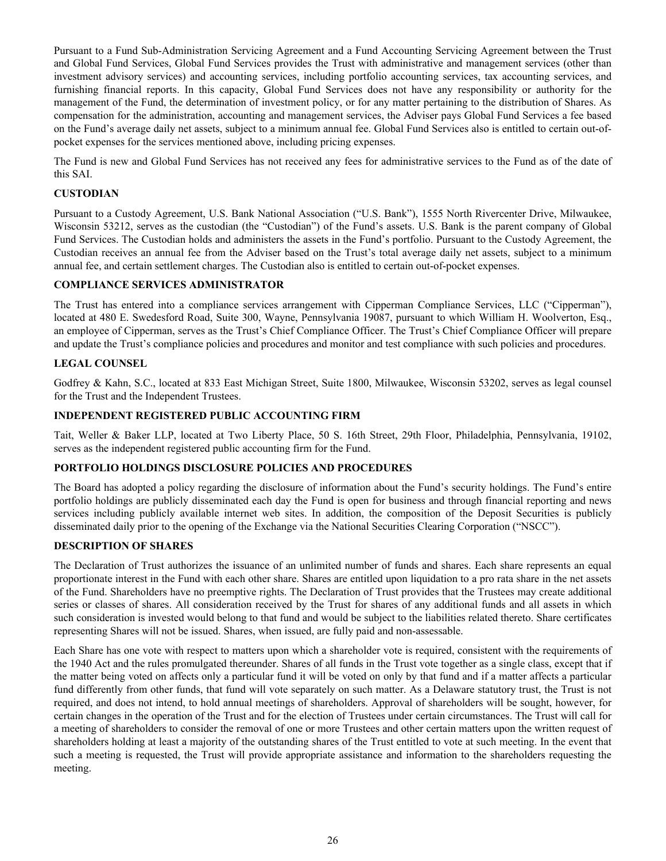<span id="page-27-0"></span>Pursuant to a Fund Sub-Administration Servicing Agreement and a Fund Accounting Servicing Agreement between the Trust and Global Fund Services, Global Fund Services provides the Trust with administrative and management services (other than investment advisory services) and accounting services, including portfolio accounting services, tax accounting services, and furnishing financial reports. In this capacity, Global Fund Services does not have any responsibility or authority for the management of the Fund, the determination of investment policy, or for any matter pertaining to the distribution of Shares. As compensation for the administration, accounting and management services, the Adviser pays Global Fund Services a fee based on the Fund's average daily net assets, subject to a minimum annual fee. Global Fund Services also is entitled to certain out-ofpocket expenses for the services mentioned above, including pricing expenses.

The Fund is new and Global Fund Services has not received any fees for administrative services to the Fund as of the date of this SAI.

## **CUSTODIAN**

Pursuant to a Custody Agreement, U.S. Bank National Association ("U.S. Bank"), 1555 North Rivercenter Drive, Milwaukee, Wisconsin 53212, serves as the custodian (the "Custodian") of the Fund's assets. U.S. Bank is the parent company of Global Fund Services. The Custodian holds and administers the assets in the Fund's portfolio. Pursuant to the Custody Agreement, the Custodian receives an annual fee from the Adviser based on the Trust's total average daily net assets, subject to a minimum annual fee, and certain settlement charges. The Custodian also is entitled to certain out-of-pocket expenses.

## **COMPLIANCE SERVICES ADMINISTRATOR**

The Trust has entered into a compliance services arrangement with Cipperman Compliance Services, LLC ("Cipperman"), located at 480 E. Swedesford Road, Suite 300, Wayne, Pennsylvania 19087, pursuant to which William H. Woolverton, Esq., an employee of Cipperman, serves as the Trust's Chief Compliance Officer. The Trust's Chief Compliance Officer will prepare and update the Trust's compliance policies and procedures and monitor and test compliance with such policies and procedures.

## **LEGAL COUNSEL**

Godfrey & Kahn, S.C., located at 833 East Michigan Street, Suite 1800, Milwaukee, Wisconsin 53202, serves as legal counsel for the Trust and the Independent Trustees.

## **INDEPENDENT REGISTERED PUBLIC ACCOUNTING FIRM**

Tait, Weller & Baker LLP, located at Two Liberty Place, 50 S. 16th Street, 29th Floor, Philadelphia, Pennsylvania, 19102, serves as the independent registered public accounting firm for the Fund.

## **PORTFOLIO HOLDINGS DISCLOSURE POLICIES AND PROCEDURES**

The Board has adopted a policy regarding the disclosure of information about the Fund's security holdings. The Fund's entire portfolio holdings are publicly disseminated each day the Fund is open for business and through financial reporting and news services including publicly available internet web sites. In addition, the composition of the Deposit Securities is publicly disseminated daily prior to the opening of the Exchange via the National Securities Clearing Corporation ("NSCC").

#### **DESCRIPTION OF SHARES**

The Declaration of Trust authorizes the issuance of an unlimited number of funds and shares. Each share represents an equal proportionate interest in the Fund with each other share. Shares are entitled upon liquidation to a pro rata share in the net assets of the Fund. Shareholders have no preemptive rights. The Declaration of Trust provides that the Trustees may create additional series or classes of shares. All consideration received by the Trust for shares of any additional funds and all assets in which such consideration is invested would belong to that fund and would be subject to the liabilities related thereto. Share certificates representing Shares will not be issued. Shares, when issued, are fully paid and non-assessable.

Each Share has one vote with respect to matters upon which a shareholder vote is required, consistent with the requirements of the 1940 Act and the rules promulgated thereunder. Shares of all funds in the Trust vote together as a single class, except that if the matter being voted on affects only a particular fund it will be voted on only by that fund and if a matter affects a particular fund differently from other funds, that fund will vote separately on such matter. As a Delaware statutory trust, the Trust is not required, and does not intend, to hold annual meetings of shareholders. Approval of shareholders will be sought, however, for certain changes in the operation of the Trust and for the election of Trustees under certain circumstances. The Trust will call for a meeting of shareholders to consider the removal of one or more Trustees and other certain matters upon the written request of shareholders holding at least a majority of the outstanding shares of the Trust entitled to vote at such meeting. In the event that such a meeting is requested, the Trust will provide appropriate assistance and information to the shareholders requesting the meeting.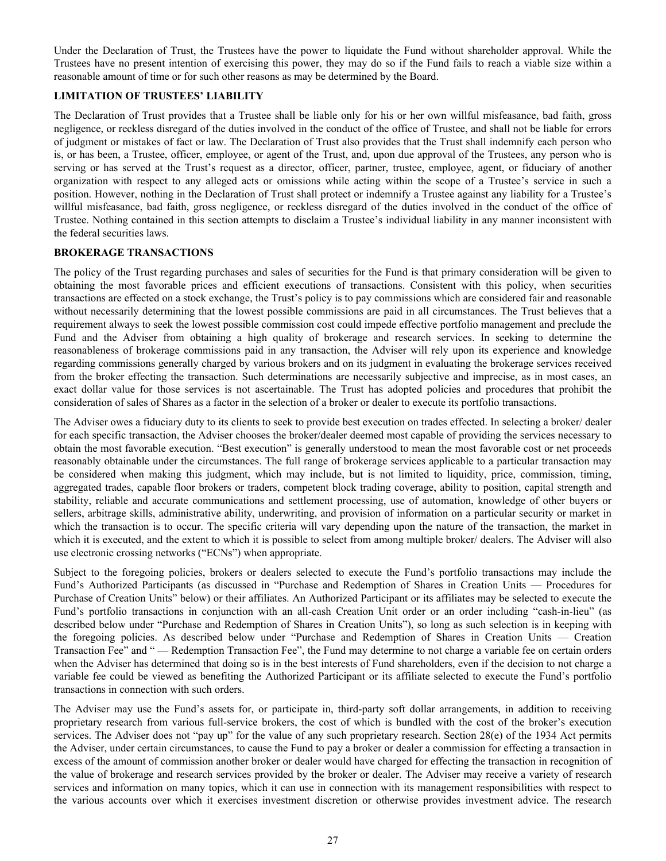<span id="page-28-0"></span>Under the Declaration of Trust, the Trustees have the power to liquidate the Fund without shareholder approval. While the Trustees have no present intention of exercising this power, they may do so if the Fund fails to reach a viable size within a reasonable amount of time or for such other reasons as may be determined by the Board.

## **LIMITATION OF TRUSTEES' LIABILITY**

The Declaration of Trust provides that a Trustee shall be liable only for his or her own willful misfeasance, bad faith, gross negligence, or reckless disregard of the duties involved in the conduct of the office of Trustee, and shall not be liable for errors of judgment or mistakes of fact or law. The Declaration of Trust also provides that the Trust shall indemnify each person who is, or has been, a Trustee, officer, employee, or agent of the Trust, and, upon due approval of the Trustees, any person who is serving or has served at the Trust's request as a director, officer, partner, trustee, employee, agent, or fiduciary of another organization with respect to any alleged acts or omissions while acting within the scope of a Trustee's service in such a position. However, nothing in the Declaration of Trust shall protect or indemnify a Trustee against any liability for a Trustee's willful misfeasance, bad faith, gross negligence, or reckless disregard of the duties involved in the conduct of the office of Trustee. Nothing contained in this section attempts to disclaim a Trustee's individual liability in any manner inconsistent with the federal securities laws.

## **BROKERAGE TRANSACTIONS**

The policy of the Trust regarding purchases and sales of securities for the Fund is that primary consideration will be given to obtaining the most favorable prices and efficient executions of transactions. Consistent with this policy, when securities transactions are effected on a stock exchange, the Trust's policy is to pay commissions which are considered fair and reasonable without necessarily determining that the lowest possible commissions are paid in all circumstances. The Trust believes that a requirement always to seek the lowest possible commission cost could impede effective portfolio management and preclude the Fund and the Adviser from obtaining a high quality of brokerage and research services. In seeking to determine the reasonableness of brokerage commissions paid in any transaction, the Adviser will rely upon its experience and knowledge regarding commissions generally charged by various brokers and on its judgment in evaluating the brokerage services received from the broker effecting the transaction. Such determinations are necessarily subjective and imprecise, as in most cases, an exact dollar value for those services is not ascertainable. The Trust has adopted policies and procedures that prohibit the consideration of sales of Shares as a factor in the selection of a broker or dealer to execute its portfolio transactions.

The Adviser owes a fiduciary duty to its clients to seek to provide best execution on trades effected. In selecting a broker/ dealer for each specific transaction, the Adviser chooses the broker/dealer deemed most capable of providing the services necessary to obtain the most favorable execution. "Best execution" is generally understood to mean the most favorable cost or net proceeds reasonably obtainable under the circumstances. The full range of brokerage services applicable to a particular transaction may be considered when making this judgment, which may include, but is not limited to liquidity, price, commission, timing, aggregated trades, capable floor brokers or traders, competent block trading coverage, ability to position, capital strength and stability, reliable and accurate communications and settlement processing, use of automation, knowledge of other buyers or sellers, arbitrage skills, administrative ability, underwriting, and provision of information on a particular security or market in which the transaction is to occur. The specific criteria will vary depending upon the nature of the transaction, the market in which it is executed, and the extent to which it is possible to select from among multiple broker/ dealers. The Adviser will also use electronic crossing networks ("ECNs") when appropriate.

Subject to the foregoing policies, brokers or dealers selected to execute the Fund's portfolio transactions may include the Fund's Authorized Participants (as discussed in "Purchase and Redemption of Shares in Creation Units — Procedures for Purchase of Creation Units" below) or their affiliates. An Authorized Participant or its affiliates may be selected to execute the Fund's portfolio transactions in conjunction with an all-cash Creation Unit order or an order including "cash-in-lieu" (as described below under "Purchase and Redemption of Shares in Creation Units"), so long as such selection is in keeping with the foregoing policies. As described below under "Purchase and Redemption of Shares in Creation Units — Creation Transaction Fee" and " — Redemption Transaction Fee", the Fund may determine to not charge a variable fee on certain orders when the Adviser has determined that doing so is in the best interests of Fund shareholders, even if the decision to not charge a variable fee could be viewed as benefiting the Authorized Participant or its affiliate selected to execute the Fund's portfolio transactions in connection with such orders.

The Adviser may use the Fund's assets for, or participate in, third-party soft dollar arrangements, in addition to receiving proprietary research from various full-service brokers, the cost of which is bundled with the cost of the broker's execution services. The Adviser does not "pay up" for the value of any such proprietary research. Section 28(e) of the 1934 Act permits the Adviser, under certain circumstances, to cause the Fund to pay a broker or dealer a commission for effecting a transaction in excess of the amount of commission another broker or dealer would have charged for effecting the transaction in recognition of the value of brokerage and research services provided by the broker or dealer. The Adviser may receive a variety of research services and information on many topics, which it can use in connection with its management responsibilities with respect to the various accounts over which it exercises investment discretion or otherwise provides investment advice. The research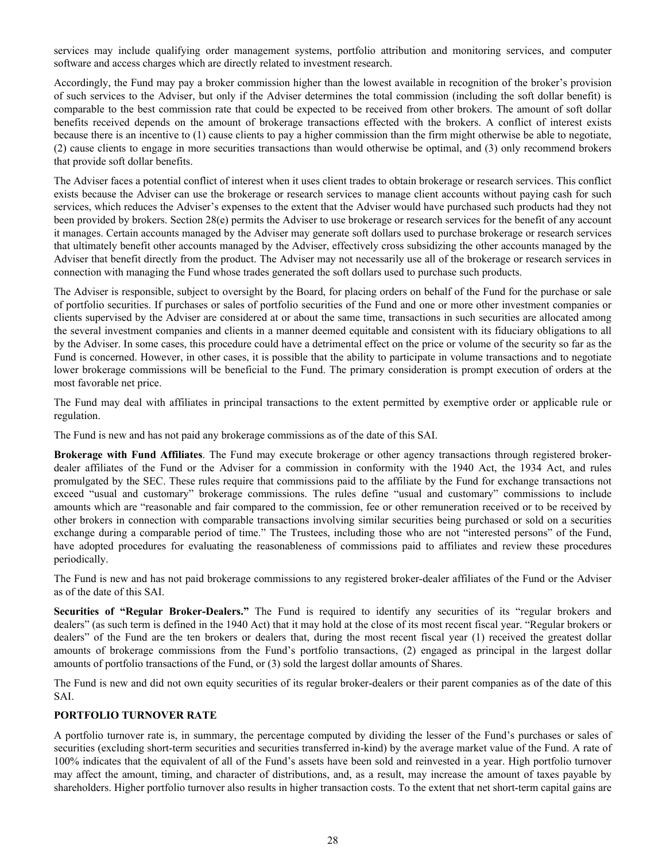<span id="page-29-0"></span>services may include qualifying order management systems, portfolio attribution and monitoring services, and computer software and access charges which are directly related to investment research.

Accordingly, the Fund may pay a broker commission higher than the lowest available in recognition of the broker's provision of such services to the Adviser, but only if the Adviser determines the total commission (including the soft dollar benefit) is comparable to the best commission rate that could be expected to be received from other brokers. The amount of soft dollar benefits received depends on the amount of brokerage transactions effected with the brokers. A conflict of interest exists because there is an incentive to (1) cause clients to pay a higher commission than the firm might otherwise be able to negotiate, (2) cause clients to engage in more securities transactions than would otherwise be optimal, and (3) only recommend brokers that provide soft dollar benefits.

The Adviser faces a potential conflict of interest when it uses client trades to obtain brokerage or research services. This conflict exists because the Adviser can use the brokerage or research services to manage client accounts without paying cash for such services, which reduces the Adviser's expenses to the extent that the Adviser would have purchased such products had they not been provided by brokers. Section 28(e) permits the Adviser to use brokerage or research services for the benefit of any account it manages. Certain accounts managed by the Adviser may generate soft dollars used to purchase brokerage or research services that ultimately benefit other accounts managed by the Adviser, effectively cross subsidizing the other accounts managed by the Adviser that benefit directly from the product. The Adviser may not necessarily use all of the brokerage or research services in connection with managing the Fund whose trades generated the soft dollars used to purchase such products.

The Adviser is responsible, subject to oversight by the Board, for placing orders on behalf of the Fund for the purchase or sale of portfolio securities. If purchases or sales of portfolio securities of the Fund and one or more other investment companies or clients supervised by the Adviser are considered at or about the same time, transactions in such securities are allocated among the several investment companies and clients in a manner deemed equitable and consistent with its fiduciary obligations to all by the Adviser. In some cases, this procedure could have a detrimental effect on the price or volume of the security so far as the Fund is concerned. However, in other cases, it is possible that the ability to participate in volume transactions and to negotiate lower brokerage commissions will be beneficial to the Fund. The primary consideration is prompt execution of orders at the most favorable net price.

The Fund may deal with affiliates in principal transactions to the extent permitted by exemptive order or applicable rule or regulation.

The Fund is new and has not paid any brokerage commissions as of the date of this SAI.

**Brokerage with Fund Affiliates**. The Fund may execute brokerage or other agency transactions through registered brokerdealer affiliates of the Fund or the Adviser for a commission in conformity with the 1940 Act, the 1934 Act, and rules promulgated by the SEC. These rules require that commissions paid to the affiliate by the Fund for exchange transactions not exceed "usual and customary" brokerage commissions. The rules define "usual and customary" commissions to include amounts which are "reasonable and fair compared to the commission, fee or other remuneration received or to be received by other brokers in connection with comparable transactions involving similar securities being purchased or sold on a securities exchange during a comparable period of time." The Trustees, including those who are not "interested persons" of the Fund, have adopted procedures for evaluating the reasonableness of commissions paid to affiliates and review these procedures periodically.

The Fund is new and has not paid brokerage commissions to any registered broker-dealer affiliates of the Fund or the Adviser as of the date of this SAI.

**Securities of "Regular Broker-Dealers."** The Fund is required to identify any securities of its "regular brokers and dealers" (as such term is defined in the 1940 Act) that it may hold at the close of its most recent fiscal year. "Regular brokers or dealers" of the Fund are the ten brokers or dealers that, during the most recent fiscal year (1) received the greatest dollar amounts of brokerage commissions from the Fund's portfolio transactions, (2) engaged as principal in the largest dollar amounts of portfolio transactions of the Fund, or (3) sold the largest dollar amounts of Shares.

The Fund is new and did not own equity securities of its regular broker-dealers or their parent companies as of the date of this SAI.

## **PORTFOLIO TURNOVER RATE**

A portfolio turnover rate is, in summary, the percentage computed by dividing the lesser of the Fund's purchases or sales of securities (excluding short-term securities and securities transferred in-kind) by the average market value of the Fund. A rate of 100% indicates that the equivalent of all of the Fund's assets have been sold and reinvested in a year. High portfolio turnover may affect the amount, timing, and character of distributions, and, as a result, may increase the amount of taxes payable by shareholders. Higher portfolio turnover also results in higher transaction costs. To the extent that net short-term capital gains are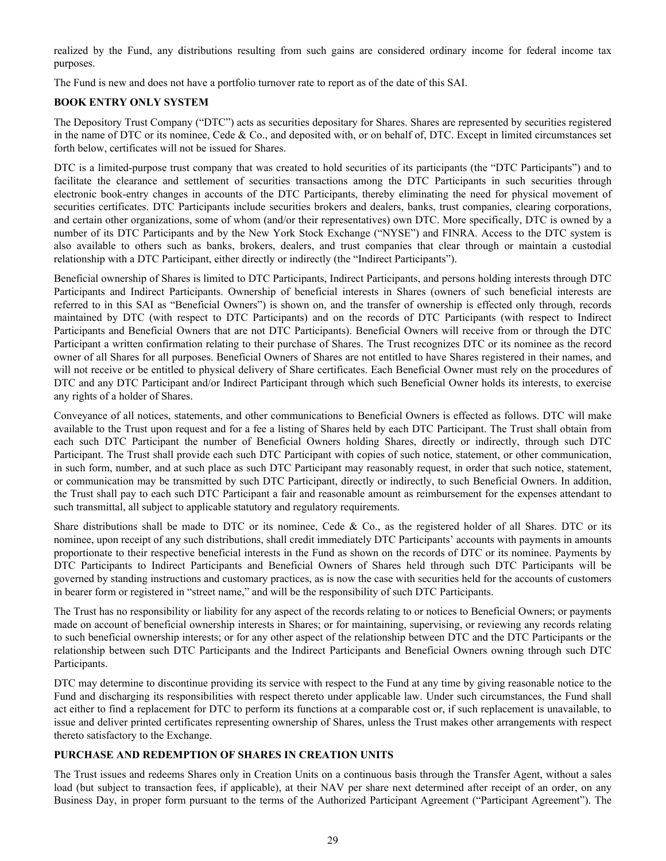<span id="page-30-0"></span>realized by the Fund, any distributions resulting from such gains are considered ordinary income for federal income tax purposes.

The Fund is new and does not have a portfolio turnover rate to report as of the date of this SAI.

# **BOOK ENTRY ONLY SYSTEM**

The Depository Trust Company ("DTC") acts as securities depositary for Shares. Shares are represented by securities registered in the name of DTC or its nominee, Cede & Co., and deposited with, or on behalf of, DTC. Except in limited circumstances set forth below, certificates will not be issued for Shares.

DTC is a limited-purpose trust company that was created to hold securities of its participants (the "DTC Participants") and to facilitate the clearance and settlement of securities transactions among the DTC Participants in such securities through electronic book-entry changes in accounts of the DTC Participants, thereby eliminating the need for physical movement of securities certificates. DTC Participants include securities brokers and dealers, banks, trust companies, clearing corporations, and certain other organizations, some of whom (and/or their representatives) own DTC. More specifically, DTC is owned by a number of its DTC Participants and by the New York Stock Exchange ("NYSE") and FINRA. Access to the DTC system is also available to others such as banks, brokers, dealers, and trust companies that clear through or maintain a custodial relationship with a DTC Participant, either directly or indirectly (the "Indirect Participants").

Beneficial ownership of Shares is limited to DTC Participants, Indirect Participants, and persons holding interests through DTC Participants and Indirect Participants. Ownership of beneficial interests in Shares (owners of such beneficial interests are referred to in this SAI as "Beneficial Owners") is shown on, and the transfer of ownership is effected only through, records maintained by DTC (with respect to DTC Participants) and on the records of DTC Participants (with respect to Indirect Participants and Beneficial Owners that are not DTC Participants). Beneficial Owners will receive from or through the DTC Participant a written confirmation relating to their purchase of Shares. The Trust recognizes DTC or its nominee as the record owner of all Shares for all purposes. Beneficial Owners of Shares are not entitled to have Shares registered in their names, and will not receive or be entitled to physical delivery of Share certificates. Each Beneficial Owner must rely on the procedures of DTC and any DTC Participant and/or Indirect Participant through which such Beneficial Owner holds its interests, to exercise any rights of a holder of Shares.

Conveyance of all notices, statements, and other communications to Beneficial Owners is effected as follows. DTC will make available to the Trust upon request and for a fee a listing of Shares held by each DTC Participant. The Trust shall obtain from each such DTC Participant the number of Beneficial Owners holding Shares, directly or indirectly, through such DTC Participant. The Trust shall provide each such DTC Participant with copies of such notice, statement, or other communication, in such form, number, and at such place as such DTC Participant may reasonably request, in order that such notice, statement, or communication may be transmitted by such DTC Participant, directly or indirectly, to such Beneficial Owners. In addition, the Trust shall pay to each such DTC Participant a fair and reasonable amount as reimbursement for the expenses attendant to such transmittal, all subject to applicable statutory and regulatory requirements.

Share distributions shall be made to DTC or its nominee, Cede & Co., as the registered holder of all Shares. DTC or its nominee, upon receipt of any such distributions, shall credit immediately DTC Participants' accounts with payments in amounts proportionate to their respective beneficial interests in the Fund as shown on the records of DTC or its nominee. Payments by DTC Participants to Indirect Participants and Beneficial Owners of Shares held through such DTC Participants will be governed by standing instructions and customary practices, as is now the case with securities held for the accounts of customers in bearer form or registered in "street name," and will be the responsibility of such DTC Participants.

The Trust has no responsibility or liability for any aspect of the records relating to or notices to Beneficial Owners; or payments made on account of beneficial ownership interests in Shares; or for maintaining, supervising, or reviewing any records relating to such beneficial ownership interests; or for any other aspect of the relationship between DTC and the DTC Participants or the relationship between such DTC Participants and the Indirect Participants and Beneficial Owners owning through such DTC Participants.

DTC may determine to discontinue providing its service with respect to the Fund at any time by giving reasonable notice to the Fund and discharging its responsibilities with respect thereto under applicable law. Under such circumstances, the Fund shall act either to find a replacement for DTC to perform its functions at a comparable cost or, if such replacement is unavailable, to issue and deliver printed certificates representing ownership of Shares, unless the Trust makes other arrangements with respect thereto satisfactory to the Exchange.

## **PURCHASE AND REDEMPTION OF SHARES IN CREATION UNITS**

The Trust issues and redeems Shares only in Creation Units on a continuous basis through the Transfer Agent, without a sales load (but subject to transaction fees, if applicable), at their NAV per share next determined after receipt of an order, on any Business Day, in proper form pursuant to the terms of the Authorized Participant Agreement ("Participant Agreement"). The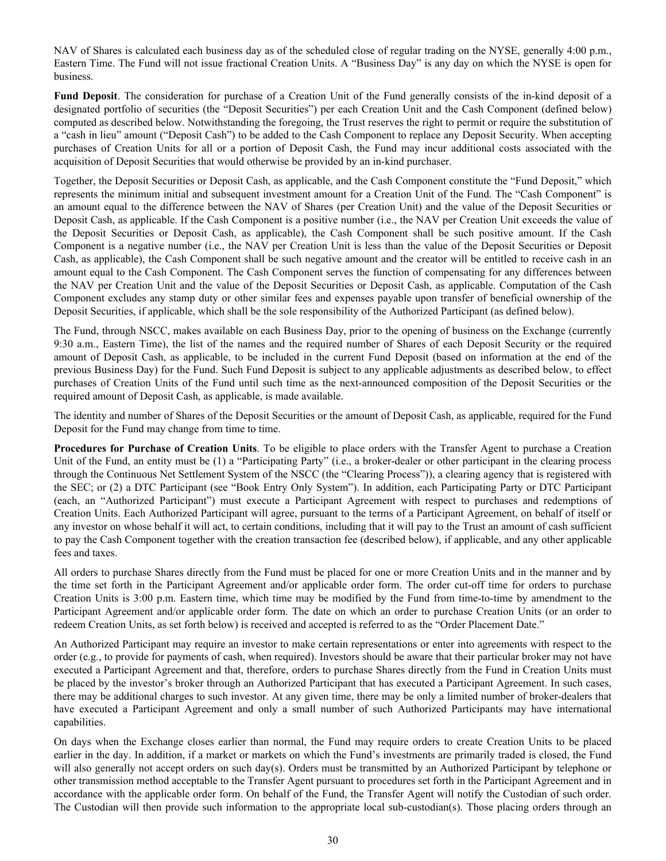NAV of Shares is calculated each business day as of the scheduled close of regular trading on the NYSE, generally 4:00 p.m., Eastern Time. The Fund will not issue fractional Creation Units. A "Business Day" is any day on which the NYSE is open for business.

**Fund Deposit**. The consideration for purchase of a Creation Unit of the Fund generally consists of the in-kind deposit of a designated portfolio of securities (the "Deposit Securities") per each Creation Unit and the Cash Component (defined below) computed as described below. Notwithstanding the foregoing, the Trust reserves the right to permit or require the substitution of a "cash in lieu" amount ("Deposit Cash") to be added to the Cash Component to replace any Deposit Security. When accepting purchases of Creation Units for all or a portion of Deposit Cash, the Fund may incur additional costs associated with the acquisition of Deposit Securities that would otherwise be provided by an in-kind purchaser.

Together, the Deposit Securities or Deposit Cash, as applicable, and the Cash Component constitute the "Fund Deposit," which represents the minimum initial and subsequent investment amount for a Creation Unit of the Fund. The "Cash Component" is an amount equal to the difference between the NAV of Shares (per Creation Unit) and the value of the Deposit Securities or Deposit Cash, as applicable. If the Cash Component is a positive number (i.e., the NAV per Creation Unit exceeds the value of the Deposit Securities or Deposit Cash, as applicable), the Cash Component shall be such positive amount. If the Cash Component is a negative number (i.e., the NAV per Creation Unit is less than the value of the Deposit Securities or Deposit Cash, as applicable), the Cash Component shall be such negative amount and the creator will be entitled to receive cash in an amount equal to the Cash Component. The Cash Component serves the function of compensating for any differences between the NAV per Creation Unit and the value of the Deposit Securities or Deposit Cash, as applicable. Computation of the Cash Component excludes any stamp duty or other similar fees and expenses payable upon transfer of beneficial ownership of the Deposit Securities, if applicable, which shall be the sole responsibility of the Authorized Participant (as defined below).

The Fund, through NSCC, makes available on each Business Day, prior to the opening of business on the Exchange (currently 9:30 a.m., Eastern Time), the list of the names and the required number of Shares of each Deposit Security or the required amount of Deposit Cash, as applicable, to be included in the current Fund Deposit (based on information at the end of the previous Business Day) for the Fund. Such Fund Deposit is subject to any applicable adjustments as described below, to effect purchases of Creation Units of the Fund until such time as the next-announced composition of the Deposit Securities or the required amount of Deposit Cash, as applicable, is made available.

The identity and number of Shares of the Deposit Securities or the amount of Deposit Cash, as applicable, required for the Fund Deposit for the Fund may change from time to time.

**Procedures for Purchase of Creation Units**. To be eligible to place orders with the Transfer Agent to purchase a Creation Unit of the Fund, an entity must be (1) a "Participating Party" (i.e., a broker-dealer or other participant in the clearing process through the Continuous Net Settlement System of the NSCC (the "Clearing Process")), a clearing agency that is registered with the SEC; or (2) a DTC Participant (see "Book Entry Only System"). In addition, each Participating Party or DTC Participant (each, an "Authorized Participant") must execute a Participant Agreement with respect to purchases and redemptions of Creation Units. Each Authorized Participant will agree, pursuant to the terms of a Participant Agreement, on behalf of itself or any investor on whose behalf it will act, to certain conditions, including that it will pay to the Trust an amount of cash sufficient to pay the Cash Component together with the creation transaction fee (described below), if applicable, and any other applicable fees and taxes.

All orders to purchase Shares directly from the Fund must be placed for one or more Creation Units and in the manner and by the time set forth in the Participant Agreement and/or applicable order form. The order cut-off time for orders to purchase Creation Units is 3:00 p.m. Eastern time, which time may be modified by the Fund from time-to-time by amendment to the Participant Agreement and/or applicable order form. The date on which an order to purchase Creation Units (or an order to redeem Creation Units, as set forth below) is received and accepted is referred to as the "Order Placement Date."

An Authorized Participant may require an investor to make certain representations or enter into agreements with respect to the order (e.g*.*, to provide for payments of cash, when required). Investors should be aware that their particular broker may not have executed a Participant Agreement and that, therefore, orders to purchase Shares directly from the Fund in Creation Units must be placed by the investor's broker through an Authorized Participant that has executed a Participant Agreement. In such cases, there may be additional charges to such investor. At any given time, there may be only a limited number of broker-dealers that have executed a Participant Agreement and only a small number of such Authorized Participants may have international capabilities.

On days when the Exchange closes earlier than normal, the Fund may require orders to create Creation Units to be placed earlier in the day. In addition, if a market or markets on which the Fund's investments are primarily traded is closed, the Fund will also generally not accept orders on such day(s). Orders must be transmitted by an Authorized Participant by telephone or other transmission method acceptable to the Transfer Agent pursuant to procedures set forth in the Participant Agreement and in accordance with the applicable order form. On behalf of the Fund, the Transfer Agent will notify the Custodian of such order. The Custodian will then provide such information to the appropriate local sub-custodian(s). Those placing orders through an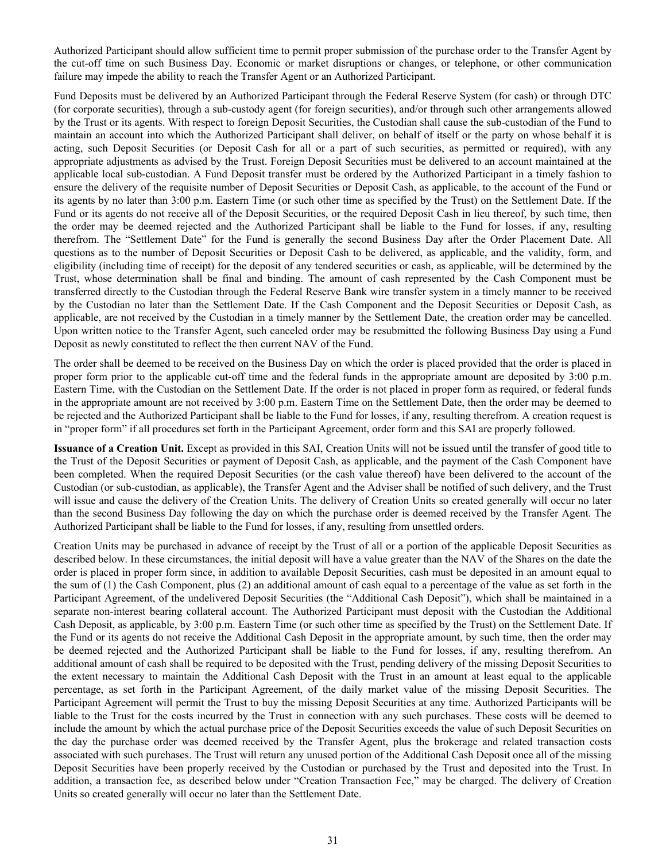Authorized Participant should allow sufficient time to permit proper submission of the purchase order to the Transfer Agent by the cut-off time on such Business Day. Economic or market disruptions or changes, or telephone, or other communication failure may impede the ability to reach the Transfer Agent or an Authorized Participant.

Fund Deposits must be delivered by an Authorized Participant through the Federal Reserve System (for cash) or through DTC (for corporate securities), through a sub-custody agent (for foreign securities), and/or through such other arrangements allowed by the Trust or its agents. With respect to foreign Deposit Securities, the Custodian shall cause the sub-custodian of the Fund to maintain an account into which the Authorized Participant shall deliver, on behalf of itself or the party on whose behalf it is acting, such Deposit Securities (or Deposit Cash for all or a part of such securities, as permitted or required), with any appropriate adjustments as advised by the Trust. Foreign Deposit Securities must be delivered to an account maintained at the applicable local sub-custodian. A Fund Deposit transfer must be ordered by the Authorized Participant in a timely fashion to ensure the delivery of the requisite number of Deposit Securities or Deposit Cash, as applicable, to the account of the Fund or its agents by no later than 3:00 p.m. Eastern Time (or such other time as specified by the Trust) on the Settlement Date. If the Fund or its agents do not receive all of the Deposit Securities, or the required Deposit Cash in lieu thereof, by such time, then the order may be deemed rejected and the Authorized Participant shall be liable to the Fund for losses, if any, resulting therefrom. The "Settlement Date" for the Fund is generally the second Business Day after the Order Placement Date. All questions as to the number of Deposit Securities or Deposit Cash to be delivered, as applicable, and the validity, form, and eligibility (including time of receipt) for the deposit of any tendered securities or cash, as applicable, will be determined by the Trust, whose determination shall be final and binding. The amount of cash represented by the Cash Component must be transferred directly to the Custodian through the Federal Reserve Bank wire transfer system in a timely manner to be received by the Custodian no later than the Settlement Date. If the Cash Component and the Deposit Securities or Deposit Cash, as applicable, are not received by the Custodian in a timely manner by the Settlement Date, the creation order may be cancelled. Upon written notice to the Transfer Agent, such canceled order may be resubmitted the following Business Day using a Fund Deposit as newly constituted to reflect the then current NAV of the Fund.

The order shall be deemed to be received on the Business Day on which the order is placed provided that the order is placed in proper form prior to the applicable cut-off time and the federal funds in the appropriate amount are deposited by 3:00 p.m. Eastern Time, with the Custodian on the Settlement Date. If the order is not placed in proper form as required, or federal funds in the appropriate amount are not received by 3:00 p.m. Eastern Time on the Settlement Date, then the order may be deemed to be rejected and the Authorized Participant shall be liable to the Fund for losses, if any, resulting therefrom. A creation request is in "proper form" if all procedures set forth in the Participant Agreement, order form and this SAI are properly followed.

**Issuance of a Creation Unit.** Except as provided in this SAI, Creation Units will not be issued until the transfer of good title to the Trust of the Deposit Securities or payment of Deposit Cash, as applicable, and the payment of the Cash Component have been completed. When the required Deposit Securities (or the cash value thereof) have been delivered to the account of the Custodian (or sub-custodian, as applicable), the Transfer Agent and the Adviser shall be notified of such delivery, and the Trust will issue and cause the delivery of the Creation Units. The delivery of Creation Units so created generally will occur no later than the second Business Day following the day on which the purchase order is deemed received by the Transfer Agent. The Authorized Participant shall be liable to the Fund for losses, if any, resulting from unsettled orders.

Creation Units may be purchased in advance of receipt by the Trust of all or a portion of the applicable Deposit Securities as described below. In these circumstances, the initial deposit will have a value greater than the NAV of the Shares on the date the order is placed in proper form since, in addition to available Deposit Securities, cash must be deposited in an amount equal to the sum of (1) the Cash Component, plus (2) an additional amount of cash equal to a percentage of the value as set forth in the Participant Agreement, of the undelivered Deposit Securities (the "Additional Cash Deposit"), which shall be maintained in a separate non-interest bearing collateral account. The Authorized Participant must deposit with the Custodian the Additional Cash Deposit, as applicable, by 3:00 p.m. Eastern Time (or such other time as specified by the Trust) on the Settlement Date. If the Fund or its agents do not receive the Additional Cash Deposit in the appropriate amount, by such time, then the order may be deemed rejected and the Authorized Participant shall be liable to the Fund for losses, if any, resulting therefrom. An additional amount of cash shall be required to be deposited with the Trust, pending delivery of the missing Deposit Securities to the extent necessary to maintain the Additional Cash Deposit with the Trust in an amount at least equal to the applicable percentage, as set forth in the Participant Agreement, of the daily market value of the missing Deposit Securities. The Participant Agreement will permit the Trust to buy the missing Deposit Securities at any time. Authorized Participants will be liable to the Trust for the costs incurred by the Trust in connection with any such purchases. These costs will be deemed to include the amount by which the actual purchase price of the Deposit Securities exceeds the value of such Deposit Securities on the day the purchase order was deemed received by the Transfer Agent, plus the brokerage and related transaction costs associated with such purchases. The Trust will return any unused portion of the Additional Cash Deposit once all of the missing Deposit Securities have been properly received by the Custodian or purchased by the Trust and deposited into the Trust. In addition, a transaction fee, as described below under "Creation Transaction Fee," may be charged. The delivery of Creation Units so created generally will occur no later than the Settlement Date.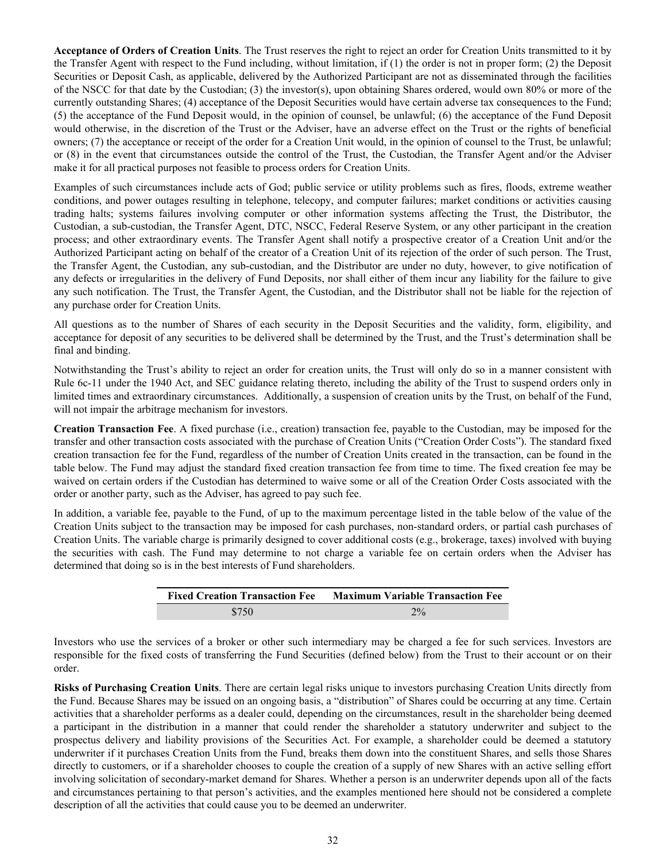**Acceptance of Orders of Creation Units**. The Trust reserves the right to reject an order for Creation Units transmitted to it by the Transfer Agent with respect to the Fund including, without limitation, if (1) the order is not in proper form; (2) the Deposit Securities or Deposit Cash, as applicable, delivered by the Authorized Participant are not as disseminated through the facilities of the NSCC for that date by the Custodian; (3) the investor(s), upon obtaining Shares ordered, would own 80% or more of the currently outstanding Shares; (4) acceptance of the Deposit Securities would have certain adverse tax consequences to the Fund; (5) the acceptance of the Fund Deposit would, in the opinion of counsel, be unlawful; (6) the acceptance of the Fund Deposit would otherwise, in the discretion of the Trust or the Adviser, have an adverse effect on the Trust or the rights of beneficial owners; (7) the acceptance or receipt of the order for a Creation Unit would, in the opinion of counsel to the Trust, be unlawful; or (8) in the event that circumstances outside the control of the Trust, the Custodian, the Transfer Agent and/or the Adviser make it for all practical purposes not feasible to process orders for Creation Units.

Examples of such circumstances include acts of God; public service or utility problems such as fires, floods, extreme weather conditions, and power outages resulting in telephone, telecopy, and computer failures; market conditions or activities causing trading halts; systems failures involving computer or other information systems affecting the Trust, the Distributor, the Custodian, a sub-custodian, the Transfer Agent, DTC, NSCC, Federal Reserve System, or any other participant in the creation process; and other extraordinary events. The Transfer Agent shall notify a prospective creator of a Creation Unit and/or the Authorized Participant acting on behalf of the creator of a Creation Unit of its rejection of the order of such person. The Trust, the Transfer Agent, the Custodian, any sub-custodian, and the Distributor are under no duty, however, to give notification of any defects or irregularities in the delivery of Fund Deposits, nor shall either of them incur any liability for the failure to give any such notification. The Trust, the Transfer Agent, the Custodian, and the Distributor shall not be liable for the rejection of any purchase order for Creation Units.

All questions as to the number of Shares of each security in the Deposit Securities and the validity, form, eligibility, and acceptance for deposit of any securities to be delivered shall be determined by the Trust, and the Trust's determination shall be final and binding.

Notwithstanding the Trust's ability to reject an order for creation units, the Trust will only do so in a manner consistent with Rule 6c-11 under the 1940 Act, and SEC guidance relating thereto, including the ability of the Trust to suspend orders only in limited times and extraordinary circumstances. Additionally, a suspension of creation units by the Trust, on behalf of the Fund, will not impair the arbitrage mechanism for investors.

**Creation Transaction Fee**. A fixed purchase (i.e., creation) transaction fee, payable to the Custodian, may be imposed for the transfer and other transaction costs associated with the purchase of Creation Units ("Creation Order Costs"). The standard fixed creation transaction fee for the Fund, regardless of the number of Creation Units created in the transaction, can be found in the table below. The Fund may adjust the standard fixed creation transaction fee from time to time. The fixed creation fee may be waived on certain orders if the Custodian has determined to waive some or all of the Creation Order Costs associated with the order or another party, such as the Adviser, has agreed to pay such fee.

In addition, a variable fee, payable to the Fund, of up to the maximum percentage listed in the table below of the value of the Creation Units subject to the transaction may be imposed for cash purchases, non-standard orders, or partial cash purchases of Creation Units. The variable charge is primarily designed to cover additional costs (e.g., brokerage, taxes) involved with buying the securities with cash. The Fund may determine to not charge a variable fee on certain orders when the Adviser has determined that doing so is in the best interests of Fund shareholders.

| <b>Fixed Creation Transaction Fee</b> | <b>Maximum Variable Transaction Fee</b> |
|---------------------------------------|-----------------------------------------|
| \$750                                 | $2\%$                                   |

Investors who use the services of a broker or other such intermediary may be charged a fee for such services. Investors are responsible for the fixed costs of transferring the Fund Securities (defined below) from the Trust to their account or on their order.

**Risks of Purchasing Creation Units**. There are certain legal risks unique to investors purchasing Creation Units directly from the Fund. Because Shares may be issued on an ongoing basis, a "distribution" of Shares could be occurring at any time. Certain activities that a shareholder performs as a dealer could, depending on the circumstances, result in the shareholder being deemed a participant in the distribution in a manner that could render the shareholder a statutory underwriter and subject to the prospectus delivery and liability provisions of the Securities Act. For example, a shareholder could be deemed a statutory underwriter if it purchases Creation Units from the Fund, breaks them down into the constituent Shares, and sells those Shares directly to customers, or if a shareholder chooses to couple the creation of a supply of new Shares with an active selling effort involving solicitation of secondary-market demand for Shares. Whether a person is an underwriter depends upon all of the facts and circumstances pertaining to that person's activities, and the examples mentioned here should not be considered a complete description of all the activities that could cause you to be deemed an underwriter.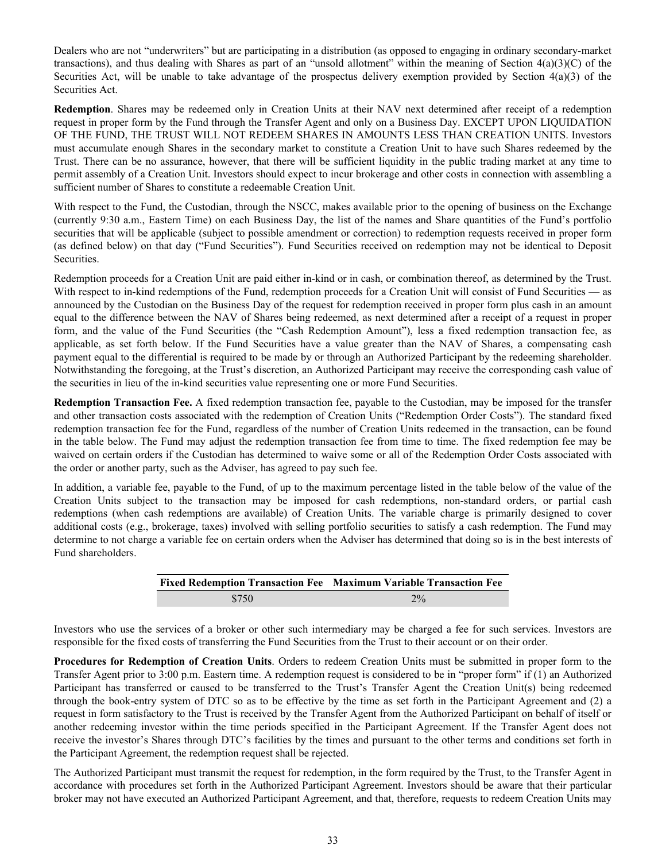Dealers who are not "underwriters" but are participating in a distribution (as opposed to engaging in ordinary secondary-market transactions), and thus dealing with Shares as part of an "unsold allotment" within the meaning of Section  $4(a)(3)(C)$  of the Securities Act, will be unable to take advantage of the prospectus delivery exemption provided by Section  $4(a)(3)$  of the Securities Act.

**Redemption**. Shares may be redeemed only in Creation Units at their NAV next determined after receipt of a redemption request in proper form by the Fund through the Transfer Agent and only on a Business Day. EXCEPT UPON LIQUIDATION OF THE FUND, THE TRUST WILL NOT REDEEM SHARES IN AMOUNTS LESS THAN CREATION UNITS. Investors must accumulate enough Shares in the secondary market to constitute a Creation Unit to have such Shares redeemed by the Trust. There can be no assurance, however, that there will be sufficient liquidity in the public trading market at any time to permit assembly of a Creation Unit. Investors should expect to incur brokerage and other costs in connection with assembling a sufficient number of Shares to constitute a redeemable Creation Unit.

With respect to the Fund, the Custodian, through the NSCC, makes available prior to the opening of business on the Exchange (currently 9:30 a.m., Eastern Time) on each Business Day, the list of the names and Share quantities of the Fund's portfolio securities that will be applicable (subject to possible amendment or correction) to redemption requests received in proper form (as defined below) on that day ("Fund Securities"). Fund Securities received on redemption may not be identical to Deposit Securities.

Redemption proceeds for a Creation Unit are paid either in-kind or in cash, or combination thereof, as determined by the Trust. With respect to in-kind redemptions of the Fund, redemption proceeds for a Creation Unit will consist of Fund Securities — as announced by the Custodian on the Business Day of the request for redemption received in proper form plus cash in an amount equal to the difference between the NAV of Shares being redeemed, as next determined after a receipt of a request in proper form, and the value of the Fund Securities (the "Cash Redemption Amount"), less a fixed redemption transaction fee, as applicable, as set forth below. If the Fund Securities have a value greater than the NAV of Shares, a compensating cash payment equal to the differential is required to be made by or through an Authorized Participant by the redeeming shareholder. Notwithstanding the foregoing, at the Trust's discretion, an Authorized Participant may receive the corresponding cash value of the securities in lieu of the in-kind securities value representing one or more Fund Securities.

**Redemption Transaction Fee.** A fixed redemption transaction fee, payable to the Custodian, may be imposed for the transfer and other transaction costs associated with the redemption of Creation Units ("Redemption Order Costs"). The standard fixed redemption transaction fee for the Fund, regardless of the number of Creation Units redeemed in the transaction, can be found in the table below. The Fund may adjust the redemption transaction fee from time to time. The fixed redemption fee may be waived on certain orders if the Custodian has determined to waive some or all of the Redemption Order Costs associated with the order or another party, such as the Adviser, has agreed to pay such fee.

In addition, a variable fee, payable to the Fund, of up to the maximum percentage listed in the table below of the value of the Creation Units subject to the transaction may be imposed for cash redemptions, non-standard orders, or partial cash redemptions (when cash redemptions are available) of Creation Units. The variable charge is primarily designed to cover additional costs (e.g., brokerage, taxes) involved with selling portfolio securities to satisfy a cash redemption. The Fund may determine to not charge a variable fee on certain orders when the Adviser has determined that doing so is in the best interests of Fund shareholders.

|       | Fixed Redemption Transaction Fee Maximum Variable Transaction Fee |
|-------|-------------------------------------------------------------------|
| \$750 | $2\%$                                                             |

Investors who use the services of a broker or other such intermediary may be charged a fee for such services. Investors are responsible for the fixed costs of transferring the Fund Securities from the Trust to their account or on their order.

**Procedures for Redemption of Creation Units**. Orders to redeem Creation Units must be submitted in proper form to the Transfer Agent prior to 3:00 p.m. Eastern time. A redemption request is considered to be in "proper form" if (1) an Authorized Participant has transferred or caused to be transferred to the Trust's Transfer Agent the Creation Unit(s) being redeemed through the book-entry system of DTC so as to be effective by the time as set forth in the Participant Agreement and (2) a request in form satisfactory to the Trust is received by the Transfer Agent from the Authorized Participant on behalf of itself or another redeeming investor within the time periods specified in the Participant Agreement. If the Transfer Agent does not receive the investor's Shares through DTC's facilities by the times and pursuant to the other terms and conditions set forth in the Participant Agreement, the redemption request shall be rejected.

The Authorized Participant must transmit the request for redemption, in the form required by the Trust, to the Transfer Agent in accordance with procedures set forth in the Authorized Participant Agreement. Investors should be aware that their particular broker may not have executed an Authorized Participant Agreement, and that, therefore, requests to redeem Creation Units may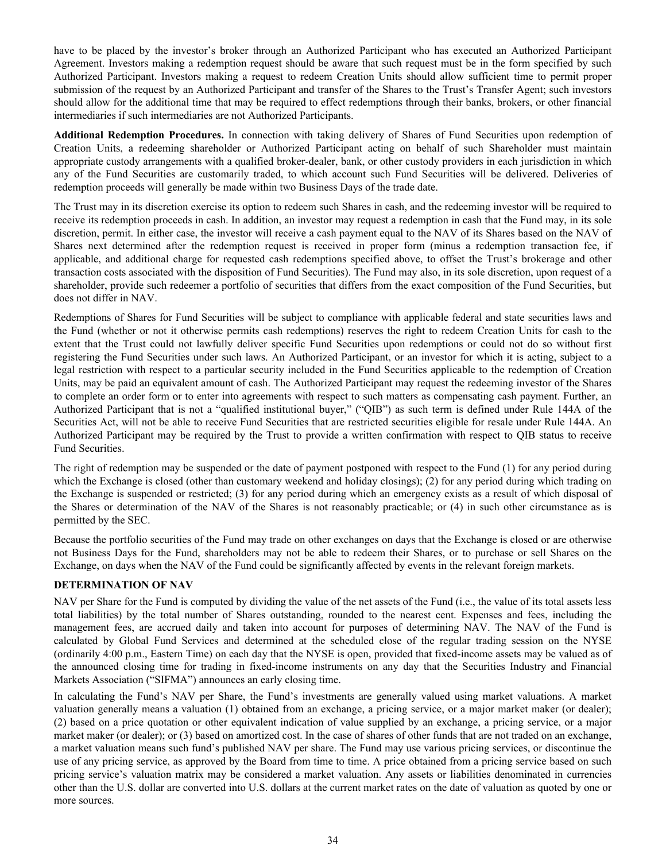<span id="page-35-0"></span>have to be placed by the investor's broker through an Authorized Participant who has executed an Authorized Participant Agreement. Investors making a redemption request should be aware that such request must be in the form specified by such Authorized Participant. Investors making a request to redeem Creation Units should allow sufficient time to permit proper submission of the request by an Authorized Participant and transfer of the Shares to the Trust's Transfer Agent; such investors should allow for the additional time that may be required to effect redemptions through their banks, brokers, or other financial intermediaries if such intermediaries are not Authorized Participants.

**Additional Redemption Procedures.** In connection with taking delivery of Shares of Fund Securities upon redemption of Creation Units, a redeeming shareholder or Authorized Participant acting on behalf of such Shareholder must maintain appropriate custody arrangements with a qualified broker-dealer, bank, or other custody providers in each jurisdiction in which any of the Fund Securities are customarily traded, to which account such Fund Securities will be delivered. Deliveries of redemption proceeds will generally be made within two Business Days of the trade date.

The Trust may in its discretion exercise its option to redeem such Shares in cash, and the redeeming investor will be required to receive its redemption proceeds in cash. In addition, an investor may request a redemption in cash that the Fund may, in its sole discretion, permit. In either case, the investor will receive a cash payment equal to the NAV of its Shares based on the NAV of Shares next determined after the redemption request is received in proper form (minus a redemption transaction fee, if applicable, and additional charge for requested cash redemptions specified above, to offset the Trust's brokerage and other transaction costs associated with the disposition of Fund Securities). The Fund may also, in its sole discretion, upon request of a shareholder, provide such redeemer a portfolio of securities that differs from the exact composition of the Fund Securities, but does not differ in NAV.

Redemptions of Shares for Fund Securities will be subject to compliance with applicable federal and state securities laws and the Fund (whether or not it otherwise permits cash redemptions) reserves the right to redeem Creation Units for cash to the extent that the Trust could not lawfully deliver specific Fund Securities upon redemptions or could not do so without first registering the Fund Securities under such laws. An Authorized Participant, or an investor for which it is acting, subject to a legal restriction with respect to a particular security included in the Fund Securities applicable to the redemption of Creation Units, may be paid an equivalent amount of cash. The Authorized Participant may request the redeeming investor of the Shares to complete an order form or to enter into agreements with respect to such matters as compensating cash payment. Further, an Authorized Participant that is not a "qualified institutional buyer," ("QIB") as such term is defined under Rule 144A of the Securities Act, will not be able to receive Fund Securities that are restricted securities eligible for resale under Rule 144A. An Authorized Participant may be required by the Trust to provide a written confirmation with respect to QIB status to receive Fund Securities.

The right of redemption may be suspended or the date of payment postponed with respect to the Fund (1) for any period during which the Exchange is closed (other than customary weekend and holiday closings); (2) for any period during which trading on the Exchange is suspended or restricted; (3) for any period during which an emergency exists as a result of which disposal of the Shares or determination of the NAV of the Shares is not reasonably practicable; or (4) in such other circumstance as is permitted by the SEC.

Because the portfolio securities of the Fund may trade on other exchanges on days that the Exchange is closed or are otherwise not Business Days for the Fund, shareholders may not be able to redeem their Shares, or to purchase or sell Shares on the Exchange, on days when the NAV of the Fund could be significantly affected by events in the relevant foreign markets.

## **DETERMINATION OF NAV**

NAV per Share for the Fund is computed by dividing the value of the net assets of the Fund (i.e., the value of its total assets less total liabilities) by the total number of Shares outstanding, rounded to the nearest cent. Expenses and fees, including the management fees, are accrued daily and taken into account for purposes of determining NAV. The NAV of the Fund is calculated by Global Fund Services and determined at the scheduled close of the regular trading session on the NYSE (ordinarily 4:00 p.m., Eastern Time) on each day that the NYSE is open, provided that fixed-income assets may be valued as of the announced closing time for trading in fixed-income instruments on any day that the Securities Industry and Financial Markets Association ("SIFMA") announces an early closing time.

In calculating the Fund's NAV per Share, the Fund's investments are generally valued using market valuations. A market valuation generally means a valuation (1) obtained from an exchange, a pricing service, or a major market maker (or dealer); (2) based on a price quotation or other equivalent indication of value supplied by an exchange, a pricing service, or a major market maker (or dealer); or (3) based on amortized cost. In the case of shares of other funds that are not traded on an exchange, a market valuation means such fund's published NAV per share. The Fund may use various pricing services, or discontinue the use of any pricing service, as approved by the Board from time to time. A price obtained from a pricing service based on such pricing service's valuation matrix may be considered a market valuation. Any assets or liabilities denominated in currencies other than the U.S. dollar are converted into U.S. dollars at the current market rates on the date of valuation as quoted by one or more sources.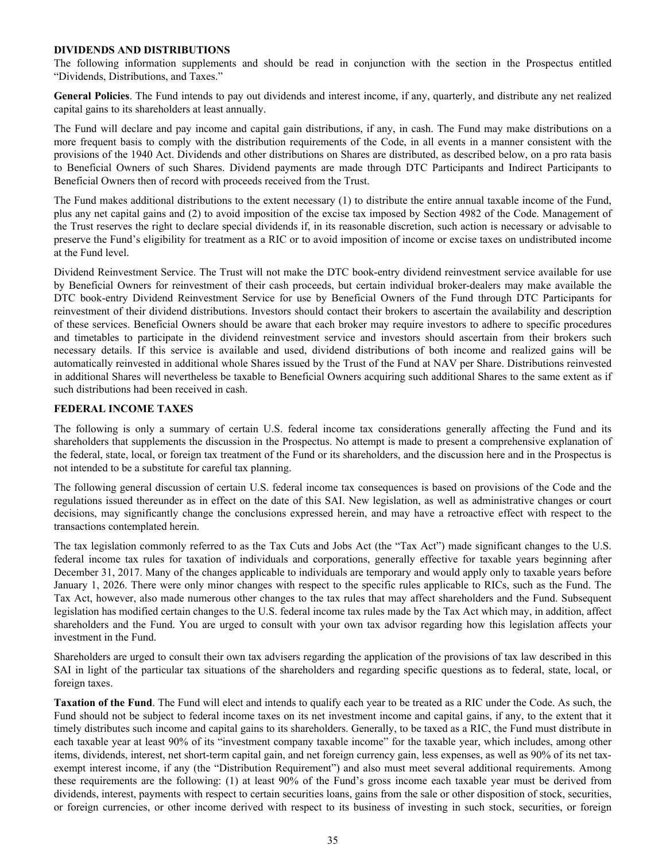### <span id="page-36-0"></span>**DIVIDENDS AND DISTRIBUTIONS**

The following information supplements and should be read in conjunction with the section in the Prospectus entitled "Dividends, Distributions, and Taxes."

**General Policies**. The Fund intends to pay out dividends and interest income, if any, quarterly, and distribute any net realized capital gains to its shareholders at least annually.

The Fund will declare and pay income and capital gain distributions, if any, in cash. The Fund may make distributions on a more frequent basis to comply with the distribution requirements of the Code, in all events in a manner consistent with the provisions of the 1940 Act. Dividends and other distributions on Shares are distributed, as described below, on a pro rata basis to Beneficial Owners of such Shares. Dividend payments are made through DTC Participants and Indirect Participants to Beneficial Owners then of record with proceeds received from the Trust.

The Fund makes additional distributions to the extent necessary (1) to distribute the entire annual taxable income of the Fund, plus any net capital gains and (2) to avoid imposition of the excise tax imposed by Section 4982 of the Code. Management of the Trust reserves the right to declare special dividends if, in its reasonable discretion, such action is necessary or advisable to preserve the Fund's eligibility for treatment as a RIC or to avoid imposition of income or excise taxes on undistributed income at the Fund level.

Dividend Reinvestment Service. The Trust will not make the DTC book-entry dividend reinvestment service available for use by Beneficial Owners for reinvestment of their cash proceeds, but certain individual broker-dealers may make available the DTC book-entry Dividend Reinvestment Service for use by Beneficial Owners of the Fund through DTC Participants for reinvestment of their dividend distributions. Investors should contact their brokers to ascertain the availability and description of these services. Beneficial Owners should be aware that each broker may require investors to adhere to specific procedures and timetables to participate in the dividend reinvestment service and investors should ascertain from their brokers such necessary details. If this service is available and used, dividend distributions of both income and realized gains will be automatically reinvested in additional whole Shares issued by the Trust of the Fund at NAV per Share. Distributions reinvested in additional Shares will nevertheless be taxable to Beneficial Owners acquiring such additional Shares to the same extent as if such distributions had been received in cash.

#### **FEDERAL INCOME TAXES**

The following is only a summary of certain U.S. federal income tax considerations generally affecting the Fund and its shareholders that supplements the discussion in the Prospectus. No attempt is made to present a comprehensive explanation of the federal, state, local, or foreign tax treatment of the Fund or its shareholders, and the discussion here and in the Prospectus is not intended to be a substitute for careful tax planning.

The following general discussion of certain U.S. federal income tax consequences is based on provisions of the Code and the regulations issued thereunder as in effect on the date of this SAI. New legislation, as well as administrative changes or court decisions, may significantly change the conclusions expressed herein, and may have a retroactive effect with respect to the transactions contemplated herein.

The tax legislation commonly referred to as the Tax Cuts and Jobs Act (the "Tax Act") made significant changes to the U.S. federal income tax rules for taxation of individuals and corporations, generally effective for taxable years beginning after December 31, 2017. Many of the changes applicable to individuals are temporary and would apply only to taxable years before January 1, 2026. There were only minor changes with respect to the specific rules applicable to RICs, such as the Fund. The Tax Act, however, also made numerous other changes to the tax rules that may affect shareholders and the Fund. Subsequent legislation has modified certain changes to the U.S. federal income tax rules made by the Tax Act which may, in addition, affect shareholders and the Fund. You are urged to consult with your own tax advisor regarding how this legislation affects your investment in the Fund.

Shareholders are urged to consult their own tax advisers regarding the application of the provisions of tax law described in this SAI in light of the particular tax situations of the shareholders and regarding specific questions as to federal, state, local, or foreign taxes.

**Taxation of the Fund**. The Fund will elect and intends to qualify each year to be treated as a RIC under the Code. As such, the Fund should not be subject to federal income taxes on its net investment income and capital gains, if any, to the extent that it timely distributes such income and capital gains to its shareholders. Generally, to be taxed as a RIC, the Fund must distribute in each taxable year at least 90% of its "investment company taxable income" for the taxable year, which includes, among other items, dividends, interest, net short-term capital gain, and net foreign currency gain, less expenses, as well as 90% of its net taxexempt interest income, if any (the "Distribution Requirement") and also must meet several additional requirements. Among these requirements are the following: (1) at least 90% of the Fund's gross income each taxable year must be derived from dividends, interest, payments with respect to certain securities loans, gains from the sale or other disposition of stock, securities, or foreign currencies, or other income derived with respect to its business of investing in such stock, securities, or foreign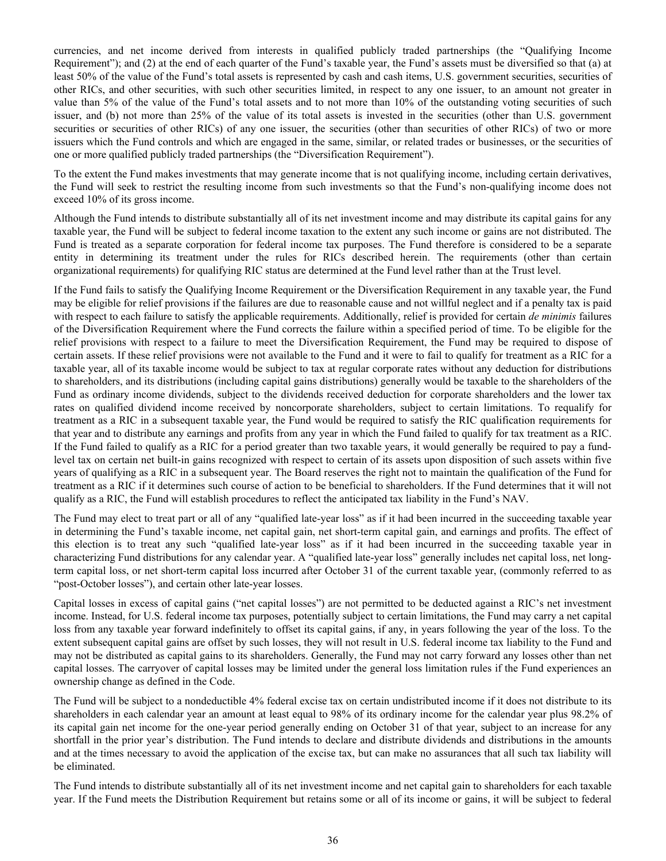currencies, and net income derived from interests in qualified publicly traded partnerships (the "Qualifying Income Requirement"); and (2) at the end of each quarter of the Fund's taxable year, the Fund's assets must be diversified so that (a) at least 50% of the value of the Fund's total assets is represented by cash and cash items, U.S. government securities, securities of other RICs, and other securities, with such other securities limited, in respect to any one issuer, to an amount not greater in value than 5% of the value of the Fund's total assets and to not more than 10% of the outstanding voting securities of such issuer, and (b) not more than 25% of the value of its total assets is invested in the securities (other than U.S. government securities or securities of other RICs) of any one issuer, the securities (other than securities of other RICs) of two or more issuers which the Fund controls and which are engaged in the same, similar, or related trades or businesses, or the securities of one or more qualified publicly traded partnerships (the "Diversification Requirement").

To the extent the Fund makes investments that may generate income that is not qualifying income, including certain derivatives, the Fund will seek to restrict the resulting income from such investments so that the Fund's non-qualifying income does not exceed 10% of its gross income.

Although the Fund intends to distribute substantially all of its net investment income and may distribute its capital gains for any taxable year, the Fund will be subject to federal income taxation to the extent any such income or gains are not distributed. The Fund is treated as a separate corporation for federal income tax purposes. The Fund therefore is considered to be a separate entity in determining its treatment under the rules for RICs described herein. The requirements (other than certain organizational requirements) for qualifying RIC status are determined at the Fund level rather than at the Trust level.

If the Fund fails to satisfy the Qualifying Income Requirement or the Diversification Requirement in any taxable year, the Fund may be eligible for relief provisions if the failures are due to reasonable cause and not willful neglect and if a penalty tax is paid with respect to each failure to satisfy the applicable requirements. Additionally, relief is provided for certain *de minimis* failures of the Diversification Requirement where the Fund corrects the failure within a specified period of time. To be eligible for the relief provisions with respect to a failure to meet the Diversification Requirement, the Fund may be required to dispose of certain assets. If these relief provisions were not available to the Fund and it were to fail to qualify for treatment as a RIC for a taxable year, all of its taxable income would be subject to tax at regular corporate rates without any deduction for distributions to shareholders, and its distributions (including capital gains distributions) generally would be taxable to the shareholders of the Fund as ordinary income dividends, subject to the dividends received deduction for corporate shareholders and the lower tax rates on qualified dividend income received by noncorporate shareholders, subject to certain limitations. To requalify for treatment as a RIC in a subsequent taxable year, the Fund would be required to satisfy the RIC qualification requirements for that year and to distribute any earnings and profits from any year in which the Fund failed to qualify for tax treatment as a RIC. If the Fund failed to qualify as a RIC for a period greater than two taxable years, it would generally be required to pay a fundlevel tax on certain net built-in gains recognized with respect to certain of its assets upon disposition of such assets within five years of qualifying as a RIC in a subsequent year. The Board reserves the right not to maintain the qualification of the Fund for treatment as a RIC if it determines such course of action to be beneficial to shareholders. If the Fund determines that it will not qualify as a RIC, the Fund will establish procedures to reflect the anticipated tax liability in the Fund's NAV.

The Fund may elect to treat part or all of any "qualified late-year loss" as if it had been incurred in the succeeding taxable year in determining the Fund's taxable income, net capital gain, net short-term capital gain, and earnings and profits. The effect of this election is to treat any such "qualified late-year loss" as if it had been incurred in the succeeding taxable year in characterizing Fund distributions for any calendar year. A "qualified late-year loss" generally includes net capital loss, net longterm capital loss, or net short-term capital loss incurred after October 31 of the current taxable year, (commonly referred to as "post-October losses"), and certain other late-year losses.

Capital losses in excess of capital gains ("net capital losses") are not permitted to be deducted against a RIC's net investment income. Instead, for U.S. federal income tax purposes, potentially subject to certain limitations, the Fund may carry a net capital loss from any taxable year forward indefinitely to offset its capital gains, if any, in years following the year of the loss. To the extent subsequent capital gains are offset by such losses, they will not result in U.S. federal income tax liability to the Fund and may not be distributed as capital gains to its shareholders. Generally, the Fund may not carry forward any losses other than net capital losses. The carryover of capital losses may be limited under the general loss limitation rules if the Fund experiences an ownership change as defined in the Code.

The Fund will be subject to a nondeductible 4% federal excise tax on certain undistributed income if it does not distribute to its shareholders in each calendar year an amount at least equal to 98% of its ordinary income for the calendar year plus 98.2% of its capital gain net income for the one-year period generally ending on October 31 of that year, subject to an increase for any shortfall in the prior year's distribution. The Fund intends to declare and distribute dividends and distributions in the amounts and at the times necessary to avoid the application of the excise tax, but can make no assurances that all such tax liability will be eliminated.

The Fund intends to distribute substantially all of its net investment income and net capital gain to shareholders for each taxable year. If the Fund meets the Distribution Requirement but retains some or all of its income or gains, it will be subject to federal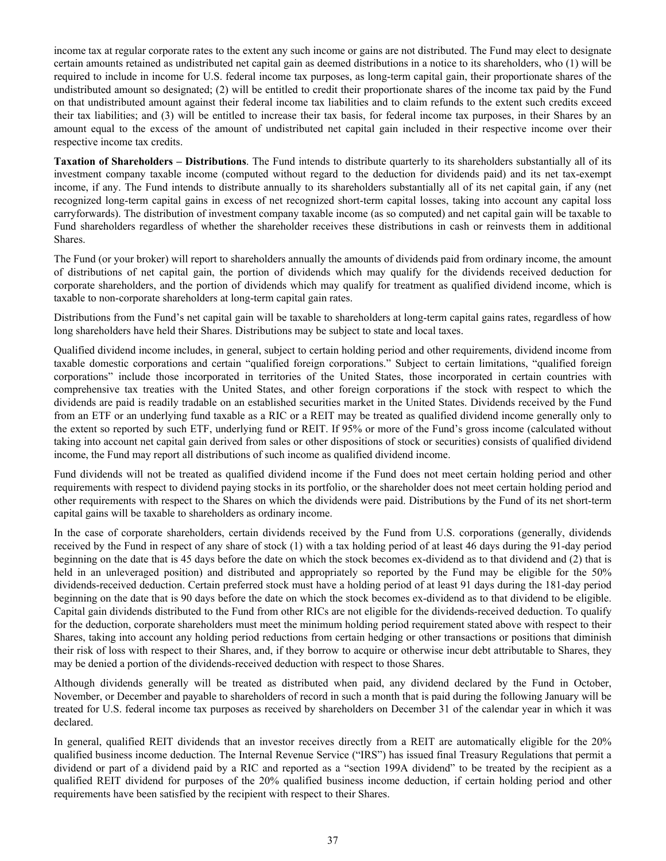income tax at regular corporate rates to the extent any such income or gains are not distributed. The Fund may elect to designate certain amounts retained as undistributed net capital gain as deemed distributions in a notice to its shareholders, who (1) will be required to include in income for U.S. federal income tax purposes, as long-term capital gain, their proportionate shares of the undistributed amount so designated; (2) will be entitled to credit their proportionate shares of the income tax paid by the Fund on that undistributed amount against their federal income tax liabilities and to claim refunds to the extent such credits exceed their tax liabilities; and (3) will be entitled to increase their tax basis, for federal income tax purposes, in their Shares by an amount equal to the excess of the amount of undistributed net capital gain included in their respective income over their respective income tax credits.

**Taxation of Shareholders – Distributions**. The Fund intends to distribute quarterly to its shareholders substantially all of its investment company taxable income (computed without regard to the deduction for dividends paid) and its net tax-exempt income, if any. The Fund intends to distribute annually to its shareholders substantially all of its net capital gain, if any (net recognized long-term capital gains in excess of net recognized short-term capital losses, taking into account any capital loss carryforwards). The distribution of investment company taxable income (as so computed) and net capital gain will be taxable to Fund shareholders regardless of whether the shareholder receives these distributions in cash or reinvests them in additional Shares.

The Fund (or your broker) will report to shareholders annually the amounts of dividends paid from ordinary income, the amount of distributions of net capital gain, the portion of dividends which may qualify for the dividends received deduction for corporate shareholders, and the portion of dividends which may qualify for treatment as qualified dividend income, which is taxable to non-corporate shareholders at long-term capital gain rates.

Distributions from the Fund's net capital gain will be taxable to shareholders at long-term capital gains rates, regardless of how long shareholders have held their Shares. Distributions may be subject to state and local taxes.

Qualified dividend income includes, in general, subject to certain holding period and other requirements, dividend income from taxable domestic corporations and certain "qualified foreign corporations." Subject to certain limitations, "qualified foreign corporations" include those incorporated in territories of the United States, those incorporated in certain countries with comprehensive tax treaties with the United States, and other foreign corporations if the stock with respect to which the dividends are paid is readily tradable on an established securities market in the United States. Dividends received by the Fund from an ETF or an underlying fund taxable as a RIC or a REIT may be treated as qualified dividend income generally only to the extent so reported by such ETF, underlying fund or REIT. If 95% or more of the Fund's gross income (calculated without taking into account net capital gain derived from sales or other dispositions of stock or securities) consists of qualified dividend income, the Fund may report all distributions of such income as qualified dividend income.

Fund dividends will not be treated as qualified dividend income if the Fund does not meet certain holding period and other requirements with respect to dividend paying stocks in its portfolio, or the shareholder does not meet certain holding period and other requirements with respect to the Shares on which the dividends were paid. Distributions by the Fund of its net short-term capital gains will be taxable to shareholders as ordinary income.

In the case of corporate shareholders, certain dividends received by the Fund from U.S. corporations (generally, dividends received by the Fund in respect of any share of stock (1) with a tax holding period of at least 46 days during the 91-day period beginning on the date that is 45 days before the date on which the stock becomes ex-dividend as to that dividend and (2) that is held in an unleveraged position) and distributed and appropriately so reported by the Fund may be eligible for the 50% dividends-received deduction. Certain preferred stock must have a holding period of at least 91 days during the 181-day period beginning on the date that is 90 days before the date on which the stock becomes ex-dividend as to that dividend to be eligible. Capital gain dividends distributed to the Fund from other RICs are not eligible for the dividends-received deduction. To qualify for the deduction, corporate shareholders must meet the minimum holding period requirement stated above with respect to their Shares, taking into account any holding period reductions from certain hedging or other transactions or positions that diminish their risk of loss with respect to their Shares, and, if they borrow to acquire or otherwise incur debt attributable to Shares, they may be denied a portion of the dividends-received deduction with respect to those Shares.

Although dividends generally will be treated as distributed when paid, any dividend declared by the Fund in October, November, or December and payable to shareholders of record in such a month that is paid during the following January will be treated for U.S. federal income tax purposes as received by shareholders on December 31 of the calendar year in which it was declared.

In general, qualified REIT dividends that an investor receives directly from a REIT are automatically eligible for the 20% qualified business income deduction. The Internal Revenue Service ("IRS") has issued final Treasury Regulations that permit a dividend or part of a dividend paid by a RIC and reported as a "section 199A dividend" to be treated by the recipient as a qualified REIT dividend for purposes of the 20% qualified business income deduction, if certain holding period and other requirements have been satisfied by the recipient with respect to their Shares.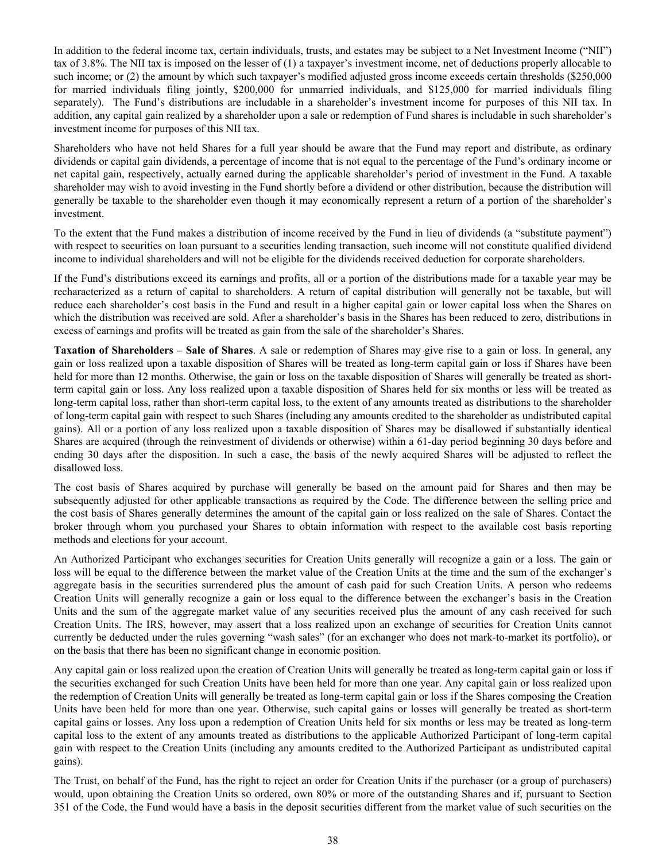In addition to the federal income tax, certain individuals, trusts, and estates may be subject to a Net Investment Income ("NII") tax of 3.8%. The NII tax is imposed on the lesser of (1) a taxpayer's investment income, net of deductions properly allocable to such income; or (2) the amount by which such taxpayer's modified adjusted gross income exceeds certain thresholds (\$250,000 for married individuals filing jointly, \$200,000 for unmarried individuals, and \$125,000 for married individuals filing separately). The Fund's distributions are includable in a shareholder's investment income for purposes of this NII tax. In addition, any capital gain realized by a shareholder upon a sale or redemption of Fund shares is includable in such shareholder's investment income for purposes of this NII tax.

Shareholders who have not held Shares for a full year should be aware that the Fund may report and distribute, as ordinary dividends or capital gain dividends, a percentage of income that is not equal to the percentage of the Fund's ordinary income or net capital gain, respectively, actually earned during the applicable shareholder's period of investment in the Fund. A taxable shareholder may wish to avoid investing in the Fund shortly before a dividend or other distribution, because the distribution will generally be taxable to the shareholder even though it may economically represent a return of a portion of the shareholder's investment.

To the extent that the Fund makes a distribution of income received by the Fund in lieu of dividends (a "substitute payment") with respect to securities on loan pursuant to a securities lending transaction, such income will not constitute qualified dividend income to individual shareholders and will not be eligible for the dividends received deduction for corporate shareholders.

If the Fund's distributions exceed its earnings and profits, all or a portion of the distributions made for a taxable year may be recharacterized as a return of capital to shareholders. A return of capital distribution will generally not be taxable, but will reduce each shareholder's cost basis in the Fund and result in a higher capital gain or lower capital loss when the Shares on which the distribution was received are sold. After a shareholder's basis in the Shares has been reduced to zero, distributions in excess of earnings and profits will be treated as gain from the sale of the shareholder's Shares.

**Taxation of Shareholders – Sale of Shares**. A sale or redemption of Shares may give rise to a gain or loss. In general, any gain or loss realized upon a taxable disposition of Shares will be treated as long-term capital gain or loss if Shares have been held for more than 12 months. Otherwise, the gain or loss on the taxable disposition of Shares will generally be treated as shortterm capital gain or loss. Any loss realized upon a taxable disposition of Shares held for six months or less will be treated as long-term capital loss, rather than short-term capital loss, to the extent of any amounts treated as distributions to the shareholder of long-term capital gain with respect to such Shares (including any amounts credited to the shareholder as undistributed capital gains). All or a portion of any loss realized upon a taxable disposition of Shares may be disallowed if substantially identical Shares are acquired (through the reinvestment of dividends or otherwise) within a 61-day period beginning 30 days before and ending 30 days after the disposition. In such a case, the basis of the newly acquired Shares will be adjusted to reflect the disallowed loss.

The cost basis of Shares acquired by purchase will generally be based on the amount paid for Shares and then may be subsequently adjusted for other applicable transactions as required by the Code. The difference between the selling price and the cost basis of Shares generally determines the amount of the capital gain or loss realized on the sale of Shares. Contact the broker through whom you purchased your Shares to obtain information with respect to the available cost basis reporting methods and elections for your account.

An Authorized Participant who exchanges securities for Creation Units generally will recognize a gain or a loss. The gain or loss will be equal to the difference between the market value of the Creation Units at the time and the sum of the exchanger's aggregate basis in the securities surrendered plus the amount of cash paid for such Creation Units. A person who redeems Creation Units will generally recognize a gain or loss equal to the difference between the exchanger's basis in the Creation Units and the sum of the aggregate market value of any securities received plus the amount of any cash received for such Creation Units. The IRS, however, may assert that a loss realized upon an exchange of securities for Creation Units cannot currently be deducted under the rules governing "wash sales" (for an exchanger who does not mark-to-market its portfolio), or on the basis that there has been no significant change in economic position.

Any capital gain or loss realized upon the creation of Creation Units will generally be treated as long-term capital gain or loss if the securities exchanged for such Creation Units have been held for more than one year. Any capital gain or loss realized upon the redemption of Creation Units will generally be treated as long-term capital gain or loss if the Shares composing the Creation Units have been held for more than one year. Otherwise, such capital gains or losses will generally be treated as short-term capital gains or losses. Any loss upon a redemption of Creation Units held for six months or less may be treated as long-term capital loss to the extent of any amounts treated as distributions to the applicable Authorized Participant of long-term capital gain with respect to the Creation Units (including any amounts credited to the Authorized Participant as undistributed capital gains).

The Trust, on behalf of the Fund, has the right to reject an order for Creation Units if the purchaser (or a group of purchasers) would, upon obtaining the Creation Units so ordered, own 80% or more of the outstanding Shares and if, pursuant to Section 351 of the Code, the Fund would have a basis in the deposit securities different from the market value of such securities on the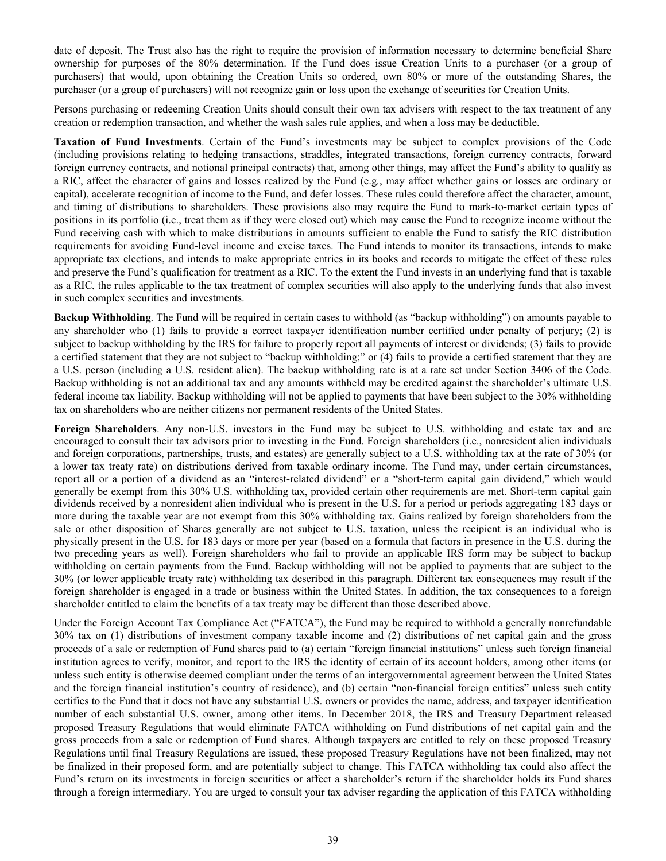date of deposit. The Trust also has the right to require the provision of information necessary to determine beneficial Share ownership for purposes of the 80% determination. If the Fund does issue Creation Units to a purchaser (or a group of purchasers) that would, upon obtaining the Creation Units so ordered, own 80% or more of the outstanding Shares, the purchaser (or a group of purchasers) will not recognize gain or loss upon the exchange of securities for Creation Units.

Persons purchasing or redeeming Creation Units should consult their own tax advisers with respect to the tax treatment of any creation or redemption transaction, and whether the wash sales rule applies, and when a loss may be deductible.

**Taxation of Fund Investments**. Certain of the Fund's investments may be subject to complex provisions of the Code (including provisions relating to hedging transactions, straddles, integrated transactions, foreign currency contracts, forward foreign currency contracts, and notional principal contracts) that, among other things, may affect the Fund's ability to qualify as a RIC, affect the character of gains and losses realized by the Fund (e.g*.*, may affect whether gains or losses are ordinary or capital), accelerate recognition of income to the Fund, and defer losses. These rules could therefore affect the character, amount, and timing of distributions to shareholders. These provisions also may require the Fund to mark-to-market certain types of positions in its portfolio (i.e., treat them as if they were closed out) which may cause the Fund to recognize income without the Fund receiving cash with which to make distributions in amounts sufficient to enable the Fund to satisfy the RIC distribution requirements for avoiding Fund-level income and excise taxes. The Fund intends to monitor its transactions, intends to make appropriate tax elections, and intends to make appropriate entries in its books and records to mitigate the effect of these rules and preserve the Fund's qualification for treatment as a RIC. To the extent the Fund invests in an underlying fund that is taxable as a RIC, the rules applicable to the tax treatment of complex securities will also apply to the underlying funds that also invest in such complex securities and investments.

**Backup Withholding**. The Fund will be required in certain cases to withhold (as "backup withholding") on amounts payable to any shareholder who (1) fails to provide a correct taxpayer identification number certified under penalty of perjury; (2) is subject to backup withholding by the IRS for failure to properly report all payments of interest or dividends; (3) fails to provide a certified statement that they are not subject to "backup withholding;" or (4) fails to provide a certified statement that they are a U.S. person (including a U.S. resident alien). The backup withholding rate is at a rate set under Section 3406 of the Code. Backup withholding is not an additional tax and any amounts withheld may be credited against the shareholder's ultimate U.S. federal income tax liability. Backup withholding will not be applied to payments that have been subject to the 30% withholding tax on shareholders who are neither citizens nor permanent residents of the United States.

**Foreign Shareholders**. Any non-U.S. investors in the Fund may be subject to U.S. withholding and estate tax and are encouraged to consult their tax advisors prior to investing in the Fund. Foreign shareholders (i.e., nonresident alien individuals and foreign corporations, partnerships, trusts, and estates) are generally subject to a U.S. withholding tax at the rate of 30% (or a lower tax treaty rate) on distributions derived from taxable ordinary income. The Fund may, under certain circumstances, report all or a portion of a dividend as an "interest-related dividend" or a "short-term capital gain dividend," which would generally be exempt from this 30% U.S. withholding tax, provided certain other requirements are met. Short-term capital gain dividends received by a nonresident alien individual who is present in the U.S. for a period or periods aggregating 183 days or more during the taxable year are not exempt from this 30% withholding tax. Gains realized by foreign shareholders from the sale or other disposition of Shares generally are not subject to U.S. taxation, unless the recipient is an individual who is physically present in the U.S. for 183 days or more per year (based on a formula that factors in presence in the U.S. during the two preceding years as well). Foreign shareholders who fail to provide an applicable IRS form may be subject to backup withholding on certain payments from the Fund. Backup withholding will not be applied to payments that are subject to the 30% (or lower applicable treaty rate) withholding tax described in this paragraph. Different tax consequences may result if the foreign shareholder is engaged in a trade or business within the United States. In addition, the tax consequences to a foreign shareholder entitled to claim the benefits of a tax treaty may be different than those described above.

Under the Foreign Account Tax Compliance Act ("FATCA"), the Fund may be required to withhold a generally nonrefundable 30% tax on (1) distributions of investment company taxable income and (2) distributions of net capital gain and the gross proceeds of a sale or redemption of Fund shares paid to (a) certain "foreign financial institutions" unless such foreign financial institution agrees to verify, monitor, and report to the IRS the identity of certain of its account holders, among other items (or unless such entity is otherwise deemed compliant under the terms of an intergovernmental agreement between the United States and the foreign financial institution's country of residence), and (b) certain "non-financial foreign entities" unless such entity certifies to the Fund that it does not have any substantial U.S. owners or provides the name, address, and taxpayer identification number of each substantial U.S. owner, among other items. In December 2018, the IRS and Treasury Department released proposed Treasury Regulations that would eliminate FATCA withholding on Fund distributions of net capital gain and the gross proceeds from a sale or redemption of Fund shares. Although taxpayers are entitled to rely on these proposed Treasury Regulations until final Treasury Regulations are issued, these proposed Treasury Regulations have not been finalized, may not be finalized in their proposed form, and are potentially subject to change. This FATCA withholding tax could also affect the Fund's return on its investments in foreign securities or affect a shareholder's return if the shareholder holds its Fund shares through a foreign intermediary. You are urged to consult your tax adviser regarding the application of this FATCA withholding